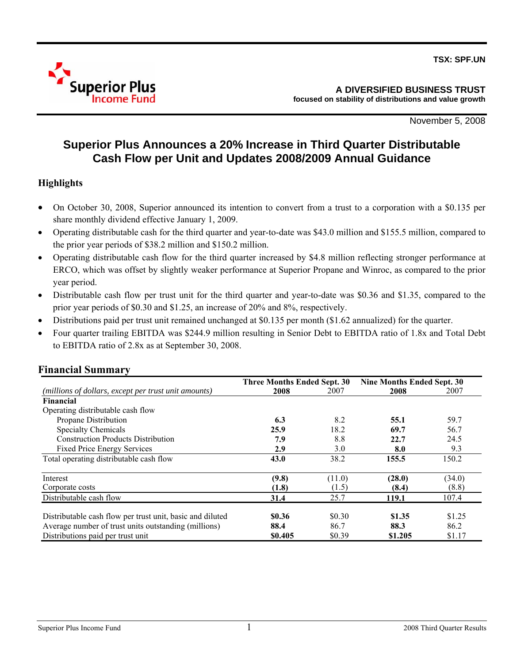

November 5, 2008

# **Superior Plus Announces a 20% Increase in Third Quarter Distributable Cash Flow per Unit and Updates 2008/2009 Annual Guidance**

# **Highlights**

- On October 30, 2008, Superior announced its intention to convert from a trust to a corporation with a \$0.135 per share monthly dividend effective January 1, 2009.
- Operating distributable cash for the third quarter and year-to-date was \$43.0 million and \$155.5 million, compared to the prior year periods of \$38.2 million and \$150.2 million.
- Operating distributable cash flow for the third quarter increased by \$4.8 million reflecting stronger performance at ERCO, which was offset by slightly weaker performance at Superior Propane and Winroc, as compared to the prior year period.
- Distributable cash flow per trust unit for the third quarter and year-to-date was \$0.36 and \$1.35, compared to the prior year periods of \$0.30 and \$1.25, an increase of 20% and 8%, respectively.
- Distributions paid per trust unit remained unchanged at \$0.135 per month (\$1.62 annualized) for the quarter.
- Four quarter trailing EBITDA was \$244.9 million resulting in Senior Debt to EBITDA ratio of 1.8x and Total Debt to EBITDA ratio of 2.8x as at September 30, 2008.

|                                                           | <b>Three Months Ended Sept. 30</b> |        | Nine Months Ended Sept. 30 |        |
|-----------------------------------------------------------|------------------------------------|--------|----------------------------|--------|
| (millions of dollars, except per trust unit amounts)      | 2008                               | 2007   | 2008                       | 2007   |
| <b>Financial</b>                                          |                                    |        |                            |        |
| Operating distributable cash flow                         |                                    |        |                            |        |
| Propane Distribution                                      | 6.3                                | 8.2    | 55.1                       | 59.7   |
| <b>Specialty Chemicals</b>                                | 25.9                               | 18.2   | 69.7                       | 56.7   |
| <b>Construction Products Distribution</b>                 | 7.9                                | 8.8    | 22.7                       | 24.5   |
| <b>Fixed Price Energy Services</b>                        | 2.9                                | 3.0    | 8.0                        | 9.3    |
| Total operating distributable cash flow                   | 43.0                               | 38.2   | 155.5                      | 150.2  |
| Interest                                                  | (9.8)                              | (11.0) | (28.0)                     | (34.0) |
| Corporate costs                                           | (1.8)                              | (1.5)  | (8.4)                      | (8.8)  |
| Distributable cash flow                                   | 31.4                               | 25.7   | 119.1                      | 107.4  |
|                                                           |                                    |        |                            |        |
| Distributable cash flow per trust unit, basic and diluted | \$0.36                             | \$0.30 | \$1.35                     | \$1.25 |
| Average number of trust units outstanding (millions)      | 88.4                               | 86.7   | 88.3                       | 86.2   |
| Distributions paid per trust unit                         | \$0.405                            | \$0.39 | \$1.205                    | \$1.17 |

# **Financial Summary**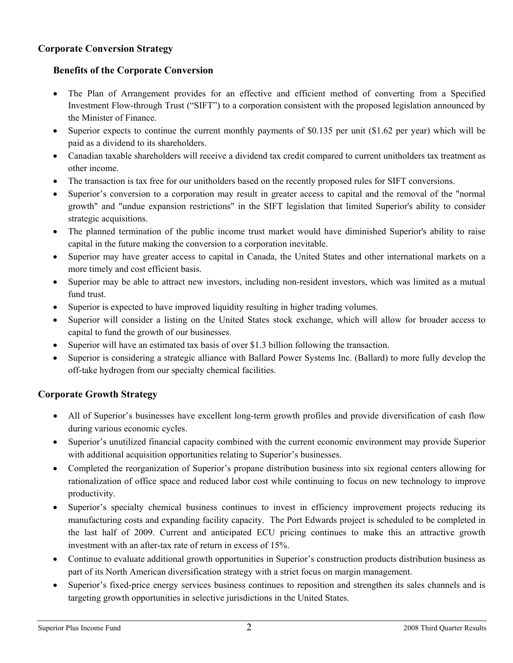# **Corporate Conversion Strategy**

# **Benefits of the Corporate Conversion**

- The Plan of Arrangement provides for an effective and efficient method of converting from a Specified Investment Flow-through Trust ("SIFT") to a corporation consistent with the proposed legislation announced by the Minister of Finance.
- Superior expects to continue the current monthly payments of \$0.135 per unit (\$1.62 per year) which will be paid as a dividend to its shareholders.
- Canadian taxable shareholders will receive a dividend tax credit compared to current unitholders tax treatment as other income.
- The transaction is tax free for our unitholders based on the recently proposed rules for SIFT conversions.
- Superior's conversion to a corporation may result in greater access to capital and the removal of the "normal growth" and "undue expansion restrictions" in the SIFT legislation that limited Superior's ability to consider strategic acquisitions.
- The planned termination of the public income trust market would have diminished Superior's ability to raise capital in the future making the conversion to a corporation inevitable.
- Superior may have greater access to capital in Canada, the United States and other international markets on a more timely and cost efficient basis.
- Superior may be able to attract new investors, including non-resident investors, which was limited as a mutual fund trust.
- Superior is expected to have improved liquidity resulting in higher trading volumes.
- Superior will consider a listing on the United States stock exchange, which will allow for broader access to capital to fund the growth of our businesses.
- Superior will have an estimated tax basis of over \$1.3 billion following the transaction.
- Superior is considering a strategic alliance with Ballard Power Systems Inc. (Ballard) to more fully develop the off-take hydrogen from our specialty chemical facilities.

# **Corporate Growth Strategy**

- All of Superior's businesses have excellent long-term growth profiles and provide diversification of cash flow during various economic cycles.
- Superior's unutilized financial capacity combined with the current economic environment may provide Superior with additional acquisition opportunities relating to Superior's businesses.
- Completed the reorganization of Superior's propane distribution business into six regional centers allowing for rationalization of office space and reduced labor cost while continuing to focus on new technology to improve productivity.
- Superior's specialty chemical business continues to invest in efficiency improvement projects reducing its manufacturing costs and expanding facility capacity. The Port Edwards project is scheduled to be completed in the last half of 2009. Current and anticipated ECU pricing continues to make this an attractive growth investment with an after-tax rate of return in excess of 15%.
- Continue to evaluate additional growth opportunities in Superior's construction products distribution business as part of its North American diversification strategy with a strict focus on margin management.
- Superior's fixed-price energy services business continues to reposition and strengthen its sales channels and is targeting growth opportunities in selective jurisdictions in the United States.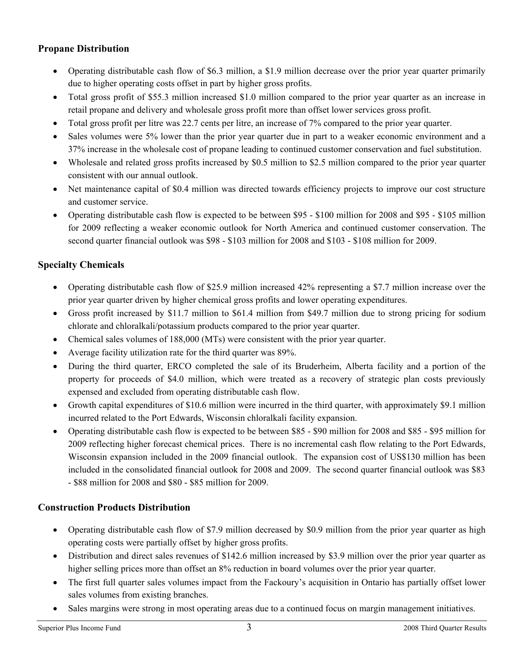# **Propane Distribution**

- Operating distributable cash flow of \$6.3 million, a \$1.9 million decrease over the prior year quarter primarily due to higher operating costs offset in part by higher gross profits.
- Total gross profit of \$55.3 million increased \$1.0 million compared to the prior year quarter as an increase in retail propane and delivery and wholesale gross profit more than offset lower services gross profit.
- Total gross profit per litre was 22.7 cents per litre, an increase of 7% compared to the prior year quarter.
- Sales volumes were 5% lower than the prior year quarter due in part to a weaker economic environment and a 37% increase in the wholesale cost of propane leading to continued customer conservation and fuel substitution.
- Wholesale and related gross profits increased by \$0.5 million to \$2.5 million compared to the prior year quarter consistent with our annual outlook.
- Net maintenance capital of \$0.4 million was directed towards efficiency projects to improve our cost structure and customer service.
- Operating distributable cash flow is expected to be between \$95 \$100 million for 2008 and \$95 \$105 million for 2009 reflecting a weaker economic outlook for North America and continued customer conservation. The second quarter financial outlook was \$98 - \$103 million for 2008 and \$103 - \$108 million for 2009.

# **Specialty Chemicals**

- Operating distributable cash flow of \$25.9 million increased 42% representing a \$7.7 million increase over the prior year quarter driven by higher chemical gross profits and lower operating expenditures.
- Gross profit increased by \$11.7 million to \$61.4 million from \$49.7 million due to strong pricing for sodium chlorate and chloralkali/potassium products compared to the prior year quarter.
- Chemical sales volumes of 188,000 (MTs) were consistent with the prior year quarter.
- Average facility utilization rate for the third quarter was 89%.
- During the third quarter, ERCO completed the sale of its Bruderheim, Alberta facility and a portion of the property for proceeds of \$4.0 million, which were treated as a recovery of strategic plan costs previously expensed and excluded from operating distributable cash flow.
- Growth capital expenditures of \$10.6 million were incurred in the third quarter, with approximately \$9.1 million incurred related to the Port Edwards, Wisconsin chloralkali facility expansion.
- Operating distributable cash flow is expected to be between \$85 \$90 million for 2008 and \$85 \$95 million for 2009 reflecting higher forecast chemical prices. There is no incremental cash flow relating to the Port Edwards, Wisconsin expansion included in the 2009 financial outlook. The expansion cost of US\$130 million has been included in the consolidated financial outlook for 2008 and 2009. The second quarter financial outlook was \$83 - \$88 million for 2008 and \$80 - \$85 million for 2009.

# **Construction Products Distribution**

- Operating distributable cash flow of \$7.9 million decreased by \$0.9 million from the prior year quarter as high operating costs were partially offset by higher gross profits.
- Distribution and direct sales revenues of \$142.6 million increased by \$3.9 million over the prior year quarter as higher selling prices more than offset an 8% reduction in board volumes over the prior year quarter.
- The first full quarter sales volumes impact from the Fackoury's acquisition in Ontario has partially offset lower sales volumes from existing branches.
- Sales margins were strong in most operating areas due to a continued focus on margin management initiatives.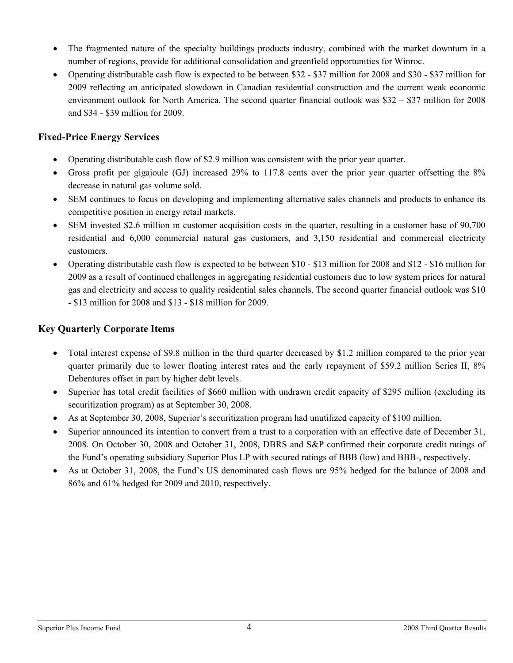- The fragmented nature of the specialty buildings products industry, combined with the market downturn in a number of regions, provide for additional consolidation and greenfield opportunities for Winroc.
- Operating distributable cash flow is expected to be between \$32 \$37 million for 2008 and \$30 \$37 million for 2009 reflecting an anticipated slowdown in Canadian residential construction and the current weak economic environment outlook for North America. The second quarter financial outlook was \$32 – \$37 million for 2008 and \$34 - \$39 million for 2009.

# **Fixed-Price Energy Services**

- Operating distributable cash flow of \$2.9 million was consistent with the prior year quarter.
- Gross profit per gigajoule (GJ) increased 29% to 117.8 cents over the prior year quarter offsetting the 8% decrease in natural gas volume sold.
- SEM continues to focus on developing and implementing alternative sales channels and products to enhance its competitive position in energy retail markets.
- SEM invested \$2.6 million in customer acquisition costs in the quarter, resulting in a customer base of 90,700 residential and 6,000 commercial natural gas customers, and 3,150 residential and commercial electricity customers.
- Operating distributable cash flow is expected to be between \$10 \$13 million for 2008 and \$12 \$16 million for 2009 as a result of continued challenges in aggregating residential customers due to low system prices for natural gas and electricity and access to quality residential sales channels. The second quarter financial outlook was \$10 - \$13 million for 2008 and \$13 - \$18 million for 2009.

# **Key Quarterly Corporate Items**

- Total interest expense of \$9.8 million in the third quarter decreased by \$1.2 million compared to the prior year quarter primarily due to lower floating interest rates and the early repayment of \$59.2 million Series II, 8% Debentures offset in part by higher debt levels.
- Superior has total credit facilities of \$660 million with undrawn credit capacity of \$295 million (excluding its securitization program) as at September 30, 2008.
- As at September 30, 2008, Superior's securitization program had unutilized capacity of \$100 million.
- Superior announced its intention to convert from a trust to a corporation with an effective date of December 31, 2008. On October 30, 2008 and October 31, 2008, DBRS and S&P confirmed their corporate credit ratings of the Fund's operating subsidiary Superior Plus LP with secured ratings of BBB (low) and BBB-, respectively.
- As at October 31, 2008, the Fund's US denominated cash flows are 95% hedged for the balance of 2008 and 86% and 61% hedged for 2009 and 2010, respectively.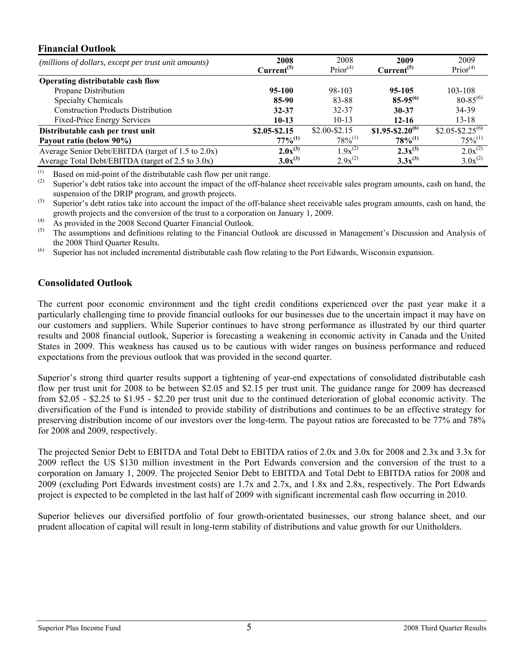## **Financial Outlook**

| (millions of dollars, except per trust unit amounts) | 2008                   | 2008                 | 2009                   | 2009                         |
|------------------------------------------------------|------------------------|----------------------|------------------------|------------------------------|
|                                                      | Current <sup>(5)</sup> | Prior <sup>(4)</sup> | Current <sup>(5)</sup> | Prior <sup>(4)</sup>         |
| Operating distributable cash flow                    |                        |                      |                        |                              |
| Propane Distribution                                 | 95-100                 | 98-103               | $95 - 105$             | 103-108                      |
| <b>Specialty Chemicals</b>                           | 85-90                  | 83-88                | $85-95^{(6)}$          | $80 - 85^{(6)}$              |
| <b>Construction Products Distribution</b>            | $32 - 37$              | 32-37                | $30 - 37$              | 34-39                        |
| <b>Fixed-Price Energy Services</b>                   | $10-13$                | $10-13$              | $12 - 16$              | $13 - 18$                    |
| Distributable cash per trust unit                    | $$2.05 - $2.15$        | $$2.00-S2.15$        | $$1.95 - $2.20^{(6)}$  | \$2.05-\$2.25 <sup>(6)</sup> |
| Payout ratio (below 90%)                             | $77\%^{(1)}$           | $78\%^{(1)}$         | $78\%^{(1)}$           | $75\%^{(1)}$                 |
| Average Senior Debt/EBITDA (target of 1.5 to 2.0x)   | $2.0x^{(3)}$           | $1.9x^{(2)}$         | $2.3x^{(3)}$           | $2.0x^{(2)}$                 |
| Average Total Debt/EBITDA (target of 2.5 to 3.0x)    | $3.0x^{(3)}$           | $2.9x^{(2)}$         | $3.3x^{(3)}$           | $3.0x^{(2)}$                 |

 $(1)$ (1) Based on mid-point of the distributable cash flow per unit range.<br>(2) Superior's don't ratios take into account the impact of the off ball

Superior's debt ratios take into account the impact of the off-balance sheet receivable sales program amounts, cash on hand, the suspension of the DRIP program, and growth projects.

- <sup>(3)</sup> Superior's debt ratios take into account the impact of the off-balance sheet receivable sales program amounts, cash on hand, the growth projects and the conversion of the trust to a corporation on January 1, 2009.
- (4) As provided in the 2008 Second Quarter Financial Outlook.
- The assumptions and definitions relating to the Financial Outlook are discussed in Management's Discussion and Analysis of the 2008 Third Quarter Results.
- (6) Superior has not included incremental distributable cash flow relating to the Port Edwards, Wisconsin expansion.

# **Consolidated Outlook**

The current poor economic environment and the tight credit conditions experienced over the past year make it a particularly challenging time to provide financial outlooks for our businesses due to the uncertain impact it may have on our customers and suppliers. While Superior continues to have strong performance as illustrated by our third quarter results and 2008 financial outlook, Superior is forecasting a weakening in economic activity in Canada and the United States in 2009. This weakness has caused us to be cautious with wider ranges on business performance and reduced expectations from the previous outlook that was provided in the second quarter.

Superior's strong third quarter results support a tightening of year-end expectations of consolidated distributable cash flow per trust unit for 2008 to be between \$2.05 and \$2.15 per trust unit. The guidance range for 2009 has decreased from \$2.05 - \$2.25 to \$1.95 - \$2.20 per trust unit due to the continued deterioration of global economic activity. The diversification of the Fund is intended to provide stability of distributions and continues to be an effective strategy for preserving distribution income of our investors over the long-term. The payout ratios are forecasted to be 77% and 78% for 2008 and 2009, respectively.

The projected Senior Debt to EBITDA and Total Debt to EBITDA ratios of 2.0x and 3.0x for 2008 and 2.3x and 3.3x for 2009 reflect the US \$130 million investment in the Port Edwards conversion and the conversion of the trust to a corporation on January 1, 2009. The projected Senior Debt to EBITDA and Total Debt to EBITDA ratios for 2008 and 2009 (excluding Port Edwards investment costs) are 1.7x and 2.7x, and 1.8x and 2.8x, respectively. The Port Edwards project is expected to be completed in the last half of 2009 with significant incremental cash flow occurring in 2010.

Superior believes our diversified portfolio of four growth-orientated businesses, our strong balance sheet, and our prudent allocation of capital will result in long-term stability of distributions and value growth for our Unitholders.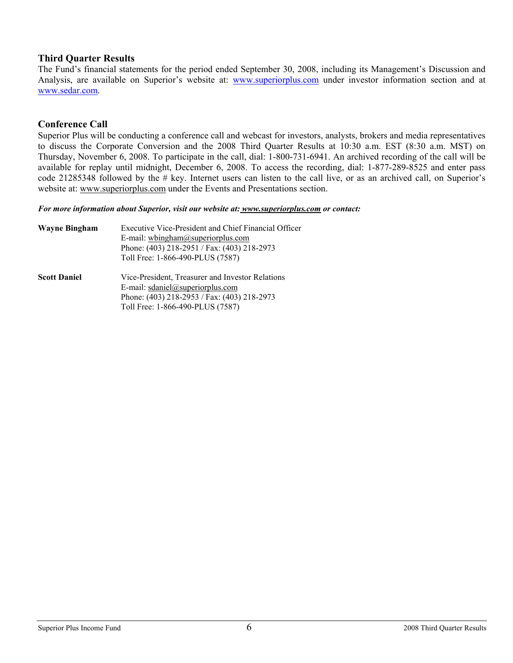## **Third Quarter Results**

The Fund's financial statements for the period ended September 30, 2008, including its Management's Discussion and Analysis, are available on Superior's website at: www.superiorplus.com under investor information section and at www.sedar.com.

# **Conference Call**

Superior Plus will be conducting a conference call and webcast for investors, analysts, brokers and media representatives to discuss the Corporate Conversion and the 2008 Third Quarter Results at 10:30 a.m. EST (8:30 a.m. MST) on Thursday, November 6, 2008. To participate in the call, dial: 1-800-731-6941. An archived recording of the call will be available for replay until midnight, December 6, 2008. To access the recording, dial: 1-877-289-8525 and enter pass code 21285348 followed by the # key. Internet users can listen to the call live, or as an archived call, on Superior's website at: www.superiorplus.com under the Events and Presentations section.

*For more information about Superior, visit our website at: www.superiorplus.com or contact:* 

| Wayne Bingham       | Executive Vice-President and Chief Financial Officer<br>E-mail: whingham@superiorplus.com<br>Phone: (403) 218-2951 / Fax: (403) 218-2973<br>Toll Free: 1-866-490-PLUS (7587) |
|---------------------|------------------------------------------------------------------------------------------------------------------------------------------------------------------------------|
| <b>Scott Daniel</b> | Vice-President, Treasurer and Investor Relations<br>E-mail: sdaniel@superiorplus.com<br>Phone: (403) 218-2953 / Fax: (403) 218-2973<br>Toll Free: 1-866-490-PLUS (7587)      |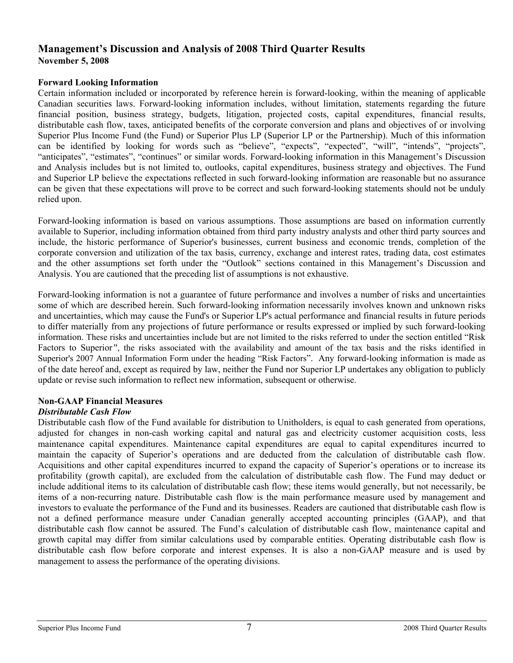# **Management's Discussion and Analysis of 2008 Third Quarter Results November 5, 2008**

### **Forward Looking Information**

Certain information included or incorporated by reference herein is forward-looking, within the meaning of applicable Canadian securities laws. Forward-looking information includes, without limitation, statements regarding the future financial position, business strategy, budgets, litigation, projected costs, capital expenditures, financial results, distributable cash flow, taxes, anticipated benefits of the corporate conversion and plans and objectives of or involving Superior Plus Income Fund (the Fund) or Superior Plus LP (Superior LP or the Partnership). Much of this information can be identified by looking for words such as "believe", "expects", "expected", "will", "intends", "projects", "anticipates", "estimates", "continues" or similar words. Forward-looking information in this Management's Discussion and Analysis includes but is not limited to, outlooks, capital expenditures, business strategy and objectives. The Fund and Superior LP believe the expectations reflected in such forward-looking information are reasonable but no assurance can be given that these expectations will prove to be correct and such forward-looking statements should not be unduly relied upon.

Forward-looking information is based on various assumptions. Those assumptions are based on information currently available to Superior, including information obtained from third party industry analysts and other third party sources and include, the historic performance of Superior's businesses, current business and economic trends, completion of the corporate conversion and utilization of the tax basis, currency, exchange and interest rates, trading data, cost estimates and the other assumptions set forth under the "Outlook" sections contained in this Management's Discussion and Analysis. You are cautioned that the preceding list of assumptions is not exhaustive.

Forward-looking information is not a guarantee of future performance and involves a number of risks and uncertainties some of which are described herein. Such forward-looking information necessarily involves known and unknown risks and uncertainties, which may cause the Fund's or Superior LP's actual performance and financial results in future periods to differ materially from any projections of future performance or results expressed or implied by such forward-looking information. These risks and uncertainties include but are not limited to the risks referred to under the section entitled "Risk Factors to Superior*"*, the risks associated with the availability and amount of the tax basis and the risks identified in Superior's 2007 Annual Information Form under the heading "Risk Factors". Any forward-looking information is made as of the date hereof and, except as required by law, neither the Fund nor Superior LP undertakes any obligation to publicly update or revise such information to reflect new information, subsequent or otherwise.

## **Non-GAAP Financial Measures**

## *Distributable Cash Flow*

Distributable cash flow of the Fund available for distribution to Unitholders, is equal to cash generated from operations, adjusted for changes in non-cash working capital and natural gas and electricity customer acquisition costs, less maintenance capital expenditures. Maintenance capital expenditures are equal to capital expenditures incurred to maintain the capacity of Superior's operations and are deducted from the calculation of distributable cash flow. Acquisitions and other capital expenditures incurred to expand the capacity of Superior's operations or to increase its profitability (growth capital), are excluded from the calculation of distributable cash flow. The Fund may deduct or include additional items to its calculation of distributable cash flow; these items would generally, but not necessarily, be items of a non-recurring nature. Distributable cash flow is the main performance measure used by management and investors to evaluate the performance of the Fund and its businesses. Readers are cautioned that distributable cash flow is not a defined performance measure under Canadian generally accepted accounting principles (GAAP), and that distributable cash flow cannot be assured. The Fund's calculation of distributable cash flow, maintenance capital and growth capital may differ from similar calculations used by comparable entities. Operating distributable cash flow is distributable cash flow before corporate and interest expenses. It is also a non-GAAP measure and is used by management to assess the performance of the operating divisions.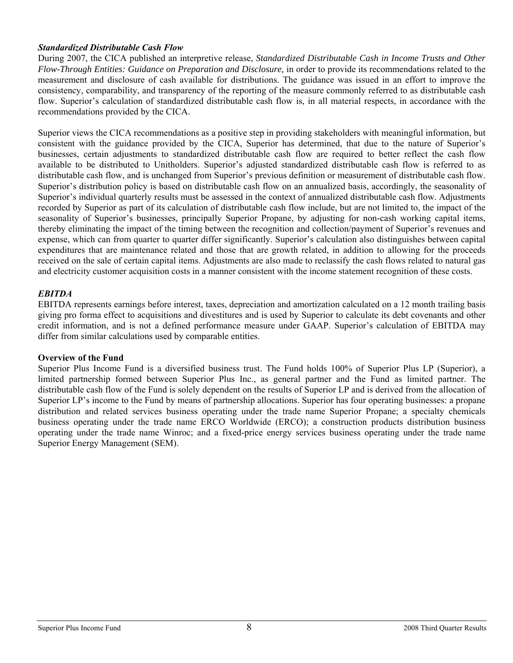### *Standardized Distributable Cash Flow*

During 2007, the CICA published an interpretive release, *Standardized Distributable Cash in Income Trusts and Other Flow-Through Entities: Guidance on Preparation and Disclosure*, in order to provide its recommendations related to the measurement and disclosure of cash available for distributions. The guidance was issued in an effort to improve the consistency, comparability, and transparency of the reporting of the measure commonly referred to as distributable cash flow. Superior's calculation of standardized distributable cash flow is, in all material respects, in accordance with the recommendations provided by the CICA.

Superior views the CICA recommendations as a positive step in providing stakeholders with meaningful information, but consistent with the guidance provided by the CICA, Superior has determined, that due to the nature of Superior's businesses, certain adjustments to standardized distributable cash flow are required to better reflect the cash flow available to be distributed to Unitholders. Superior's adjusted standardized distributable cash flow is referred to as distributable cash flow, and is unchanged from Superior's previous definition or measurement of distributable cash flow. Superior's distribution policy is based on distributable cash flow on an annualized basis, accordingly, the seasonality of Superior's individual quarterly results must be assessed in the context of annualized distributable cash flow. Adjustments recorded by Superior as part of its calculation of distributable cash flow include, but are not limited to, the impact of the seasonality of Superior's businesses, principally Superior Propane, by adjusting for non-cash working capital items, thereby eliminating the impact of the timing between the recognition and collection/payment of Superior's revenues and expense, which can from quarter to quarter differ significantly. Superior's calculation also distinguishes between capital expenditures that are maintenance related and those that are growth related, in addition to allowing for the proceeds received on the sale of certain capital items. Adjustments are also made to reclassify the cash flows related to natural gas and electricity customer acquisition costs in a manner consistent with the income statement recognition of these costs.

### *EBITDA*

EBITDA represents earnings before interest, taxes, depreciation and amortization calculated on a 12 month trailing basis giving pro forma effect to acquisitions and divestitures and is used by Superior to calculate its debt covenants and other credit information, and is not a defined performance measure under GAAP. Superior's calculation of EBITDA may differ from similar calculations used by comparable entities.

### **Overview of the Fund**

Superior Plus Income Fund is a diversified business trust. The Fund holds 100% of Superior Plus LP (Superior), a limited partnership formed between Superior Plus Inc., as general partner and the Fund as limited partner. The distributable cash flow of the Fund is solely dependent on the results of Superior LP and is derived from the allocation of Superior LP's income to the Fund by means of partnership allocations. Superior has four operating businesses: a propane distribution and related services business operating under the trade name Superior Propane; a specialty chemicals business operating under the trade name ERCO Worldwide (ERCO); a construction products distribution business operating under the trade name Winroc; and a fixed-price energy services business operating under the trade name Superior Energy Management (SEM).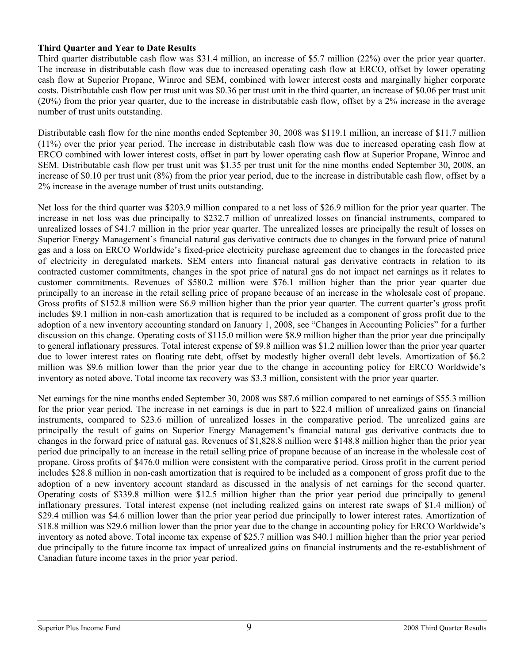## **Third Quarter and Year to Date Results**

Third quarter distributable cash flow was \$31.4 million, an increase of \$5.7 million (22%) over the prior year quarter. The increase in distributable cash flow was due to increased operating cash flow at ERCO, offset by lower operating cash flow at Superior Propane, Winroc and SEM, combined with lower interest costs and marginally higher corporate costs. Distributable cash flow per trust unit was \$0.36 per trust unit in the third quarter, an increase of \$0.06 per trust unit (20%) from the prior year quarter, due to the increase in distributable cash flow, offset by a 2% increase in the average number of trust units outstanding.

Distributable cash flow for the nine months ended September 30, 2008 was \$119.1 million, an increase of \$11.7 million (11%) over the prior year period. The increase in distributable cash flow was due to increased operating cash flow at ERCO combined with lower interest costs, offset in part by lower operating cash flow at Superior Propane, Winroc and SEM. Distributable cash flow per trust unit was \$1.35 per trust unit for the nine months ended September 30, 2008, an increase of \$0.10 per trust unit (8%) from the prior year period, due to the increase in distributable cash flow, offset by a 2% increase in the average number of trust units outstanding.

Net loss for the third quarter was \$203.9 million compared to a net loss of \$26.9 million for the prior year quarter. The increase in net loss was due principally to \$232.7 million of unrealized losses on financial instruments, compared to unrealized losses of \$41.7 million in the prior year quarter. The unrealized losses are principally the result of losses on Superior Energy Management's financial natural gas derivative contracts due to changes in the forward price of natural gas and a loss on ERCO Worldwide's fixed-price electricity purchase agreement due to changes in the forecasted price of electricity in deregulated markets. SEM enters into financial natural gas derivative contracts in relation to its contracted customer commitments, changes in the spot price of natural gas do not impact net earnings as it relates to customer commitments. Revenues of \$580.2 million were \$76.1 million higher than the prior year quarter due principally to an increase in the retail selling price of propane because of an increase in the wholesale cost of propane. Gross profits of \$152.8 million were \$6.9 million higher than the prior year quarter. The current quarter's gross profit includes \$9.1 million in non-cash amortization that is required to be included as a component of gross profit due to the adoption of a new inventory accounting standard on January 1, 2008, see "Changes in Accounting Policies" for a further discussion on this change. Operating costs of \$115.0 million were \$8.9 million higher than the prior year due principally to general inflationary pressures. Total interest expense of \$9.8 million was \$1.2 million lower than the prior year quarter due to lower interest rates on floating rate debt, offset by modestly higher overall debt levels. Amortization of \$6.2 million was \$9.6 million lower than the prior year due to the change in accounting policy for ERCO Worldwide's inventory as noted above. Total income tax recovery was \$3.3 million, consistent with the prior year quarter.

Net earnings for the nine months ended September 30, 2008 was \$87.6 million compared to net earnings of \$55.3 million for the prior year period. The increase in net earnings is due in part to \$22.4 million of unrealized gains on financial instruments, compared to \$23.6 million of unrealized losses in the comparative period. The unrealized gains are principally the result of gains on Superior Energy Management's financial natural gas derivative contracts due to changes in the forward price of natural gas. Revenues of \$1,828.8 million were \$148.8 million higher than the prior year period due principally to an increase in the retail selling price of propane because of an increase in the wholesale cost of propane. Gross profits of \$476.0 million were consistent with the comparative period. Gross profit in the current period includes \$28.8 million in non-cash amortization that is required to be included as a component of gross profit due to the adoption of a new inventory account standard as discussed in the analysis of net earnings for the second quarter. Operating costs of \$339.8 million were \$12.5 million higher than the prior year period due principally to general inflationary pressures. Total interest expense (not including realized gains on interest rate swaps of \$1.4 million) of \$29.4 million was \$4.6 million lower than the prior year period due principally to lower interest rates. Amortization of \$18.8 million was \$29.6 million lower than the prior year due to the change in accounting policy for ERCO Worldwide's inventory as noted above. Total income tax expense of \$25.7 million was \$40.1 million higher than the prior year period due principally to the future income tax impact of unrealized gains on financial instruments and the re-establishment of Canadian future income taxes in the prior year period.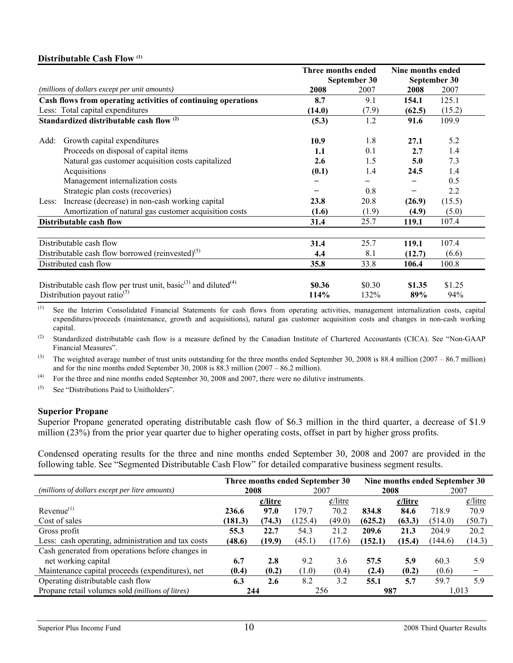### **Distributable Cash Flow (1)**

|       |                                                                                                                                     | Three months ended |                | Nine months ended |               |  |
|-------|-------------------------------------------------------------------------------------------------------------------------------------|--------------------|----------------|-------------------|---------------|--|
|       |                                                                                                                                     |                    | September 30   |                   | September 30  |  |
|       | (millions of dollars except per unit amounts)                                                                                       | 2008               | 2007           | 2008              | 2007          |  |
|       | Cash flows from operating activities of continuing operations                                                                       | 8.7                | 9.1            | 154.1             | 125.1         |  |
|       | Less: Total capital expenditures                                                                                                    | (14.0)             | (7.9)          | (62.5)            | (15.2)        |  |
|       | Standardized distributable cash flow <sup>(2)</sup>                                                                                 | (5.3)              | 1.2            | 91.6              | 109.9         |  |
| Add:  | Growth capital expenditures                                                                                                         | 10.9               | 1.8            | 27.1              | 5.2           |  |
|       | Proceeds on disposal of capital items                                                                                               | 1.1                | 0.1            | 2.7               | 1.4           |  |
|       | Natural gas customer acquisition costs capitalized                                                                                  | 2.6                | 1.5            | 5.0               | 7.3           |  |
|       | Acquisitions                                                                                                                        | (0.1)              | 1.4            | 24.5              | 1.4           |  |
|       | Management internalization costs                                                                                                    |                    |                |                   | 0.5           |  |
|       | Strategic plan costs (recoveries)                                                                                                   |                    | 0.8            |                   | 2.2           |  |
| Less: | Increase (decrease) in non-cash working capital                                                                                     | 23.8               | 20.8           | (26.9)            | (15.5)        |  |
|       | Amortization of natural gas customer acquisition costs                                                                              | (1.6)              | (1.9)          | (4.9)             | (5.0)         |  |
|       | Distributable cash flow                                                                                                             | 31.4               | 25.7           | 119.1             | 107.4         |  |
|       | Distributable cash flow                                                                                                             | 31.4               | 25.7           | 119.1             | 107.4         |  |
|       | Distributable cash flow borrowed (reinvested) <sup>(5)</sup>                                                                        | 4.4                | 8.1            | (12.7)            | (6.6)         |  |
|       | Distributed cash flow                                                                                                               | 35.8               | 33.8           | 106.4             | 100.8         |  |
|       | Distributable cash flow per trust unit, basic <sup>(3)</sup> and diluted <sup>(4)</sup><br>Distribution payout ratio <sup>(5)</sup> | \$0.36<br>114%     | \$0.30<br>132% | \$1.35<br>89%     | \$1.25<br>94% |  |

(1) See the Interim Consolidated Financial Statements for cash flows from operating activities, management internalization costs, capital expenditures/proceeds (maintenance, growth and acquisitions), natural gas customer acquisition costs and changes in non-cash working capital.

(2) Standardized distributable cash flow is a measure defined by the Canadian Institute of Chartered Accountants (CICA). See "Non-GAAP Financial Measures".

(3) The weighted average number of trust units outstanding for the three months ended September 30, 2008 is 88.4 million (2007 – 86.7 million) and for the nine months ended September 30, 2008 is 88.3 million (2007 – 86.2 million).

 $(4)$  For the three and nine months ended September 30, 2008 and 2007, there were no dilutive instruments.

 $(5)$  See "Distributions Paid to Unitholders".

### **Superior Propane**

Superior Propane generated operating distributable cash flow of \$6.3 million in the third quarter, a decrease of \$1.9 million (23%) from the prior year quarter due to higher operating costs, offset in part by higher gross profits.

Condensed operating results for the three and nine months ended September 30, 2008 and 2007 are provided in the following table. See "Segmented Distributable Cash Flow" for detailed comparative business segment results.

|                                                    | Three months ended September 30 |                   |        |                             | Nine months ended September 30 |                   |         |                             |
|----------------------------------------------------|---------------------------------|-------------------|--------|-----------------------------|--------------------------------|-------------------|---------|-----------------------------|
| (millions of dollars except per litre amounts)     | 2008                            |                   | 2007   |                             | 2008                           |                   | 2007    |                             |
|                                                    |                                 | $\epsilon$ /litre |        | $\frac{\phi}{\text{litre}}$ |                                | $\epsilon$ /litre |         | $\frac{\phi}{\text{litre}}$ |
| $Revenue^{(1)}$                                    | 236.6                           | 97.0              | 179.7  | 70.2                        | 834.8                          | 84.6              | 718.9   | 70.9                        |
| Cost of sales                                      | (181.3)                         | (74.3)            | 125.4) | (49.0)                      | (625.2)                        | (63.3)            | (514.0) | (50.7)                      |
| Gross profit                                       | 55.3                            | 22.7              | 54.3   | 21.2                        | 209.6                          | 21.3              | 204.9   | 20.2                        |
| Less: cash operating, administration and tax costs | (48.6)                          | (19.9)            | (45.1) | (17.6)                      | (152.1)                        | (15.4)            | (144.6) | (14.3)                      |
| Cash generated from operations before changes in   |                                 |                   |        |                             |                                |                   |         |                             |
| net working capital                                | 6.7                             | 2.8               | 9.2    | 3.6                         | 57.5                           | 5.9               | 60.3    | 5.9                         |
| Maintenance capital proceeds (expenditures), net   | (0.4)                           | (0.2)             | (1.0)  | (0.4)                       | (2.4)                          | (0.2)             | (0.6)   |                             |
| Operating distributable cash flow                  | 6.3                             | 2.6               | 8.2    | 3.2                         | 55.1                           | 5.7               | 59.7    | 5.9                         |
| Propane retail volumes sold (millions of litres)   | 244                             |                   | 256    |                             | 987                            |                   | 1,013   |                             |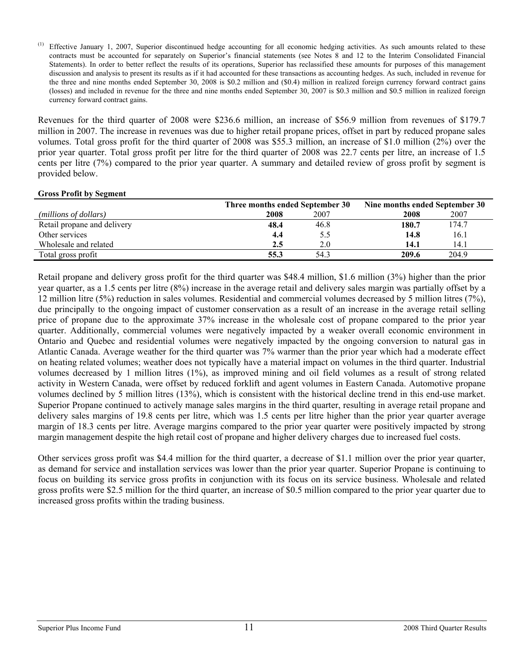$<sup>(1)</sup>$  Effective January 1, 2007, Superior discontinued hedge accounting for all economic hedging activities. As such amounts related to these</sup> contracts must be accounted for separately on Superior's financial statements (see Notes 8 and 12 to the Interim Consolidated Financial Statements). In order to better reflect the results of its operations, Superior has reclassified these amounts for purposes of this management discussion and analysis to present its results as if it had accounted for these transactions as accounting hedges. As such, included in revenue for the three and nine months ended September 30, 2008 is \$0.2 million and (\$0.4) million in realized foreign currency forward contract gains (losses) and included in revenue for the three and nine months ended September 30, 2007 is \$0.3 million and \$0.5 million in realized foreign currency forward contract gains.

Revenues for the third quarter of 2008 were \$236.6 million, an increase of \$56.9 million from revenues of \$179.7 million in 2007. The increase in revenues was due to higher retail propane prices, offset in part by reduced propane sales volumes. Total gross profit for the third quarter of 2008 was \$55.3 million, an increase of \$1.0 million (2%) over the prior year quarter. Total gross profit per litre for the third quarter of 2008 was 22.7 cents per litre, an increase of 1.5 cents per litre (7%) compared to the prior year quarter. A summary and detailed review of gross profit by segment is provided below.

### **Gross Profit by Segment**

|                             | Three months ended September 30 |      | Nine months ended September 30 |       |  |
|-----------------------------|---------------------------------|------|--------------------------------|-------|--|
| (millions of dollars)       | 2008                            | 2007 | 2008                           | 2007  |  |
| Retail propane and delivery | 48.4                            | 46.8 | 180.7                          | 174.7 |  |
| Other services              | 4.4                             | 5.5  | 14.8                           | 16.1  |  |
| Wholesale and related       | 2.5                             | 2.0  | 14.1                           | 14.1  |  |
| Total gross profit          | 55.3                            | 54.3 | 209.6                          | 204.9 |  |

Retail propane and delivery gross profit for the third quarter was \$48.4 million, \$1.6 million (3%) higher than the prior year quarter, as a 1.5 cents per litre (8%) increase in the average retail and delivery sales margin was partially offset by a 12 million litre (5%) reduction in sales volumes. Residential and commercial volumes decreased by 5 million litres (7%), due principally to the ongoing impact of customer conservation as a result of an increase in the average retail selling price of propane due to the approximate 37% increase in the wholesale cost of propane compared to the prior year quarter. Additionally, commercial volumes were negatively impacted by a weaker overall economic environment in Ontario and Quebec and residential volumes were negatively impacted by the ongoing conversion to natural gas in Atlantic Canada. Average weather for the third quarter was 7% warmer than the prior year which had a moderate effect on heating related volumes; weather does not typically have a material impact on volumes in the third quarter. Industrial volumes decreased by 1 million litres (1%), as improved mining and oil field volumes as a result of strong related activity in Western Canada, were offset by reduced forklift and agent volumes in Eastern Canada. Automotive propane volumes declined by 5 million litres (13%), which is consistent with the historical decline trend in this end-use market. Superior Propane continued to actively manage sales margins in the third quarter, resulting in average retail propane and delivery sales margins of 19.8 cents per litre, which was 1.5 cents per litre higher than the prior year quarter average margin of 18.3 cents per litre. Average margins compared to the prior year quarter were positively impacted by strong margin management despite the high retail cost of propane and higher delivery charges due to increased fuel costs.

Other services gross profit was \$4.4 million for the third quarter, a decrease of \$1.1 million over the prior year quarter, as demand for service and installation services was lower than the prior year quarter. Superior Propane is continuing to focus on building its service gross profits in conjunction with its focus on its service business. Wholesale and related gross profits were \$2.5 million for the third quarter, an increase of \$0.5 million compared to the prior year quarter due to increased gross profits within the trading business.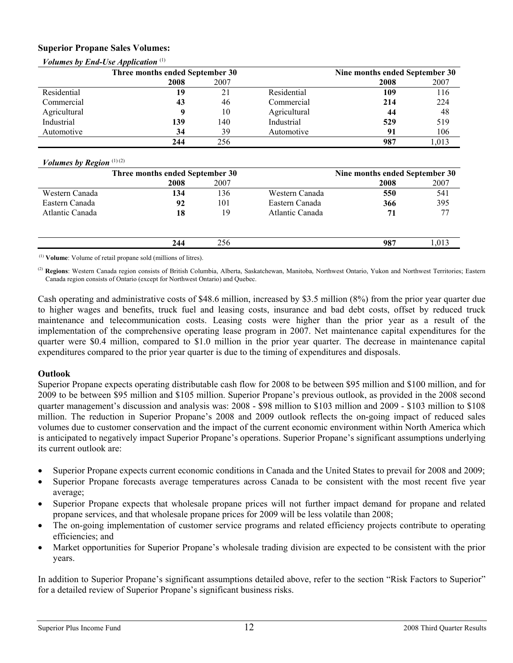### **Superior Propane Sales Volumes:**

|              | Three months ended September 30 |      | Nine months ended September 30 |      |       |
|--------------|---------------------------------|------|--------------------------------|------|-------|
|              | 2008                            | 2007 |                                | 2008 | 2007  |
| Residential  | 19                              | 21   | Residential                    | 109  | 116   |
| Commercial   | 43                              | 46   | Commercial                     | 214  | 224   |
| Agricultural |                                 | 10   | Agricultural                   | 44   | 48    |
| Industrial   | 139                             | 140  | Industrial                     | 529  | 519   |
| Automotive   | 34                              | 39   | Automotive                     | 91   | 106   |
|              | 244                             | 256  |                                | 987  | 1,013 |

# *Volumes by End-Use Application*<sup>(1)</sup>

### *Volumes by Region* (1) (2)

|                 | Three months ended September 30 |      |                 | Nine months ended September 30 |      |
|-----------------|---------------------------------|------|-----------------|--------------------------------|------|
|                 | 2008                            | 2007 |                 | 2008                           | 2007 |
| Western Canada  | 134                             | 136  | Western Canada  | 550                            | 541  |
| Eastern Canada  | 92                              | 101  | Eastern Canada  | 366                            | 395  |
| Atlantic Canada | 18                              | 19   | Atlantic Canada | 71                             | 77   |
|                 |                                 |      |                 |                                |      |
|                 | 244                             | 256  |                 | 987                            | .013 |

(1) **Volume**: Volume of retail propane sold (millions of litres).

(2) **Regions**: Western Canada region consists of British Columbia, Alberta, Saskatchewan, Manitoba, Northwest Ontario, Yukon and Northwest Territories; Eastern Canada region consists of Ontario (except for Northwest Ontario) and Quebec.

Cash operating and administrative costs of \$48.6 million, increased by \$3.5 million (8%) from the prior year quarter due to higher wages and benefits, truck fuel and leasing costs, insurance and bad debt costs, offset by reduced truck maintenance and telecommunication costs. Leasing costs were higher than the prior year as a result of the implementation of the comprehensive operating lease program in 2007. Net maintenance capital expenditures for the quarter were \$0.4 million, compared to \$1.0 million in the prior year quarter. The decrease in maintenance capital expenditures compared to the prior year quarter is due to the timing of expenditures and disposals.

## **Outlook**

Superior Propane expects operating distributable cash flow for 2008 to be between \$95 million and \$100 million, and for 2009 to be between \$95 million and \$105 million. Superior Propane's previous outlook, as provided in the 2008 second quarter management's discussion and analysis was: 2008 - \$98 million to \$103 million and 2009 - \$103 million to \$108 million. The reduction in Superior Propane's 2008 and 2009 outlook reflects the on-going impact of reduced sales volumes due to customer conservation and the impact of the current economic environment within North America which is anticipated to negatively impact Superior Propane's operations. Superior Propane's significant assumptions underlying its current outlook are:

- Superior Propane expects current economic conditions in Canada and the United States to prevail for 2008 and 2009;
- Superior Propane forecasts average temperatures across Canada to be consistent with the most recent five year average;
- Superior Propane expects that wholesale propane prices will not further impact demand for propane and related propane services, and that wholesale propane prices for 2009 will be less volatile than 2008;
- The on-going implementation of customer service programs and related efficiency projects contribute to operating efficiencies; and
- Market opportunities for Superior Propane's wholesale trading division are expected to be consistent with the prior years.

In addition to Superior Propane's significant assumptions detailed above, refer to the section "Risk Factors to Superior" for a detailed review of Superior Propane's significant business risks.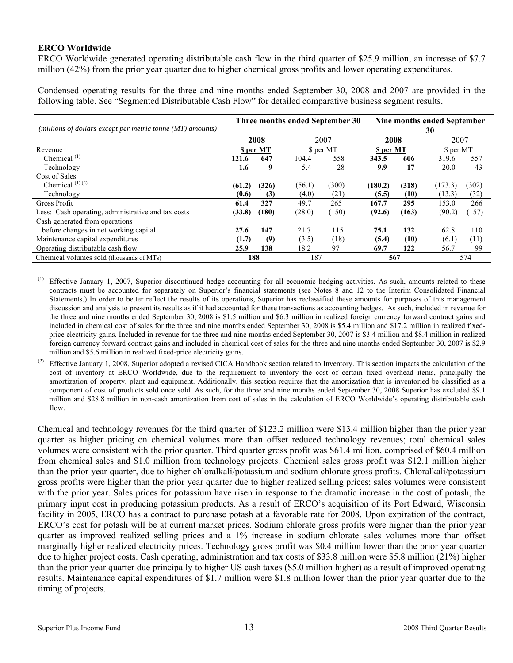## **ERCO Worldwide**

ERCO Worldwide generated operating distributable cash flow in the third quarter of \$25.9 million, an increase of \$7.7 million (42%) from the prior year quarter due to higher chemical gross profits and lower operating expenditures.

Condensed operating results for the three and nine months ended September 30, 2008 and 2007 are provided in the following table. See "Segmented Distributable Cash Flow" for detailed comparative business segment results.

|                                                              | Three months ended September 30 |           |        |           | Nine months ended September |       |           |       |
|--------------------------------------------------------------|---------------------------------|-----------|--------|-----------|-----------------------------|-------|-----------|-------|
| (millions of dollars except per metric tonne $(MT)$ amounts) |                                 |           |        |           |                             |       | 30        |       |
|                                                              |                                 | 2008      |        | 2007      | 2008                        |       | 2007      |       |
| Revenue                                                      |                                 | \$ per MT |        | \$ per MT | <b>S</b> per MT             |       | \$ per MT |       |
| Chemical <sup>(1)</sup>                                      | 121.6                           | 647       | 104.4  | 558       | 343.5                       | 606   | 319.6     | 557   |
| Technology                                                   | 1.6                             | 9         | 5.4    | 28        | 9.9                         | 17    | 20.0      | 43    |
| Cost of Sales                                                |                                 |           |        |           |                             |       |           |       |
| Chemical <sup><math>(1)(2)</math></sup>                      | (61.2)                          | (326)     | (56.1) | (300)     | (180.2)                     | (318) | (173.3)   | (302) |
| Technology                                                   | (0.6)                           | (3)       | (4.0)  | (21)      | (5.5)                       | (10)  | (13.3)    | (32)  |
| Gross Profit                                                 | 61.4                            | 327       | 49.7   | 265       | 167.7                       | 295   | 153.0     | 266   |
| Less: Cash operating, administrative and tax costs           | (33.8)                          | (180)     | (28.0) | (150)     | (92.6)                      | (163) | (90.2)    | (157) |
| Cash generated from operations                               |                                 |           |        |           |                             |       |           |       |
| before changes in net working capital                        | 27.6                            | 147       | 21.7   | 115       | 75.1                        | 132   | 62.8      | 110   |
| Maintenance capital expenditures                             | (1.7)                           | (9)       | (3.5)  | (18)      | (5.4)                       | (10)  | (6.1)     | (11)  |
| Operating distributable cash flow                            | 25.9                            | 138       | 18.2   | 97        | 69.7                        | 122   | 56.7      | 99    |
| Chemical volumes sold (thousands of MTs)                     |                                 | 188       | 187    |           | 567                         |       |           | 574   |

Effective January 1, 2007, Superior discontinued hedge accounting for all economic hedging activities. As such, amounts related to these contracts must be accounted for separately on Superior's financial statements (see Notes 8 and 12 to the Interim Consolidated Financial Statements.) In order to better reflect the results of its operations, Superior has reclassified these amounts for purposes of this management discussion and analysis to present its results as if it had accounted for these transactions as accounting hedges. As such, included in revenue for the three and nine months ended September 30, 2008 is \$1.5 million and \$6.3 million in realized foreign currency forward contract gains and included in chemical cost of sales for the three and nine months ended September 30, 2008 is \$5.4 million and \$17.2 million in realized fixedprice electricity gains. Included in revenue for the three and nine months ended September 30, 2007 is \$3.4 million and \$8.4 million in realized foreign currency forward contract gains and included in chemical cost of sales for the three and nine months ended September 30, 2007 is \$2.9 million and \$5.6 million in realized fixed-price electricity gains.

(2) Effective January 1, 2008, Superior adopted a revised CICA Handbook section related to Inventory. This section impacts the calculation of the cost of inventory at ERCO Worldwide, due to the requirement to inventory the cost of certain fixed overhead items, principally the amortization of property, plant and equipment. Additionally, this section requires that the amortization that is inventoried be classified as a component of cost of products sold once sold. As such, for the three and nine months ended September 30, 2008 Superior has excluded \$9.1 million and \$28.8 million in non-cash amortization from cost of sales in the calculation of ERCO Worldwide's operating distributable cash flow.

Chemical and technology revenues for the third quarter of \$123.2 million were \$13.4 million higher than the prior year quarter as higher pricing on chemical volumes more than offset reduced technology revenues; total chemical sales volumes were consistent with the prior quarter. Third quarter gross profit was \$61.4 million, comprised of \$60.4 million from chemical sales and \$1.0 million from technology projects. Chemical sales gross profit was \$12.1 million higher than the prior year quarter, due to higher chloralkali/potassium and sodium chlorate gross profits. Chloralkali/potassium gross profits were higher than the prior year quarter due to higher realized selling prices; sales volumes were consistent with the prior year. Sales prices for potassium have risen in response to the dramatic increase in the cost of potash, the primary input cost in producing potassium products. As a result of ERCO's acquisition of its Port Edward, Wisconsin facility in 2005, ERCO has a contract to purchase potash at a favorable rate for 2008. Upon expiration of the contract, ERCO's cost for potash will be at current market prices. Sodium chlorate gross profits were higher than the prior year quarter as improved realized selling prices and a 1% increase in sodium chlorate sales volumes more than offset marginally higher realized electricity prices. Technology gross profit was \$0.4 million lower than the prior year quarter due to higher project costs. Cash operating, administration and tax costs of \$33.8 million were \$5.8 million (21%) higher than the prior year quarter due principally to higher US cash taxes (\$5.0 million higher) as a result of improved operating results. Maintenance capital expenditures of \$1.7 million were \$1.8 million lower than the prior year quarter due to the timing of projects.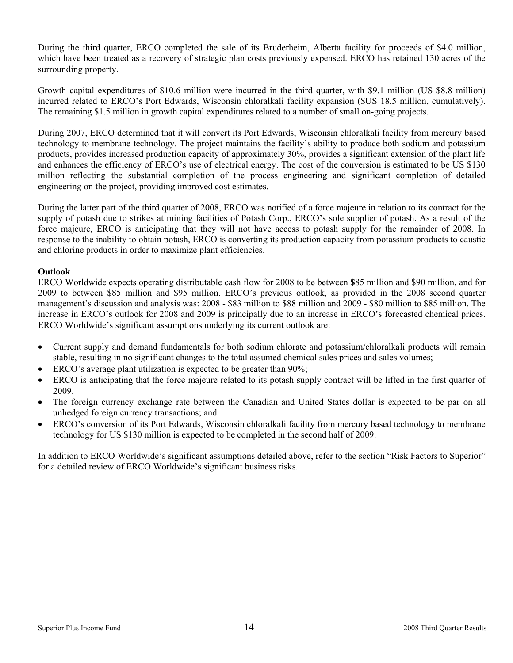During the third quarter, ERCO completed the sale of its Bruderheim, Alberta facility for proceeds of \$4.0 million, which have been treated as a recovery of strategic plan costs previously expensed. ERCO has retained 130 acres of the surrounding property.

Growth capital expenditures of \$10.6 million were incurred in the third quarter, with \$9.1 million (US \$8.8 million) incurred related to ERCO's Port Edwards, Wisconsin chloralkali facility expansion (\$US 18.5 million, cumulatively). The remaining \$1.5 million in growth capital expenditures related to a number of small on-going projects.

During 2007, ERCO determined that it will convert its Port Edwards, Wisconsin chloralkali facility from mercury based technology to membrane technology. The project maintains the facility's ability to produce both sodium and potassium products, provides increased production capacity of approximately 30%, provides a significant extension of the plant life and enhances the efficiency of ERCO's use of electrical energy. The cost of the conversion is estimated to be US \$130 million reflecting the substantial completion of the process engineering and significant completion of detailed engineering on the project, providing improved cost estimates.

During the latter part of the third quarter of 2008, ERCO was notified of a force majeure in relation to its contract for the supply of potash due to strikes at mining facilities of Potash Corp., ERCO's sole supplier of potash. As a result of the force majeure, ERCO is anticipating that they will not have access to potash supply for the remainder of 2008. In response to the inability to obtain potash, ERCO is converting its production capacity from potassium products to caustic and chlorine products in order to maximize plant efficiencies.

## **Outlook**

ERCO Worldwide expects operating distributable cash flow for 2008 to be between **\$**85 million and \$90 million, and for 2009 to between \$85 million and \$95 million. ERCO's previous outlook, as provided in the 2008 second quarter management's discussion and analysis was: 2008 - \$83 million to \$88 million and 2009 - \$80 million to \$85 million. The increase in ERCO's outlook for 2008 and 2009 is principally due to an increase in ERCO's forecasted chemical prices. ERCO Worldwide's significant assumptions underlying its current outlook are:

- Current supply and demand fundamentals for both sodium chlorate and potassium/chloralkali products will remain stable, resulting in no significant changes to the total assumed chemical sales prices and sales volumes;
- ERCO's average plant utilization is expected to be greater than 90%;
- ERCO is anticipating that the force majeure related to its potash supply contract will be lifted in the first quarter of 2009.
- The foreign currency exchange rate between the Canadian and United States dollar is expected to be par on all unhedged foreign currency transactions; and
- ERCO's conversion of its Port Edwards, Wisconsin chloralkali facility from mercury based technology to membrane technology for US \$130 million is expected to be completed in the second half of 2009.

In addition to ERCO Worldwide's significant assumptions detailed above, refer to the section "Risk Factors to Superior" for a detailed review of ERCO Worldwide's significant business risks.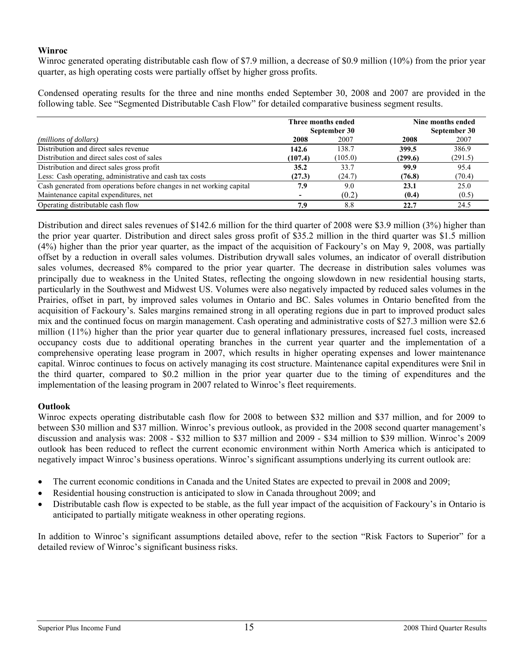## **Winroc**

Winroc generated operating distributable cash flow of \$7.9 million, a decrease of \$0.9 million (10%) from the prior year quarter, as high operating costs were partially offset by higher gross profits.

Condensed operating results for the three and nine months ended September 30, 2008 and 2007 are provided in the following table. See "Segmented Distributable Cash Flow" for detailed comparative business segment results.

|                                                                      | Three months ended |              | Nine months ended |              |
|----------------------------------------------------------------------|--------------------|--------------|-------------------|--------------|
|                                                                      |                    | September 30 |                   | September 30 |
| ( <i>millions of dollars</i> )                                       | 2008               | 2007         | 2008              | 2007         |
| Distribution and direct sales revenue                                | 142.6              | 138.7        | 399.5             | 386.9        |
| Distribution and direct sales cost of sales                          | (107.4)            | (105.0)      | (299.6)           | (291.5)      |
| Distribution and direct sales gross profit                           | 35.2               | 33.7         | 99.9              | 95.4         |
| Less: Cash operating, administrative and cash tax costs              | (27.3)             | (24.7)       | (76.8)            | (70.4)       |
| Cash generated from operations before changes in net working capital | 7.9                | 9.0          | 23.1              | 25.0         |
| Maintenance capital expenditures, net                                |                    | (0.2)        | (0.4)             | (0.5)        |
| Operating distributable cash flow                                    | 7.9                | 8.8          | 22.7              | 24.5         |

Distribution and direct sales revenues of \$142.6 million for the third quarter of 2008 were \$3.9 million (3%) higher than the prior year quarter. Distribution and direct sales gross profit of \$35.2 million in the third quarter was \$1.5 million (4%) higher than the prior year quarter, as the impact of the acquisition of Fackoury's on May 9, 2008, was partially offset by a reduction in overall sales volumes. Distribution drywall sales volumes, an indicator of overall distribution sales volumes, decreased 8% compared to the prior year quarter. The decrease in distribution sales volumes was principally due to weakness in the United States, reflecting the ongoing slowdown in new residential housing starts, particularly in the Southwest and Midwest US. Volumes were also negatively impacted by reduced sales volumes in the Prairies, offset in part, by improved sales volumes in Ontario and BC. Sales volumes in Ontario benefited from the acquisition of Fackoury's. Sales margins remained strong in all operating regions due in part to improved product sales mix and the continued focus on margin management. Cash operating and administrative costs of \$27.3 million were \$2.6 million (11%) higher than the prior year quarter due to general inflationary pressures, increased fuel costs, increased occupancy costs due to additional operating branches in the current year quarter and the implementation of a comprehensive operating lease program in 2007, which results in higher operating expenses and lower maintenance capital. Winroc continues to focus on actively managing its cost structure. Maintenance capital expenditures were \$nil in the third quarter, compared to \$0.2 million in the prior year quarter due to the timing of expenditures and the implementation of the leasing program in 2007 related to Winroc's fleet requirements.

## **Outlook**

Winroc expects operating distributable cash flow for 2008 to between \$32 million and \$37 million, and for 2009 to between \$30 million and \$37 million. Winroc's previous outlook, as provided in the 2008 second quarter management's discussion and analysis was: 2008 - \$32 million to \$37 million and 2009 - \$34 million to \$39 million. Winroc's 2009 outlook has been reduced to reflect the current economic environment within North America which is anticipated to negatively impact Winroc's business operations. Winroc's significant assumptions underlying its current outlook are:

- The current economic conditions in Canada and the United States are expected to prevail in 2008 and 2009;
- Residential housing construction is anticipated to slow in Canada throughout 2009; and
- Distributable cash flow is expected to be stable, as the full year impact of the acquisition of Fackoury's in Ontario is anticipated to partially mitigate weakness in other operating regions.

In addition to Winroc's significant assumptions detailed above, refer to the section "Risk Factors to Superior" for a detailed review of Winroc's significant business risks.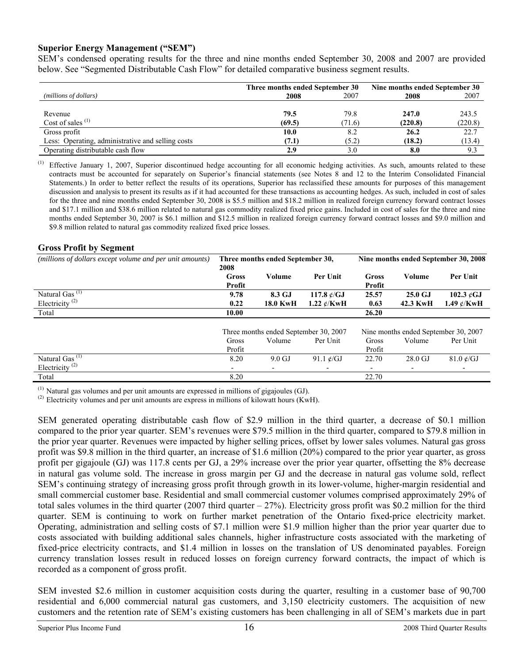### **Superior Energy Management ("SEM")**

SEM's condensed operating results for the three and nine months ended September 30, 2008 and 2007 are provided below. See "Segmented Distributable Cash Flow" for detailed comparative business segment results.

|                                                   | Three months ended September 30 | Nine months ended September 30 |         |         |
|---------------------------------------------------|---------------------------------|--------------------------------|---------|---------|
| (millions of dollars)                             | 2008                            | 2007                           | 2008    | 2007    |
|                                                   |                                 |                                |         |         |
| Revenue                                           | 79.5                            | 79.8                           | 247.0   | 243.5   |
| Cost of sales $(1)$                               | (69.5)                          | (71.6)                         | (220.8) | (220.8) |
| Gross profit                                      | 10.0                            | 8.2                            | 26.2    | 22.7    |
| Less: Operating, administrative and selling costs | (7.1)                           | (5.2)                          | (18.2)  | (13.4)  |
| Operating distributable cash flow                 | 2.9                             | 3.0                            | 8.0     | 9.3     |

(1) Effective January 1, 2007, Superior discontinued hedge accounting for all economic hedging activities. As such, amounts related to these contracts must be accounted for separately on Superior's financial statements (see Notes 8 and 12 to the Interim Consolidated Financial Statements.) In order to better reflect the results of its operations, Superior has reclassified these amounts for purposes of this management discussion and analysis to present its results as if it had accounted for these transactions as accounting hedges. As such, included in cost of sales for the three and nine months ended September 30, 2008 is \$5.5 million and \$18.2 million in realized foreign currency forward contract losses and \$17.1 million and \$38.6 million related to natural gas commodity realized fixed price gains. Included in cost of sales for the three and nine months ended September 30, 2007 is \$6.1 million and \$12.5 million in realized foreign currency forward contract losses and \$9.0 million and \$9.8 million related to natural gas commodity realized fixed price losses.

### **Gross Profit by Segment**

| (millions of dollars except volume and per unit amounts)              | Three months ended September 30,<br>2008 |                                       |                                | Nine months ended September 30, 2008 |                                      |                                            |  |
|-----------------------------------------------------------------------|------------------------------------------|---------------------------------------|--------------------------------|--------------------------------------|--------------------------------------|--------------------------------------------|--|
|                                                                       | <b>Gross</b><br>Profit                   | Volume                                | Per Unit                       | Gross<br>Profit                      | Volume                               | Per Unit                                   |  |
| Natural Gas <sup>(1)</sup><br>Electricity <sup><math>(2)</math></sup> | 9.78<br>0.22                             | 8.3 GJ<br><b>18.0 KwH</b>             | 117.8 ¢/GJ<br>1.22 $\ell$ /KwH | 25.57<br>0.63                        | 25.0 GJ<br>42.3 KwH                  | 102.3 $\mathcal{C}$ GJ<br>1.49 $\ell$ /KwH |  |
| Total                                                                 | 10.00                                    |                                       |                                | 26.20                                |                                      |                                            |  |
|                                                                       |                                          | Three months ended September 30, 2007 |                                |                                      | Nine months ended September 30, 2007 |                                            |  |
|                                                                       | Gross<br>Profit                          | Volume                                | Per Unit                       | Gross<br>Profit                      | Volume                               | Per Unit                                   |  |
| Natural $\overline{Gas^{(1)}}$<br>Electricity <sup>(2)</sup>          | 8.20<br>$\overline{\phantom{a}}$         | $9.0 \text{ GJ}$                      | 91.1 $\epsilon$ /GJ            | 22.70<br>$\overline{\phantom{a}}$    | $28.0 \text{ GJ}$                    | $81.0 \text{ }\mathcal{C}/\text{GJ}$       |  |
| Total                                                                 | 8.20                                     |                                       |                                | 22.70                                |                                      |                                            |  |

 $<sup>(1)</sup>$  Natural gas volumes and per unit amounts are expressed in millions of gigajoules (GJ).</sup>

 $^{(2)}$  Electricity volumes and per unit amounts are express in millions of kilowatt hours (KwH).

SEM generated operating distributable cash flow of \$2.9 million in the third quarter, a decrease of \$0.1 million compared to the prior year quarter. SEM's revenues were \$79.5 million in the third quarter, compared to \$79.8 million in the prior year quarter. Revenues were impacted by higher selling prices, offset by lower sales volumes. Natural gas gross profit was \$9.8 million in the third quarter, an increase of \$1.6 million (20%) compared to the prior year quarter, as gross profit per gigajoule (GJ) was 117.8 cents per GJ, a 29% increase over the prior year quarter, offsetting the 8% decrease in natural gas volume sold. The increase in gross margin per GJ and the decrease in natural gas volume sold, reflect SEM's continuing strategy of increasing gross profit through growth in its lower-volume, higher-margin residential and small commercial customer base. Residential and small commercial customer volumes comprised approximately 29% of total sales volumes in the third quarter  $(2007 \text{ third quarter} - 27%)$ . Electricity gross profit was \$0.2 million for the third quarter. SEM is continuing to work on further market penetration of the Ontario fixed-price electricity market. Operating, administration and selling costs of \$7.1 million were \$1.9 million higher than the prior year quarter due to costs associated with building additional sales channels, higher infrastructure costs associated with the marketing of fixed-price electricity contracts, and \$1.4 million in losses on the translation of US denominated payables. Foreign currency translation losses result in reduced losses on foreign currency forward contracts, the impact of which is recorded as a component of gross profit.

SEM invested \$2.6 million in customer acquisition costs during the quarter, resulting in a customer base of 90,700 residential and 6,000 commercial natural gas customers, and 3,150 electricity customers. The acquisition of new customers and the retention rate of SEM's existing customers has been challenging in all of SEM's markets due in part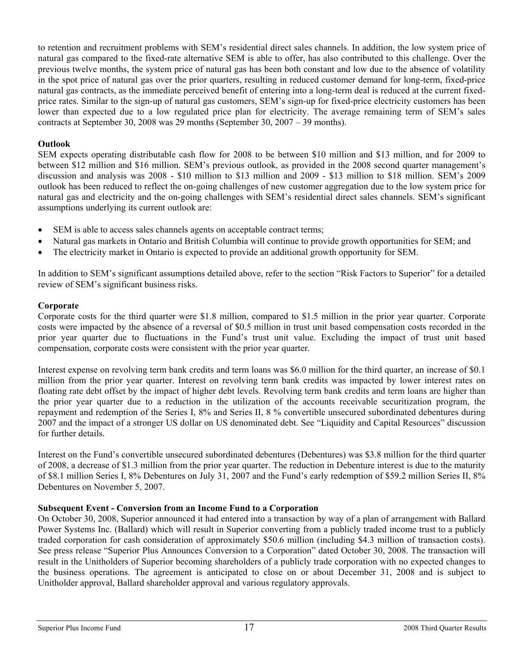to retention and recruitment problems with SEM's residential direct sales channels. In addition, the low system price of natural gas compared to the fixed-rate alternative SEM is able to offer, has also contributed to this challenge. Over the previous twelve months, the system price of natural gas has been both constant and low due to the absence of volatility in the spot price of natural gas over the prior quarters, resulting in reduced customer demand for long-term, fixed-price natural gas contracts, as the immediate perceived benefit of entering into a long-term deal is reduced at the current fixedprice rates. Similar to the sign-up of natural gas customers, SEM's sign-up for fixed-price electricity customers has been lower than expected due to a low regulated price plan for electricity. The average remaining term of SEM's sales contracts at September 30, 2008 was 29 months (September 30, 2007 – 39 months).

# **Outlook**

SEM expects operating distributable cash flow for 2008 to be between \$10 million and \$13 million, and for 2009 to between \$12 million and \$16 million. SEM's previous outlook, as provided in the 2008 second quarter management's discussion and analysis was 2008 - \$10 million to \$13 million and 2009 - \$13 million to \$18 million. SEM's 2009 outlook has been reduced to reflect the on-going challenges of new customer aggregation due to the low system price for natural gas and electricity and the on-going challenges with SEM's residential direct sales channels. SEM's significant assumptions underlying its current outlook are:

- SEM is able to access sales channels agents on acceptable contract terms;
- Natural gas markets in Ontario and British Columbia will continue to provide growth opportunities for SEM; and
- The electricity market in Ontario is expected to provide an additional growth opportunity for SEM.

In addition to SEM's significant assumptions detailed above, refer to the section "Risk Factors to Superior" for a detailed review of SEM's significant business risks.

## **Corporate**

Corporate costs for the third quarter were \$1.8 million, compared to \$1.5 million in the prior year quarter. Corporate costs were impacted by the absence of a reversal of \$0.5 million in trust unit based compensation costs recorded in the prior year quarter due to fluctuations in the Fund's trust unit value. Excluding the impact of trust unit based compensation, corporate costs were consistent with the prior year quarter.

Interest expense on revolving term bank credits and term loans was \$6.0 million for the third quarter, an increase of \$0.1 million from the prior year quarter. Interest on revolving term bank credits was impacted by lower interest rates on floating rate debt offset by the impact of higher debt levels. Revolving term bank credits and term loans are higher than the prior year quarter due to a reduction in the utilization of the accounts receivable securitization program, the repayment and redemption of the Series I, 8% and Series II, 8 % convertible unsecured subordinated debentures during 2007 and the impact of a stronger US dollar on US denominated debt. See "Liquidity and Capital Resources" discussion for further details.

Interest on the Fund's convertible unsecured subordinated debentures (Debentures) was \$3.8 million for the third quarter of 2008, a decrease of \$1.3 million from the prior year quarter. The reduction in Debenture interest is due to the maturity of \$8.1 million Series I, 8% Debentures on July 31, 2007 and the Fund's early redemption of \$59.2 million Series II, 8% Debentures on November 5, 2007.

## **Subsequent Event - Conversion from an Income Fund to a Corporation**

On October 30, 2008, Superior announced it had entered into a transaction by way of a plan of arrangement with Ballard Power Systems Inc. (Ballard) which will result in Superior converting from a publicly traded income trust to a publicly traded corporation for cash consideration of approximately \$50.6 million (including \$4.3 million of transaction costs). See press release "Superior Plus Announces Conversion to a Corporation" dated October 30, 2008. The transaction will result in the Unitholders of Superior becoming shareholders of a publicly trade corporation with no expected changes to the business operations. The agreement is anticipated to close on or about December 31, 2008 and is subject to Unitholder approval, Ballard shareholder approval and various regulatory approvals.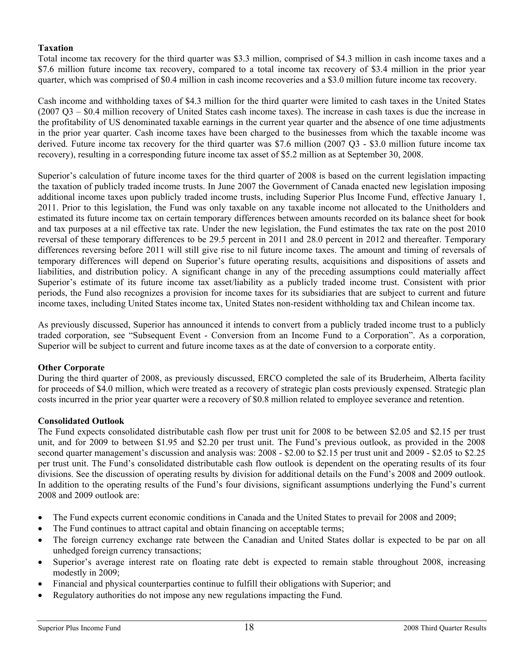## **Taxation**

Total income tax recovery for the third quarter was \$3.3 million, comprised of \$4.3 million in cash income taxes and a \$7.6 million future income tax recovery, compared to a total income tax recovery of \$3.4 million in the prior year quarter, which was comprised of \$0.4 million in cash income recoveries and a \$3.0 million future income tax recovery.

Cash income and withholding taxes of \$4.3 million for the third quarter were limited to cash taxes in the United States (2007 Q3 – \$0.4 million recovery of United States cash income taxes). The increase in cash taxes is due the increase in the profitability of US denominated taxable earnings in the current year quarter and the absence of one time adjustments in the prior year quarter. Cash income taxes have been charged to the businesses from which the taxable income was derived. Future income tax recovery for the third quarter was \$7.6 million (2007 Q3 - \$3.0 million future income tax recovery), resulting in a corresponding future income tax asset of \$5.2 million as at September 30, 2008.

Superior's calculation of future income taxes for the third quarter of 2008 is based on the current legislation impacting the taxation of publicly traded income trusts. In June 2007 the Government of Canada enacted new legislation imposing additional income taxes upon publicly traded income trusts, including Superior Plus Income Fund, effective January 1, 2011. Prior to this legislation, the Fund was only taxable on any taxable income not allocated to the Unitholders and estimated its future income tax on certain temporary differences between amounts recorded on its balance sheet for book and tax purposes at a nil effective tax rate. Under the new legislation, the Fund estimates the tax rate on the post 2010 reversal of these temporary differences to be 29.5 percent in 2011 and 28.0 percent in 2012 and thereafter. Temporary differences reversing before 2011 will still give rise to nil future income taxes. The amount and timing of reversals of temporary differences will depend on Superior's future operating results, acquisitions and dispositions of assets and liabilities, and distribution policy. A significant change in any of the preceding assumptions could materially affect Superior's estimate of its future income tax asset/liability as a publicly traded income trust. Consistent with prior periods, the Fund also recognizes a provision for income taxes for its subsidiaries that are subject to current and future income taxes, including United States income tax, United States non-resident withholding tax and Chilean income tax.

As previously discussed, Superior has announced it intends to convert from a publicly traded income trust to a publicly traded corporation, see "Subsequent Event - Conversion from an Income Fund to a Corporation". As a corporation, Superior will be subject to current and future income taxes as at the date of conversion to a corporate entity.

### **Other Corporate**

During the third quarter of 2008, as previously discussed, ERCO completed the sale of its Bruderheim, Alberta facility for proceeds of \$4.0 million, which were treated as a recovery of strategic plan costs previously expensed. Strategic plan costs incurred in the prior year quarter were a recovery of \$0.8 million related to employee severance and retention.

### **Consolidated Outlook**

The Fund expects consolidated distributable cash flow per trust unit for 2008 to be between \$2.05 and \$2.15 per trust unit, and for 2009 to between \$1.95 and \$2.20 per trust unit. The Fund's previous outlook, as provided in the 2008 second quarter management's discussion and analysis was: 2008 - \$2.00 to \$2.15 per trust unit and 2009 - \$2.05 to \$2.25 per trust unit. The Fund's consolidated distributable cash flow outlook is dependent on the operating results of its four divisions. See the discussion of operating results by division for additional details on the Fund's 2008 and 2009 outlook. In addition to the operating results of the Fund's four divisions, significant assumptions underlying the Fund's current 2008 and 2009 outlook are:

- The Fund expects current economic conditions in Canada and the United States to prevail for 2008 and 2009;
- The Fund continues to attract capital and obtain financing on acceptable terms;
- The foreign currency exchange rate between the Canadian and United States dollar is expected to be par on all unhedged foreign currency transactions;
- Superior's average interest rate on floating rate debt is expected to remain stable throughout 2008, increasing modestly in 2009;
- Financial and physical counterparties continue to fulfill their obligations with Superior; and
- Regulatory authorities do not impose any new regulations impacting the Fund.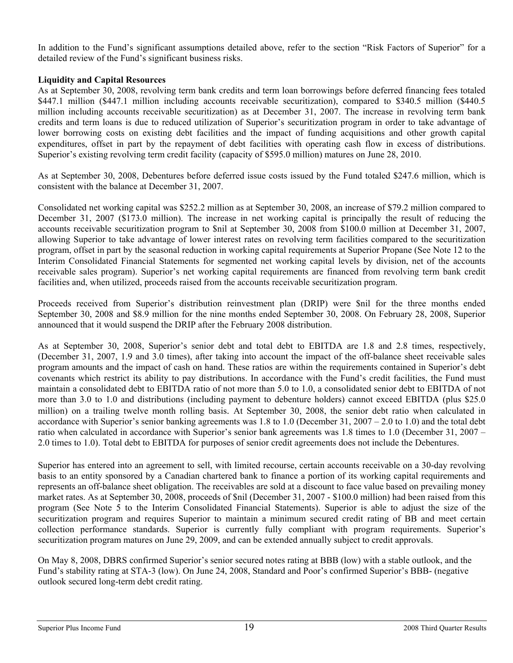In addition to the Fund's significant assumptions detailed above, refer to the section "Risk Factors of Superior" for a detailed review of the Fund's significant business risks.

## **Liquidity and Capital Resources**

As at September 30, 2008, revolving term bank credits and term loan borrowings before deferred financing fees totaled \$447.1 million (\$447.1 million including accounts receivable securitization), compared to \$340.5 million (\$440.5 million including accounts receivable securitization) as at December 31, 2007. The increase in revolving term bank credits and term loans is due to reduced utilization of Superior's securitization program in order to take advantage of lower borrowing costs on existing debt facilities and the impact of funding acquisitions and other growth capital expenditures, offset in part by the repayment of debt facilities with operating cash flow in excess of distributions. Superior's existing revolving term credit facility (capacity of \$595.0 million) matures on June 28, 2010.

As at September 30, 2008, Debentures before deferred issue costs issued by the Fund totaled \$247.6 million, which is consistent with the balance at December 31, 2007.

Consolidated net working capital was \$252.2 million as at September 30, 2008, an increase of \$79.2 million compared to December 31, 2007 (\$173.0 million). The increase in net working capital is principally the result of reducing the accounts receivable securitization program to \$nil at September 30, 2008 from \$100.0 million at December 31, 2007, allowing Superior to take advantage of lower interest rates on revolving term facilities compared to the securitization program, offset in part by the seasonal reduction in working capital requirements at Superior Propane (See Note 12 to the Interim Consolidated Financial Statements for segmented net working capital levels by division, net of the accounts receivable sales program). Superior's net working capital requirements are financed from revolving term bank credit facilities and, when utilized, proceeds raised from the accounts receivable securitization program.

Proceeds received from Superior's distribution reinvestment plan (DRIP) were \$nil for the three months ended September 30, 2008 and \$8.9 million for the nine months ended September 30, 2008. On February 28, 2008, Superior announced that it would suspend the DRIP after the February 2008 distribution.

As at September 30, 2008, Superior's senior debt and total debt to EBITDA are 1.8 and 2.8 times, respectively, (December 31, 2007, 1.9 and 3.0 times), after taking into account the impact of the off-balance sheet receivable sales program amounts and the impact of cash on hand. These ratios are within the requirements contained in Superior's debt covenants which restrict its ability to pay distributions. In accordance with the Fund's credit facilities, the Fund must maintain a consolidated debt to EBITDA ratio of not more than 5.0 to 1.0, a consolidated senior debt to EBITDA of not more than 3.0 to 1.0 and distributions (including payment to debenture holders) cannot exceed EBITDA (plus \$25.0 million) on a trailing twelve month rolling basis. At September 30, 2008, the senior debt ratio when calculated in accordance with Superior's senior banking agreements was  $1.8$  to  $1.0$  (December 31, 2007 – 2.0 to 1.0) and the total debt ratio when calculated in accordance with Superior's senior bank agreements was 1.8 times to 1.0 (December 31, 2007 – 2.0 times to 1.0). Total debt to EBITDA for purposes of senior credit agreements does not include the Debentures.

Superior has entered into an agreement to sell, with limited recourse, certain accounts receivable on a 30-day revolving basis to an entity sponsored by a Canadian chartered bank to finance a portion of its working capital requirements and represents an off-balance sheet obligation. The receivables are sold at a discount to face value based on prevailing money market rates. As at September 30, 2008, proceeds of \$nil (December 31, 2007 - \$100.0 million) had been raised from this program (See Note 5 to the Interim Consolidated Financial Statements). Superior is able to adjust the size of the securitization program and requires Superior to maintain a minimum secured credit rating of BB and meet certain collection performance standards. Superior is currently fully compliant with program requirements. Superior's securitization program matures on June 29, 2009, and can be extended annually subject to credit approvals.

On May 8, 2008, DBRS confirmed Superior's senior secured notes rating at BBB (low) with a stable outlook, and the Fund's stability rating at STA-3 (low). On June 24, 2008, Standard and Poor's confirmed Superior's BBB- (negative outlook secured long-term debt credit rating.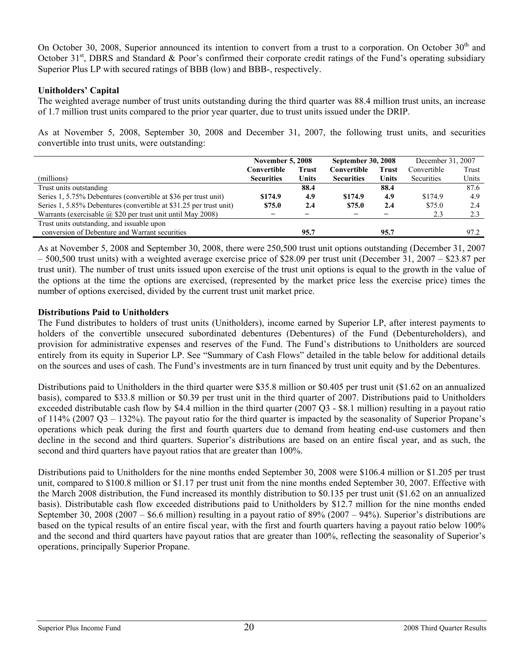On October 30, 2008, Superior announced its intention to convert from a trust to a corporation. On October 30<sup>th</sup> and October 31<sup>st</sup>, DBRS and Standard & Poor's confirmed their corporate credit ratings of the Fund's operating subsidiary Superior Plus LP with secured ratings of BBB (low) and BBB-, respectively.

## **Unitholders' Capital**

The weighted average number of trust units outstanding during the third quarter was 88.4 million trust units, an increase of 1.7 million trust units compared to the prior year quarter, due to trust units issued under the DRIP.

As at November 5, 2008, September 30, 2008 and December 31, 2007, the following trust units, and securities convertible into trust units, were outstanding:

|                                                                    | <b>November 5, 2008</b>     |       | <b>September 30, 2008</b> |              | December 31, 2007 |       |
|--------------------------------------------------------------------|-----------------------------|-------|---------------------------|--------------|-------------------|-------|
|                                                                    | Convertible<br><b>Trust</b> |       | Convertible               | <b>Trust</b> | Convertible       | Trust |
| (millions)                                                         | <b>Securities</b>           | Units | <b>Securities</b>         | Units        | <b>Securities</b> | Units |
| Trust units outstanding                                            |                             | 88.4  |                           | 88.4         |                   | 87.6  |
| Series 1, 5.75% Debentures (convertible at \$36 per trust unit)    | \$174.9                     | 4.9   | \$174.9                   | 4.9          | \$174.9           | 4.9   |
| Series 1, 5.85% Debentures (convertible at \$31.25 per trust unit) | \$75.0                      | 2.4   | \$75.0                    | 2.4          | \$75.0            | 2.4   |
| Warrants (exercisable $\omega$ \$20 per trust unit until May 2008) |                             |       |                           |              | 2.3               | 2.3   |
| Trust units outstanding, and issuable upon                         |                             |       |                           |              |                   |       |
| conversion of Debenture and Warrant securities                     |                             | 95.7  |                           | 95.7         |                   | 97.2  |

As at November 5, 2008 and September 30, 2008, there were 250,500 trust unit options outstanding (December 31, 2007  $-500,500$  trust units) with a weighted average exercise price of \$28.09 per trust unit (December 31, 2007 – \$23.87 per trust unit). The number of trust units issued upon exercise of the trust unit options is equal to the growth in the value of the options at the time the options are exercised, (represented by the market price less the exercise price) times the number of options exercised, divided by the current trust unit market price.

## **Distributions Paid to Unitholders**

The Fund distributes to holders of trust units (Unitholders), income earned by Superior LP, after interest payments to holders of the convertible unsecured subordinated debentures (Debentures) of the Fund (Debentureholders), and provision for administrative expenses and reserves of the Fund. The Fund's distributions to Unitholders are sourced entirely from its equity in Superior LP. See "Summary of Cash Flows" detailed in the table below for additional details on the sources and uses of cash. The Fund's investments are in turn financed by trust unit equity and by the Debentures.

Distributions paid to Unitholders in the third quarter were \$35.8 million or \$0.405 per trust unit (\$1.62 on an annualized basis), compared to \$33.8 million or \$0.39 per trust unit in the third quarter of 2007. Distributions paid to Unitholders exceeded distributable cash flow by \$4.4 million in the third quarter (2007 Q3 - \$8.1 million) resulting in a payout ratio of 114% (2007 Q3 – 132%). The payout ratio for the third quarter is impacted by the seasonality of Superior Propane's operations which peak during the first and fourth quarters due to demand from heating end-use customers and then decline in the second and third quarters. Superior's distributions are based on an entire fiscal year, and as such, the second and third quarters have payout ratios that are greater than 100%.

Distributions paid to Unitholders for the nine months ended September 30, 2008 were \$106.4 million or \$1.205 per trust unit, compared to \$100.8 million or \$1.17 per trust unit from the nine months ended September 30, 2007. Effective with the March 2008 distribution, the Fund increased its monthly distribution to \$0.135 per trust unit (\$1.62 on an annualized basis). Distributable cash flow exceeded distributions paid to Unitholders by \$12.7 million for the nine months ended September 30, 2008 (2007 – \$6.6 million) resulting in a payout ratio of 89% (2007 – 94%). Superior's distributions are based on the typical results of an entire fiscal year, with the first and fourth quarters having a payout ratio below 100% and the second and third quarters have payout ratios that are greater than 100%, reflecting the seasonality of Superior's operations, principally Superior Propane.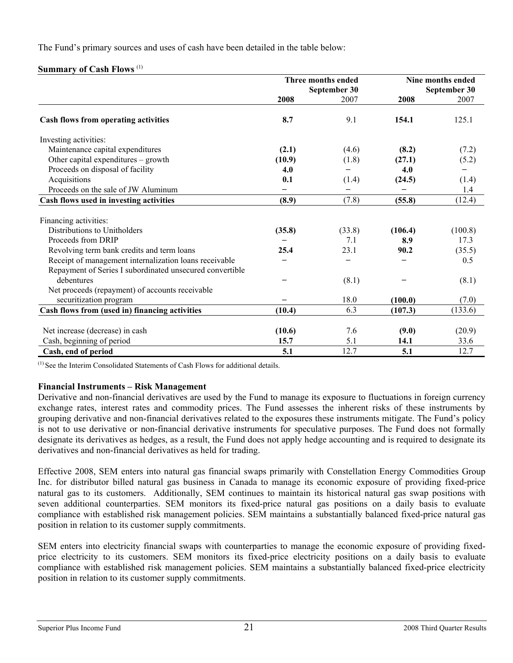The Fund's primary sources and uses of cash have been detailed in the table below:

## **Summary of Cash Flows** (1)

|                                                          |        | Three months ended | Nine months ended |              |
|----------------------------------------------------------|--------|--------------------|-------------------|--------------|
|                                                          |        | September 30       |                   | September 30 |
|                                                          | 2008   | 2007               | 2008              | 2007         |
| Cash flows from operating activities                     | 8.7    | 9.1                | 154.1             | 125.1        |
| Investing activities:                                    |        |                    |                   |              |
| Maintenance capital expenditures                         | (2.1)  | (4.6)              | (8.2)             | (7.2)        |
| Other capital expenditures – growth                      | (10.9) | (1.8)              | (27.1)            | (5.2)        |
| Proceeds on disposal of facility                         | 4.0    |                    | 4.0               |              |
| Acquisitions                                             | 0.1    | (1.4)              | (24.5)            | (1.4)        |
| Proceeds on the sale of JW Aluminum                      |        |                    |                   | 1.4          |
| Cash flows used in investing activities                  | (8.9)  | (7.8)              | (55.8)            | (12.4)       |
| Financing activities:                                    |        |                    |                   |              |
| Distributions to Unitholders                             | (35.8) | (33.8)             | (106.4)           | (100.8)      |
| Proceeds from DRIP                                       |        | 7.1                | 8.9               | 17.3         |
| Revolving term bank credits and term loans               | 25.4   | 23.1               | 90.2              | (35.5)       |
| Receipt of management internalization loans receivable   |        |                    |                   | 0.5          |
| Repayment of Series I subordinated unsecured convertible |        |                    |                   |              |
| debentures                                               |        | (8.1)              |                   | (8.1)        |
| Net proceeds (repayment) of accounts receivable          |        |                    |                   |              |
| securitization program                                   |        | 18.0               | (100.0)           | (7.0)        |
| Cash flows from (used in) financing activities           | (10.4) | 6.3                | (107.3)           | (133.6)      |
|                                                          |        |                    |                   |              |
| Net increase (decrease) in cash                          | (10.6) | 7.6                | (9.0)             | (20.9)       |
| Cash, beginning of period                                | 15.7   | 5.1                | 14.1              | 33.6         |
| Cash, end of period                                      | 5.1    | 12.7               | 5.1               | 12.7         |

 $<sup>(1)</sup>$  See the Interim Consolidated Statements of Cash Flows for additional details.</sup>

## **Financial Instruments – Risk Management**

Derivative and non-financial derivatives are used by the Fund to manage its exposure to fluctuations in foreign currency exchange rates, interest rates and commodity prices. The Fund assesses the inherent risks of these instruments by grouping derivative and non-financial derivatives related to the exposures these instruments mitigate. The Fund's policy is not to use derivative or non-financial derivative instruments for speculative purposes. The Fund does not formally designate its derivatives as hedges, as a result, the Fund does not apply hedge accounting and is required to designate its derivatives and non-financial derivatives as held for trading.

Effective 2008, SEM enters into natural gas financial swaps primarily with Constellation Energy Commodities Group Inc. for distributor billed natural gas business in Canada to manage its economic exposure of providing fixed-price natural gas to its customers. Additionally, SEM continues to maintain its historical natural gas swap positions with seven additional counterparties. SEM monitors its fixed-price natural gas positions on a daily basis to evaluate compliance with established risk management policies. SEM maintains a substantially balanced fixed-price natural gas position in relation to its customer supply commitments.

SEM enters into electricity financial swaps with counterparties to manage the economic exposure of providing fixedprice electricity to its customers. SEM monitors its fixed-price electricity positions on a daily basis to evaluate compliance with established risk management policies. SEM maintains a substantially balanced fixed-price electricity position in relation to its customer supply commitments.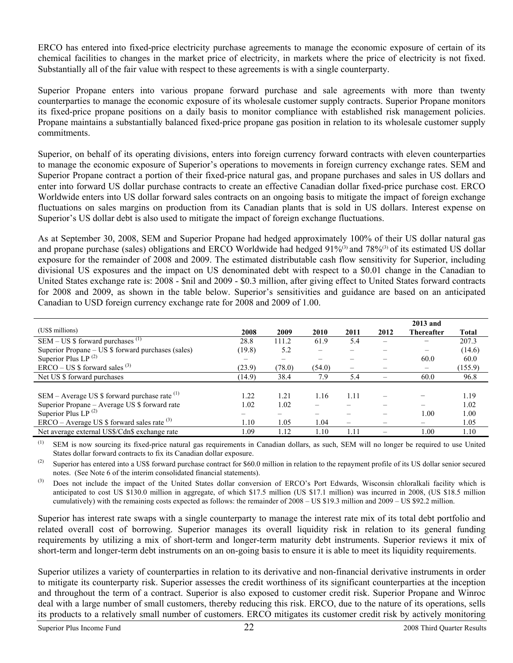ERCO has entered into fixed-price electricity purchase agreements to manage the economic exposure of certain of its chemical facilities to changes in the market price of electricity, in markets where the price of electricity is not fixed. Substantially all of the fair value with respect to these agreements is with a single counterparty.

Superior Propane enters into various propane forward purchase and sale agreements with more than twenty counterparties to manage the economic exposure of its wholesale customer supply contracts. Superior Propane monitors its fixed-price propane positions on a daily basis to monitor compliance with established risk management policies. Propane maintains a substantially balanced fixed-price propane gas position in relation to its wholesale customer supply commitments.

Superior, on behalf of its operating divisions, enters into foreign currency forward contracts with eleven counterparties to manage the economic exposure of Superior's operations to movements in foreign currency exchange rates. SEM and Superior Propane contract a portion of their fixed-price natural gas, and propane purchases and sales in US dollars and enter into forward US dollar purchase contracts to create an effective Canadian dollar fixed-price purchase cost. ERCO Worldwide enters into US dollar forward sales contracts on an ongoing basis to mitigate the impact of foreign exchange fluctuations on sales margins on production from its Canadian plants that is sold in US dollars. Interest expense on Superior's US dollar debt is also used to mitigate the impact of foreign exchange fluctuations.

As at September 30, 2008, SEM and Superior Propane had hedged approximately 100% of their US dollar natural gas and propane purchase (sales) obligations and ERCO Worldwide had hedged 91%<sup>(3)</sup> and 78%<sup>(3)</sup> of its estimated US dollar exposure for the remainder of 2008 and 2009. The estimated distributable cash flow sensitivity for Superior, including divisional US exposures and the impact on US denominated debt with respect to a \$0.01 change in the Canadian to United States exchange rate is: 2008 - \$nil and 2009 - \$0.3 million, after giving effect to United States forward contracts for 2008 and 2009, as shown in the table below. Superior's sensitivities and guidance are based on an anticipated Canadian to USD foreign currency exchange rate for 2008 and 2009 of 1.00.

|                                                    |                          |                          |                          |      |      | 2013 and                 |              |
|----------------------------------------------------|--------------------------|--------------------------|--------------------------|------|------|--------------------------|--------------|
| (US\$ millions)                                    | 2008                     | 2009                     | 2010                     | 2011 | 2012 | Thereafter               | <b>Total</b> |
| SEM – US $$$ forward purchases <sup>(1)</sup>      | 28.8                     | 111.2                    | 61.9                     | 5.4  |      |                          | 207.3        |
| Superior Propane – US \$ forward purchases (sales) | (19.8)                   | 5.2                      | $\overline{\phantom{0}}$ |      |      |                          | (14.6)       |
| Superior Plus LP <sup>(2)</sup>                    | $\overline{\phantom{0}}$ | $\overline{\phantom{0}}$ |                          |      | —    | 60.0                     | 60.0         |
| $ERCO - US$ \$ forward sales $^{(3)}$              | (23.9)                   | (78.0)                   | (54.0)                   | —    |      | $\overline{\phantom{m}}$ | (155.9)      |
| Net US \$ forward purchases                        | (14.9)                   | 38.4                     | 7.9                      | 5.4  |      | 60.0                     | 96.8         |
|                                                    |                          |                          |                          |      |      |                          |              |
| SEM – Average US $\$$ forward purchase rate $(1)$  | 1.22                     | 1.21                     | 1.16                     | 1.11 |      |                          | 1.19         |
| Superior Propane - Average US \$ forward rate      | 1.02                     | 1.02                     |                          |      |      |                          | 1.02         |
| Superior Plus LP $^{(2)}$                          |                          |                          |                          |      |      | 1.00                     | 1.00         |
| $ERCO - Average US $$ forward sales rate $^{(3)}$  | 1.10                     | 1.05                     | 1.04                     | —    | -    |                          | 1.05         |
| Net average external US\$/Cdn\$ exchange rate      | 1.09                     | 1.12                     | 1.10                     | 1.11 | —    | 1.00                     | 1.10         |

(1) SEM is now sourcing its fixed-price natural gas requirements in Canadian dollars, as such, SEM will no longer be required to use United States dollar forward contracts to fix its Canadian dollar exposure.

(2) Superior has entered into a US\$ forward purchase contract for \$60.0 million in relation to the repayment profile of its US dollar senior secured notes. (See Note 6 of the interim consolidated financial statements).

<sup>(3)</sup> Does not include the impact of the United States dollar conversion of ERCO's Port Edwards, Wisconsin chloralkali facility which is anticipated to cost US \$130.0 million in aggregate, of which \$17.5 million (US \$17.1 million) was incurred in 2008, (US \$18.5 million cumulatively) with the remaining costs expected as follows: the remainder of 2008 – US \$19.3 million and 2009 – US \$92.2 million.

Superior has interest rate swaps with a single counterparty to manage the interest rate mix of its total debt portfolio and related overall cost of borrowing. Superior manages its overall liquidity risk in relation to its general funding requirements by utilizing a mix of short-term and longer-term maturity debt instruments. Superior reviews it mix of short-term and longer-term debt instruments on an on-going basis to ensure it is able to meet its liquidity requirements.

Superior utilizes a variety of counterparties in relation to its derivative and non-financial derivative instruments in order to mitigate its counterparty risk. Superior assesses the credit worthiness of its significant counterparties at the inception and throughout the term of a contract. Superior is also exposed to customer credit risk. Superior Propane and Winroc deal with a large number of small customers, thereby reducing this risk. ERCO, due to the nature of its operations, sells its products to a relatively small number of customers. ERCO mitigates its customer credit risk by actively monitoring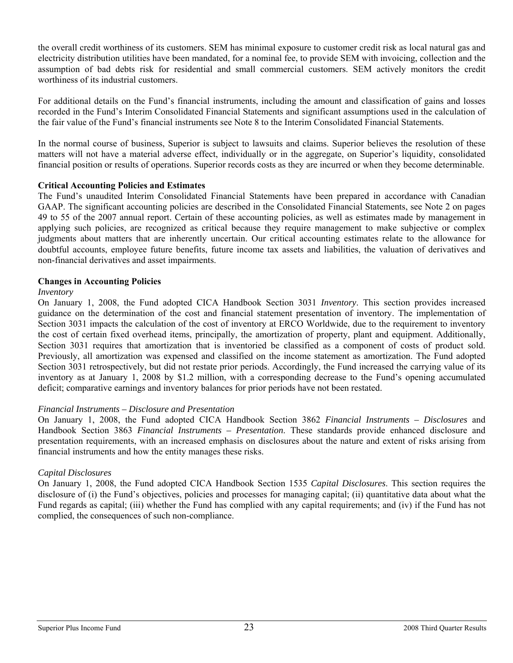the overall credit worthiness of its customers. SEM has minimal exposure to customer credit risk as local natural gas and electricity distribution utilities have been mandated, for a nominal fee, to provide SEM with invoicing, collection and the assumption of bad debts risk for residential and small commercial customers. SEM actively monitors the credit worthiness of its industrial customers.

For additional details on the Fund's financial instruments, including the amount and classification of gains and losses recorded in the Fund's Interim Consolidated Financial Statements and significant assumptions used in the calculation of the fair value of the Fund's financial instruments see Note 8 to the Interim Consolidated Financial Statements.

In the normal course of business, Superior is subject to lawsuits and claims. Superior believes the resolution of these matters will not have a material adverse effect, individually or in the aggregate, on Superior's liquidity, consolidated financial position or results of operations. Superior records costs as they are incurred or when they become determinable.

### **Critical Accounting Policies and Estimates**

The Fund's unaudited Interim Consolidated Financial Statements have been prepared in accordance with Canadian GAAP. The significant accounting policies are described in the Consolidated Financial Statements, see Note 2 on pages 49 to 55 of the 2007 annual report. Certain of these accounting policies, as well as estimates made by management in applying such policies, are recognized as critical because they require management to make subjective or complex judgments about matters that are inherently uncertain. Our critical accounting estimates relate to the allowance for doubtful accounts, employee future benefits, future income tax assets and liabilities, the valuation of derivatives and non-financial derivatives and asset impairments.

### **Changes in Accounting Policies**

### *Inventory*

On January 1, 2008, the Fund adopted CICA Handbook Section 3031 *Inventory*. This section provides increased guidance on the determination of the cost and financial statement presentation of inventory. The implementation of Section 3031 impacts the calculation of the cost of inventory at ERCO Worldwide, due to the requirement to inventory the cost of certain fixed overhead items, principally, the amortization of property, plant and equipment. Additionally, Section 3031 requires that amortization that is inventoried be classified as a component of costs of product sold. Previously, all amortization was expensed and classified on the income statement as amortization. The Fund adopted Section 3031 retrospectively, but did not restate prior periods. Accordingly, the Fund increased the carrying value of its inventory as at January 1, 2008 by \$1.2 million, with a corresponding decrease to the Fund's opening accumulated deficit; comparative earnings and inventory balances for prior periods have not been restated.

## *Financial Instruments – Disclosure and Presentation*

On January 1, 2008, the Fund adopted CICA Handbook Section 3862 *Financial Instruments – Disclosures* and Handbook Section 3863 *Financial Instruments – Presentation*. These standards provide enhanced disclosure and presentation requirements, with an increased emphasis on disclosures about the nature and extent of risks arising from financial instruments and how the entity manages these risks.

### *Capital Disclosures*

On January 1, 2008, the Fund adopted CICA Handbook Section 1535 *Capital Disclosures*. This section requires the disclosure of (i) the Fund's objectives, policies and processes for managing capital; (ii) quantitative data about what the Fund regards as capital; (iii) whether the Fund has complied with any capital requirements; and (iv) if the Fund has not complied, the consequences of such non-compliance.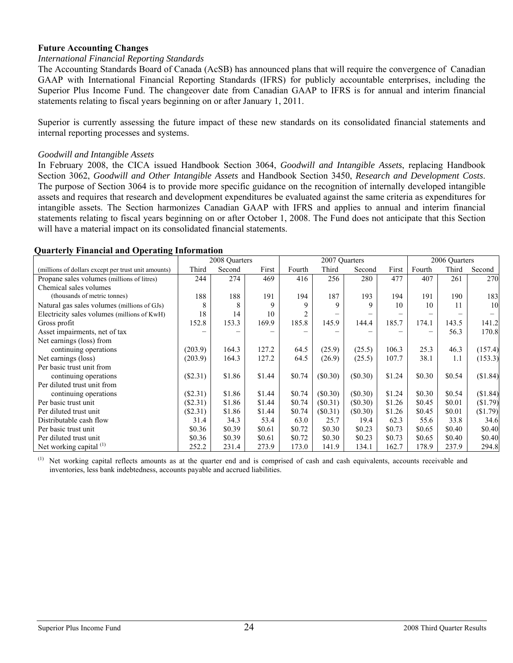### **Future Accounting Changes**

### *International Financial Reporting Standards*

The Accounting Standards Board of Canada (AcSB) has announced plans that will require the convergence of Canadian GAAP with International Financial Reporting Standards (IFRS) for publicly accountable enterprises, including the Superior Plus Income Fund. The changeover date from Canadian GAAP to IFRS is for annual and interim financial statements relating to fiscal years beginning on or after January 1, 2011.

Superior is currently assessing the future impact of these new standards on its consolidated financial statements and internal reporting processes and systems.

### *Goodwill and Intangible Assets*

In February 2008, the CICA issued Handbook Section 3064, *Goodwill and Intangible Assets*, replacing Handbook Section 3062, *Goodwill and Other Intangible Assets* and Handbook Section 3450, *Research and Development Costs*. The purpose of Section 3064 is to provide more specific guidance on the recognition of internally developed intangible assets and requires that research and development expenditures be evaluated against the same criteria as expenditures for intangible assets. The Section harmonizes Canadian GAAP with IFRS and applies to annual and interim financial statements relating to fiscal years beginning on or after October 1, 2008. The Fund does not anticipate that this Section will have a material impact on its consolidated financial statements.

|                                                     |            | 2008 Quarters |        |        | 2007 Quarters |            |        |        | 2006 Quarters |          |
|-----------------------------------------------------|------------|---------------|--------|--------|---------------|------------|--------|--------|---------------|----------|
| (millions of dollars except per trust unit amounts) | Third      | Second        | First  | Fourth | Third         | Second     | First  | Fourth | Third         | Second   |
| Propane sales volumes (millions of litres)          | 244        | 274           | 469    | 416    | 256           | 280        | 477    | 407    | 261           | 270      |
| Chemical sales volumes                              |            |               |        |        |               |            |        |        |               |          |
| (thousands of metric tonnes)                        | 188        | 188           | 191    | 194    | 187           | 193        | 194    | 191    | 190           | 183      |
| Natural gas sales volumes (millions of GJs)         | 8          | 8             | 9      | 9      | 9             | 9          | 10     | 10     | 11            | 10       |
| Electricity sales volumes (millions of KwH)         | 18         | 14            | 10     |        |               |            |        |        |               |          |
| Gross profit                                        | 152.8      | 153.3         | 169.9  | 185.8  | 145.9         | 144.4      | 185.7  | 174.1  | 143.5         | 141.2    |
| Asset impairments, net of tax                       |            |               |        |        |               |            |        |        | 56.3          | 170.8    |
| Net earnings (loss) from                            |            |               |        |        |               |            |        |        |               |          |
| continuing operations                               | (203.9)    | 164.3         | 127.2  | 64.5   | (25.9)        | (25.5)     | 106.3  | 25.3   | 46.3          | (157.4)  |
| Net earnings (loss)                                 | (203.9)    | 164.3         | 127.2  | 64.5   | (26.9)        | (25.5)     | 107.7  | 38.1   | 1.1           | (153.3)  |
| Per basic trust unit from                           |            |               |        |        |               |            |        |        |               |          |
| continuing operations                               | $(\$2.31)$ | \$1.86        | \$1.44 | \$0.74 | (\$0.30)      | $(\$0.30)$ | \$1.24 | \$0.30 | \$0.54        | (\$1.84) |
| Per diluted trust unit from                         |            |               |        |        |               |            |        |        |               |          |
| continuing operations                               | (S2.31)    | \$1.86        | \$1.44 | \$0.74 | (S0.30)       | (S0.30)    | \$1.24 | \$0.30 | \$0.54        | (\$1.84) |
| Per basic trust unit                                | $(\$2.31)$ | \$1.86        | \$1.44 | \$0.74 | $(\$0.31)$    | (S0.30)    | \$1.26 | \$0.45 | \$0.01        | (\$1.79) |
| Per diluted trust unit                              | $(\$2.31)$ | \$1.86        | \$1.44 | \$0.74 | (S0.31)       | (\$0.30)   | \$1.26 | \$0.45 | \$0.01        | (\$1.79) |
| Distributable cash flow                             | 31.4       | 34.3          | 53.4   | 63.0   | 25.7          | 19.4       | 62.3   | 55.6   | 33.8          | 34.6     |
| Per basic trust unit                                | \$0.36     | \$0.39        | \$0.61 | \$0.72 | \$0.30        | \$0.23     | \$0.73 | \$0.65 | \$0.40        | \$0.40   |
| Per diluted trust unit                              | \$0.36     | \$0.39        | \$0.61 | \$0.72 | \$0.30        | \$0.23     | \$0.73 | \$0.65 | \$0.40        | \$0.40   |
| Net working capital <sup>(1)</sup>                  | 252.2      | 231.4         | 273.9  | 173.0  | 141.9         | 134.1      | 162.7  | 178.9  | 237.9         | 294.8    |

### **Quarterly Financial and Operating Information**

Net working capital reflects amounts as at the quarter end and is comprised of cash and cash equivalents, accounts receivable and inventories, less bank indebtedness, accounts payable and accrued liabilities.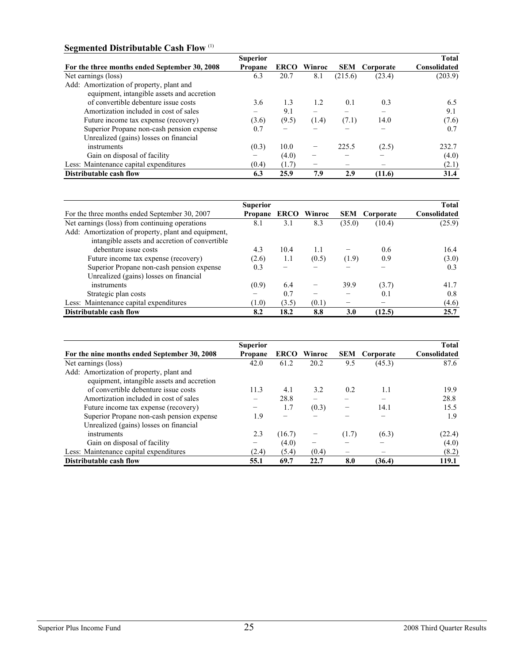# **Segmented Distributable Cash Flow** (1)

|                                               | <b>Superior</b>          |             |        |            |                          | <b>Total</b> |
|-----------------------------------------------|--------------------------|-------------|--------|------------|--------------------------|--------------|
| For the three months ended September 30, 2008 | Propane                  | <b>ERCO</b> | Winroc | <b>SEM</b> | Corporate                | Consolidated |
| Net earnings (loss)                           | 6.3                      | 20.7        | 8.1    | (215.6)    | (23.4)                   | (203.9)      |
| Add: Amortization of property, plant and      |                          |             |        |            |                          |              |
| equipment, intangible assets and accretion    |                          |             |        |            |                          |              |
| of convertible debenture issue costs          | 3.6                      | 1.3         | 1.2    | 0.1        | 0.3                      | 6.5          |
| Amortization included in cost of sales        | $\overline{\phantom{0}}$ | 9.1         |        |            | $\overline{\phantom{0}}$ | 9.1          |
| Future income tax expense (recovery)          | (3.6)                    | (9.5)       | (1.4)  | (7.1)      | 14.0                     | (7.6)        |
| Superior Propane non-cash pension expense     | 0.7                      |             |        |            |                          | 0.7          |
| Unrealized (gains) losses on financial        |                          |             |        |            |                          |              |
| instruments                                   | (0.3)                    | 10.0        |        | 225.5      | (2.5)                    | 232.7        |
| Gain on disposal of facility                  |                          | (4.0)       | -      |            |                          | (4.0)        |
| Less: Maintenance capital expenditures        | (0.4)                    | (1.7)       | -      |            |                          | (2.1)        |
| Distributable cash flow                       | 6.3                      | 25.9        | 7.9    | 2.9        | (11.6)                   | 31.4         |

|                                                     | <b>Superior</b>     |       |       |        |                      | <b>Total</b> |
|-----------------------------------------------------|---------------------|-------|-------|--------|----------------------|--------------|
| For the three months ended September 30, 2007       | Propane ERCO Winroc |       |       |        | <b>SEM</b> Corporate | Consolidated |
| Net earnings (loss) from continuing operations      | 8.1                 | 3.1   | 8.3   | (35.0) | (10.4)               | (25.9)       |
| Add: Amortization of property, plant and equipment, |                     |       |       |        |                      |              |
| intangible assets and accretion of convertible      |                     |       |       |        |                      |              |
| debenture issue costs                               | 4.3                 | 10.4  | 1.1   |        | 0.6                  | 16.4         |
| Future income tax expense (recovery)                | (2.6)               | 1.1   | (0.5) | (1.9)  | 0.9                  | (3.0)        |
| Superior Propane non-cash pension expense           | 0.3                 |       |       |        |                      | 0.3          |
| Unrealized (gains) losses on financial              |                     |       |       |        |                      |              |
| instruments                                         | (0.9)               | 6.4   |       | 39.9   | (3.7)                | 41.7         |
| Strategic plan costs                                |                     | 0.7   |       |        | 0.1                  | 0.8          |
| Less: Maintenance capital expenditures              | (1.0)               | (3.5) | (0.1) |        |                      | (4.6)        |
| Distributable cash flow                             | 8.2                 | 18.2  | 8.8   | 3.0    | (12.5)               | 25.7         |

|                                              | <b>Superior</b> |             |                          |                          |           | <b>Total</b> |
|----------------------------------------------|-----------------|-------------|--------------------------|--------------------------|-----------|--------------|
| For the nine months ended September 30, 2008 | <b>Propane</b>  | <b>ERCO</b> | Winroc                   | <b>SEM</b>               | Corporate | Consolidated |
| Net earnings (loss)                          | 42.0            | 61.2        | 20.2                     | 9.5                      | (45.3)    | 87.6         |
| Add: Amortization of property, plant and     |                 |             |                          |                          |           |              |
| equipment, intangible assets and accretion   |                 |             |                          |                          |           |              |
| of convertible debenture issue costs         | 11.3            | 4.1         | 3.2                      | 0.2                      | 1.1       | 19.9         |
| Amortization included in cost of sales       |                 | 28.8        |                          |                          |           | 28.8         |
| Future income tax expense (recovery)         | -               | 1.7         | (0.3)                    | $\overline{\phantom{0}}$ | 14.1      | 15.5         |
| Superior Propane non-cash pension expense    | 1.9             |             |                          |                          |           | 1.9          |
| Unrealized (gains) losses on financial       |                 |             |                          |                          |           |              |
| instruments                                  | 2.3             | (16.7)      |                          | (1.7)                    | (6.3)     | (22.4)       |
| Gain on disposal of facility                 | —               | (4.0)       | $\overline{\phantom{0}}$ | —                        |           | (4.0)        |
| Less: Maintenance capital expenditures       | (2.4)           | (5.4)       | (0.4)                    | $\overline{\phantom{0}}$ |           | (8.2)        |
| Distributable cash flow                      | 55.1            | 69.7        | 22.7                     | 8.0                      | (36.4)    | 119.1        |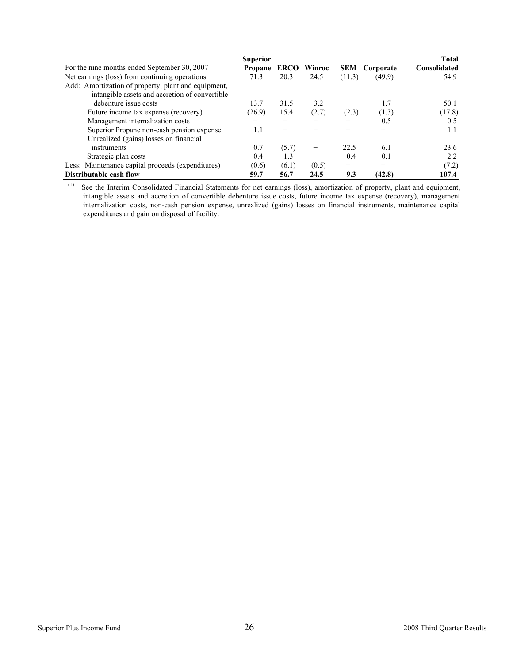|                                                     | <b>Superior</b> |             |        |        |           | <b>Total</b> |
|-----------------------------------------------------|-----------------|-------------|--------|--------|-----------|--------------|
| For the nine months ended September 30, 2007        | Propane         | <b>ERCO</b> | Winroc | SEM    | Corporate | Consolidated |
| Net earnings (loss) from continuing operations      | 71.3            | 20.3        | 24.5   | (11.3) | (49.9)    | 54.9         |
| Add: Amortization of property, plant and equipment, |                 |             |        |        |           |              |
| intangible assets and accretion of convertible      |                 |             |        |        |           |              |
| debenture issue costs                               | 13.7            | 31.5        | 3.2    |        | 1.7       | 50.1         |
| Future income tax expense (recovery)                | (26.9)          | 15.4        | (2.7)  | (2.3)  | (1.3)     | (17.8)       |
| Management internalization costs                    |                 |             |        |        | 0.5       | 0.5          |
| Superior Propane non-cash pension expense           | 1.1             |             |        |        |           | 1.1          |
| Unrealized (gains) losses on financial              |                 |             |        |        |           |              |
| instruments                                         | 0.7             | (5.7)       | -      | 22.5   | 6.1       | 23.6         |
| Strategic plan costs                                | 0.4             | 1.3         |        | 0.4    | 0.1       | 2.2          |
| Less: Maintenance capital proceeds (expenditures)   | (0.6)           | (6.1)       | (0.5)  | —      |           | (7.2)        |
| Distributable cash flow                             | 59.7            | 56.7        | 24.5   | 9.3    | (42.8)    | 107.4        |

 (1) See the Interim Consolidated Financial Statements for net earnings (loss), amortization of property, plant and equipment, intangible assets and accretion of convertible debenture issue costs, future income tax expense (recovery), management internalization costs, non-cash pension expense, unrealized (gains) losses on financial instruments, maintenance capital expenditures and gain on disposal of facility.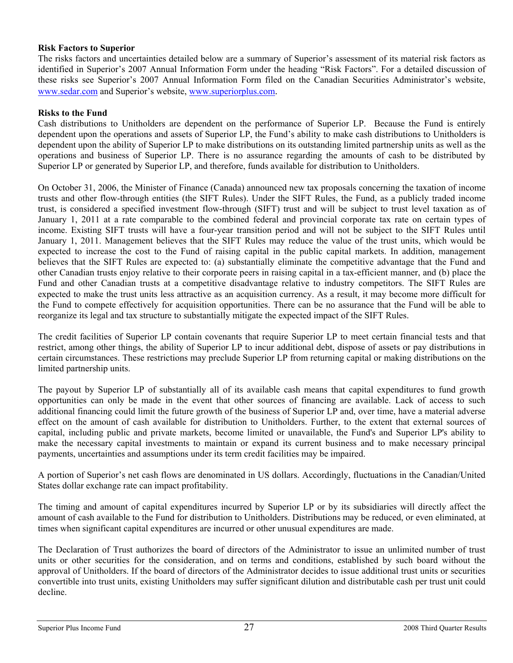### **Risk Factors to Superior**

The risks factors and uncertainties detailed below are a summary of Superior's assessment of its material risk factors as identified in Superior's 2007 Annual Information Form under the heading "Risk Factors". For a detailed discussion of these risks see Superior's 2007 Annual Information Form filed on the Canadian Securities Administrator's website, www.sedar.com and Superior's website, www.superiorplus.com.

### **Risks to the Fund**

Cash distributions to Unitholders are dependent on the performance of Superior LP. Because the Fund is entirely dependent upon the operations and assets of Superior LP, the Fund's ability to make cash distributions to Unitholders is dependent upon the ability of Superior LP to make distributions on its outstanding limited partnership units as well as the operations and business of Superior LP. There is no assurance regarding the amounts of cash to be distributed by Superior LP or generated by Superior LP, and therefore, funds available for distribution to Unitholders.

On October 31, 2006, the Minister of Finance (Canada) announced new tax proposals concerning the taxation of income trusts and other flow-through entities (the SIFT Rules). Under the SIFT Rules, the Fund, as a publicly traded income trust, is considered a specified investment flow-through (SIFT) trust and will be subject to trust level taxation as of January 1, 2011 at a rate comparable to the combined federal and provincial corporate tax rate on certain types of income. Existing SIFT trusts will have a four-year transition period and will not be subject to the SIFT Rules until January 1, 2011. Management believes that the SIFT Rules may reduce the value of the trust units, which would be expected to increase the cost to the Fund of raising capital in the public capital markets. In addition, management believes that the SIFT Rules are expected to: (a) substantially eliminate the competitive advantage that the Fund and other Canadian trusts enjoy relative to their corporate peers in raising capital in a tax-efficient manner, and (b) place the Fund and other Canadian trusts at a competitive disadvantage relative to industry competitors. The SIFT Rules are expected to make the trust units less attractive as an acquisition currency. As a result, it may become more difficult for the Fund to compete effectively for acquisition opportunities. There can be no assurance that the Fund will be able to reorganize its legal and tax structure to substantially mitigate the expected impact of the SIFT Rules.

The credit facilities of Superior LP contain covenants that require Superior LP to meet certain financial tests and that restrict, among other things, the ability of Superior LP to incur additional debt, dispose of assets or pay distributions in certain circumstances. These restrictions may preclude Superior LP from returning capital or making distributions on the limited partnership units.

The payout by Superior LP of substantially all of its available cash means that capital expenditures to fund growth opportunities can only be made in the event that other sources of financing are available. Lack of access to such additional financing could limit the future growth of the business of Superior LP and, over time, have a material adverse effect on the amount of cash available for distribution to Unitholders. Further, to the extent that external sources of capital, including public and private markets, become limited or unavailable, the Fund's and Superior LP's ability to make the necessary capital investments to maintain or expand its current business and to make necessary principal payments, uncertainties and assumptions under its term credit facilities may be impaired.

A portion of Superior's net cash flows are denominated in US dollars. Accordingly, fluctuations in the Canadian/United States dollar exchange rate can impact profitability.

The timing and amount of capital expenditures incurred by Superior LP or by its subsidiaries will directly affect the amount of cash available to the Fund for distribution to Unitholders. Distributions may be reduced, or even eliminated, at times when significant capital expenditures are incurred or other unusual expenditures are made.

The Declaration of Trust authorizes the board of directors of the Administrator to issue an unlimited number of trust units or other securities for the consideration, and on terms and conditions, established by such board without the approval of Unitholders. If the board of directors of the Administrator decides to issue additional trust units or securities convertible into trust units, existing Unitholders may suffer significant dilution and distributable cash per trust unit could decline.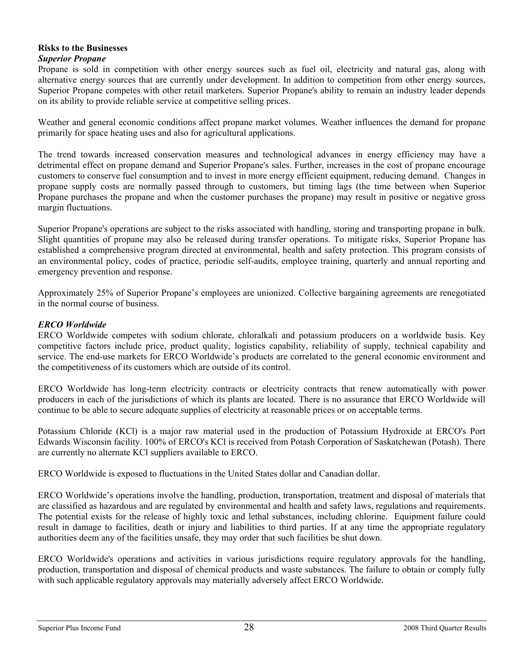# **Risks to the Businesses**

## *Superior Propane*

Propane is sold in competition with other energy sources such as fuel oil, electricity and natural gas, along with alternative energy sources that are currently under development. In addition to competition from other energy sources, Superior Propane competes with other retail marketers. Superior Propane's ability to remain an industry leader depends on its ability to provide reliable service at competitive selling prices.

Weather and general economic conditions affect propane market volumes. Weather influences the demand for propane primarily for space heating uses and also for agricultural applications.

The trend towards increased conservation measures and technological advances in energy efficiency may have a detrimental effect on propane demand and Superior Propane's sales. Further, increases in the cost of propane encourage customers to conserve fuel consumption and to invest in more energy efficient equipment, reducing demand. Changes in propane supply costs are normally passed through to customers, but timing lags (the time between when Superior Propane purchases the propane and when the customer purchases the propane) may result in positive or negative gross margin fluctuations.

Superior Propane's operations are subject to the risks associated with handling, storing and transporting propane in bulk. Slight quantities of propane may also be released during transfer operations. To mitigate risks, Superior Propane has established a comprehensive program directed at environmental, health and safety protection. This program consists of an environmental policy, codes of practice, periodic self-audits, employee training, quarterly and annual reporting and emergency prevention and response.

Approximately 25% of Superior Propane's employees are unionized. Collective bargaining agreements are renegotiated in the normal course of business.

# *ERCO Worldwide*

ERCO Worldwide competes with sodium chlorate, chloralkali and potassium producers on a worldwide basis. Key competitive factors include price, product quality, logistics capability, reliability of supply, technical capability and service. The end-use markets for ERCO Worldwide's products are correlated to the general economic environment and the competitiveness of its customers which are outside of its control.

ERCO Worldwide has long-term electricity contracts or electricity contracts that renew automatically with power producers in each of the jurisdictions of which its plants are located. There is no assurance that ERCO Worldwide will continue to be able to secure adequate supplies of electricity at reasonable prices or on acceptable terms.

Potassium Chloride (KCl) is a major raw material used in the production of Potassium Hydroxide at ERCO's Port Edwards Wisconsin facility. 100% of ERCO's KCl is received from Potash Corporation of Saskatchewan (Potash). There are currently no alternate KCl suppliers available to ERCO.

ERCO Worldwide is exposed to fluctuations in the United States dollar and Canadian dollar.

ERCO Worldwide's operations involve the handling, production, transportation, treatment and disposal of materials that are classified as hazardous and are regulated by environmental and health and safety laws, regulations and requirements. The potential exists for the release of highly toxic and lethal substances, including chlorine. Equipment failure could result in damage to facilities, death or injury and liabilities to third parties. If at any time the appropriate regulatory authorities deem any of the facilities unsafe, they may order that such facilities be shut down.

ERCO Worldwide's operations and activities in various jurisdictions require regulatory approvals for the handling, production, transportation and disposal of chemical products and waste substances. The failure to obtain or comply fully with such applicable regulatory approvals may materially adversely affect ERCO Worldwide.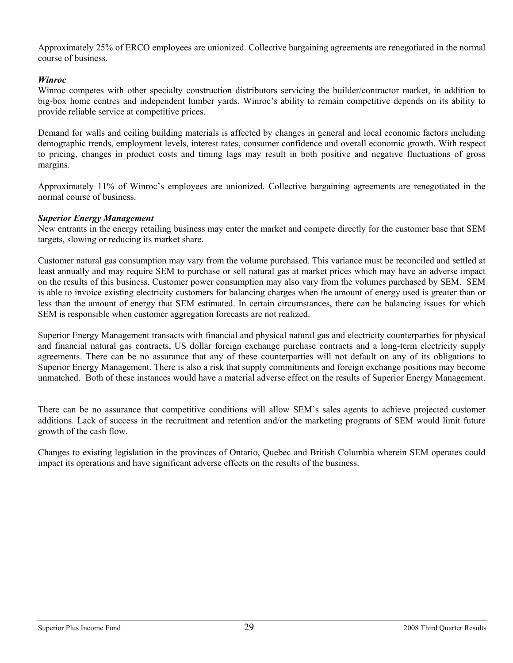Approximately 25% of ERCO employees are unionized. Collective bargaining agreements are renegotiated in the normal course of business.

## *Winroc*

Winroc competes with other specialty construction distributors servicing the builder/contractor market, in addition to big-box home centres and independent lumber yards. Winroc's ability to remain competitive depends on its ability to provide reliable service at competitive prices.

Demand for walls and ceiling building materials is affected by changes in general and local economic factors including demographic trends, employment levels, interest rates, consumer confidence and overall economic growth. With respect to pricing, changes in product costs and timing lags may result in both positive and negative fluctuations of gross margins.

Approximately 11% of Winroc's employees are unionized. Collective bargaining agreements are renegotiated in the normal course of business.

### *Superior Energy Management*

New entrants in the energy retailing business may enter the market and compete directly for the customer base that SEM targets, slowing or reducing its market share.

Customer natural gas consumption may vary from the volume purchased. This variance must be reconciled and settled at least annually and may require SEM to purchase or sell natural gas at market prices which may have an adverse impact on the results of this business. Customer power consumption may also vary from the volumes purchased by SEM. SEM is able to invoice existing electricity customers for balancing charges when the amount of energy used is greater than or less than the amount of energy that SEM estimated. In certain circumstances, there can be balancing issues for which SEM is responsible when customer aggregation forecasts are not realized.

Superior Energy Management transacts with financial and physical natural gas and electricity counterparties for physical and financial natural gas contracts, US dollar foreign exchange purchase contracts and a long-term electricity supply agreements. There can be no assurance that any of these counterparties will not default on any of its obligations to Superior Energy Management. There is also a risk that supply commitments and foreign exchange positions may become unmatched. Both of these instances would have a material adverse effect on the results of Superior Energy Management.

There can be no assurance that competitive conditions will allow SEM's sales agents to achieve projected customer additions. Lack of success in the recruitment and retention and/or the marketing programs of SEM would limit future growth of the cash flow.

Changes to existing legislation in the provinces of Ontario, Quebec and British Columbia wherein SEM operates could impact its operations and have significant adverse effects on the results of the business.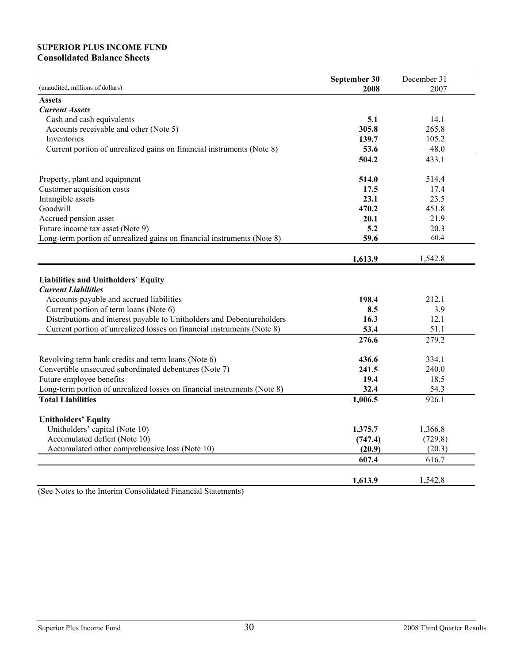## **SUPERIOR PLUS INCOME FUND Consolidated Balance Sheets**

|                                                                                                                                                                                                                                                                                                             | September 30                   | December 31                    |
|-------------------------------------------------------------------------------------------------------------------------------------------------------------------------------------------------------------------------------------------------------------------------------------------------------------|--------------------------------|--------------------------------|
| (unaudited, millions of dollars)                                                                                                                                                                                                                                                                            | 2008                           | 2007                           |
| <b>Assets</b>                                                                                                                                                                                                                                                                                               |                                |                                |
| <b>Current Assets</b>                                                                                                                                                                                                                                                                                       |                                |                                |
| Cash and cash equivalents                                                                                                                                                                                                                                                                                   | 5.1                            | 14.1                           |
| Accounts receivable and other (Note 5)                                                                                                                                                                                                                                                                      | 305.8                          | 265.8                          |
| Inventories                                                                                                                                                                                                                                                                                                 | 139.7                          | 105.2                          |
| Current portion of unrealized gains on financial instruments (Note 8)                                                                                                                                                                                                                                       | 53.6                           | 48.0                           |
|                                                                                                                                                                                                                                                                                                             | 504.2                          | 433.1                          |
|                                                                                                                                                                                                                                                                                                             |                                |                                |
| Property, plant and equipment                                                                                                                                                                                                                                                                               | 514.0                          | 514.4                          |
| Customer acquisition costs                                                                                                                                                                                                                                                                                  | 17.5                           | 17.4                           |
| Intangible assets                                                                                                                                                                                                                                                                                           | 23.1                           | 23.5                           |
| Goodwill                                                                                                                                                                                                                                                                                                    | 470.2                          | 451.8                          |
| Accrued pension asset                                                                                                                                                                                                                                                                                       | 20.1                           | 21.9                           |
| Future income tax asset (Note 9)                                                                                                                                                                                                                                                                            | 5.2                            | 20.3                           |
| Long-term portion of unrealized gains on financial instruments (Note 8)                                                                                                                                                                                                                                     | 59.6                           | 60.4                           |
|                                                                                                                                                                                                                                                                                                             | 1,613.9                        | 1,542.8                        |
| Liabilities and Unitholders' Equity<br><b>Current Liabilities</b><br>Accounts payable and accrued liabilities<br>Current portion of term loans (Note 6)<br>Distributions and interest payable to Unitholders and Debentureholders<br>Current portion of unrealized losses on financial instruments (Note 8) | 198.4<br>8.5<br>16.3<br>53.4   | 212.1<br>3.9<br>12.1<br>51.1   |
|                                                                                                                                                                                                                                                                                                             | 276.6                          | 279.2                          |
| Revolving term bank credits and term loans (Note 6)<br>Convertible unsecured subordinated debentures (Note 7)<br>Future employee benefits<br>Long-term portion of unrealized losses on financial instruments (Note 8)                                                                                       | 436.6<br>241.5<br>19.4<br>32.4 | 334.1<br>240.0<br>18.5<br>54.3 |
| <b>Total Liabilities</b>                                                                                                                                                                                                                                                                                    | 1,006.5                        | 926.1                          |
| <b>Unitholders' Equity</b><br>Unitholders' capital (Note 10)<br>Accumulated deficit (Note 10)                                                                                                                                                                                                               | 1,375.7<br>(747.4)             | 1,366.8<br>(729.8)             |
| Accumulated other comprehensive loss (Note 10)                                                                                                                                                                                                                                                              | (20.9)                         | (20.3)                         |
|                                                                                                                                                                                                                                                                                                             | 607.4                          | 616.7                          |
|                                                                                                                                                                                                                                                                                                             | 1,613.9                        | 1,542.8                        |

(See Notes to the Interim Consolidated Financial Statements)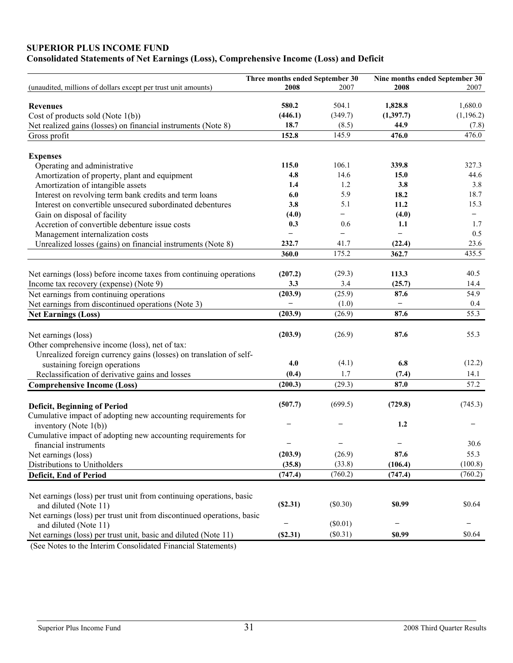# **SUPERIOR PLUS INCOME FUND**

# **Consolidated Statements of Net Earnings (Loss), Comprehensive Income (Loss) and Deficit**

|                                                                                                                      | Three months ended September 30 |                          | Nine months ended September 30 |                          |
|----------------------------------------------------------------------------------------------------------------------|---------------------------------|--------------------------|--------------------------------|--------------------------|
| (unaudited, millions of dollars except per trust unit amounts)                                                       | 2008                            | 2007                     | 2008                           | 2007                     |
| <b>Revenues</b>                                                                                                      | 580.2                           | 504.1                    | 1,828.8                        | 1,680.0                  |
| Cost of products sold (Note $1(b)$ )                                                                                 | (446.1)                         | (349.7)                  | (1,397.7)                      | (1,196.2)                |
| Net realized gains (losses) on financial instruments (Note 8)                                                        | 18.7                            | (8.5)                    | 44.9                           | (7.8)                    |
| Gross profit                                                                                                         | 152.8                           | 145.9                    | 476.0                          | 476.0                    |
| <b>Expenses</b>                                                                                                      |                                 |                          |                                |                          |
| Operating and administrative                                                                                         | 115.0                           | 106.1                    | 339.8                          | 327.3                    |
| Amortization of property, plant and equipment                                                                        | 4.8                             | 14.6                     | 15.0                           | 44.6                     |
| Amortization of intangible assets                                                                                    | 1.4                             | 1.2                      | 3.8                            | 3.8                      |
| Interest on revolving term bank credits and term loans                                                               | 6.0                             | 5.9                      | 18.2                           | 18.7                     |
| Interest on convertible unsecured subordinated debentures                                                            | 3.8                             | 5.1                      | 11.2                           | 15.3                     |
| Gain on disposal of facility                                                                                         | (4.0)                           | -                        | (4.0)                          | $\overline{\phantom{0}}$ |
| Accretion of convertible debenture issue costs                                                                       | 0.3                             | 0.6                      | 1.1                            | 1.7                      |
| Management internalization costs                                                                                     |                                 | $\overline{\phantom{0}}$ | $\overline{\phantom{m}}$       | 0.5                      |
| Unrealized losses (gains) on financial instruments (Note 8)                                                          | 232.7                           | 41.7                     | (22.4)                         | 23.6                     |
|                                                                                                                      | 360.0                           | 175.2                    | 362.7                          | 435.5                    |
| Net earnings (loss) before income taxes from continuing operations                                                   | (207.2)                         | (29.3)                   | 113.3                          | 40.5                     |
| Income tax recovery (expense) (Note 9)                                                                               | 3.3                             | 3.4                      | (25.7)                         | 14.4                     |
| Net earnings from continuing operations                                                                              | (203.9)                         | (25.9)                   | 87.6                           | 54.9                     |
| Net earnings from discontinued operations (Note 3)                                                                   |                                 | (1.0)                    | $\overline{\phantom{0}}$       | 0.4                      |
| <b>Net Earnings (Loss)</b>                                                                                           | (203.9)                         | (26.9)                   | 87.6                           | 55.3                     |
|                                                                                                                      | (203.9)                         | (26.9)                   | 87.6                           | 55.3                     |
| Net earnings (loss)                                                                                                  |                                 |                          |                                |                          |
| Other comprehensive income (loss), net of tax:<br>Unrealized foreign currency gains (losses) on translation of self- |                                 |                          |                                |                          |
| sustaining foreign operations                                                                                        | 4.0                             | (4.1)                    | 6.8                            | (12.2)                   |
| Reclassification of derivative gains and losses                                                                      | (0.4)                           | 1.7                      | (7.4)                          | 14.1                     |
|                                                                                                                      |                                 | (29.3)                   | 87.0                           | 57.2                     |
| <b>Comprehensive Income (Loss)</b>                                                                                   | (200.3)                         |                          |                                |                          |
| <b>Deficit, Beginning of Period</b>                                                                                  | (507.7)                         | (699.5)                  | (729.8)                        | (745.3)                  |
| Cumulative impact of adopting new accounting requirements for                                                        |                                 |                          |                                |                          |
| inventory (Note $1(b)$ )                                                                                             |                                 |                          | 1.2                            |                          |
| Cumulative impact of adopting new accounting requirements for                                                        |                                 |                          |                                |                          |
| financial instruments                                                                                                |                                 |                          |                                | 30.6                     |
| Net earnings (loss)                                                                                                  | (203.9)                         | (26.9)                   | 87.6                           | 55.3                     |
| Distributions to Unitholders                                                                                         | (35.8)                          | (33.8)                   | (106.4)                        | (100.8)                  |
| Deficit, End of Period                                                                                               | (747.4)                         | (760.2)                  | (747.4)                        | (760.2)                  |
|                                                                                                                      |                                 |                          |                                |                          |
| Net earnings (loss) per trust unit from continuing operations, basic                                                 |                                 |                          |                                |                          |
| and diluted (Note 11)                                                                                                | (S2.31)                         | (\$0.30)                 | \$0.99                         | \$0.64                   |
| Net earnings (loss) per trust unit from discontinued operations, basic                                               |                                 |                          |                                |                          |
| and diluted (Note 11)                                                                                                |                                 | $(\$0.01)$               |                                |                          |
| Net earnings (loss) per trust unit, basic and diluted (Note 11)                                                      | (S2.31)                         | (\$0.31)                 | \$0.99                         | \$0.64                   |

(See Notes to the Interim Consolidated Financial Statements)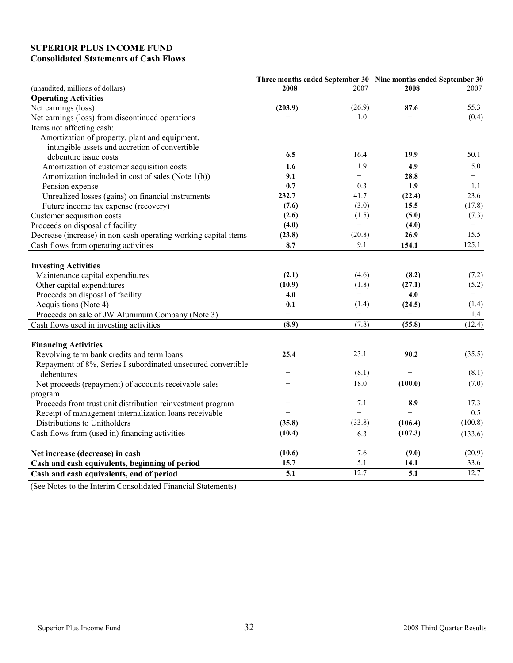# **SUPERIOR PLUS INCOME FUND Consolidated Statements of Cash Flows**

|                                                                 |                   |                          | Three months ended September 30 Nine months ended September 30 |         |
|-----------------------------------------------------------------|-------------------|--------------------------|----------------------------------------------------------------|---------|
| (unaudited, millions of dollars)                                | 2008              | 2007                     | 2008                                                           | 2007    |
| <b>Operating Activities</b>                                     |                   |                          |                                                                |         |
| Net earnings (loss)                                             | (203.9)           | (26.9)                   | 87.6                                                           | 55.3    |
| Net earnings (loss) from discontinued operations                |                   | 1.0                      |                                                                | (0.4)   |
| Items not affecting cash:                                       |                   |                          |                                                                |         |
| Amortization of property, plant and equipment,                  |                   |                          |                                                                |         |
| intangible assets and accretion of convertible                  |                   |                          |                                                                |         |
| debenture issue costs                                           | 6.5               | 16.4                     | 19.9                                                           | 50.1    |
| Amortization of customer acquisition costs                      | 1.6               | 1.9                      | 4.9                                                            | 5.0     |
| Amortization included in cost of sales (Note 1(b))              | 9.1               | $\overline{\phantom{0}}$ | 28.8                                                           | $-$     |
| Pension expense                                                 | 0.7               | 0.3                      | 1.9                                                            | 1.1     |
| Unrealized losses (gains) on financial instruments              | 232.7             | 41.7                     | (22.4)                                                         | 23.6    |
| Future income tax expense (recovery)                            | (7.6)             | (3.0)                    | 15.5                                                           | (17.8)  |
| Customer acquisition costs                                      | (2.6)             | (1.5)                    | (5.0)                                                          | (7.3)   |
| Proceeds on disposal of facility                                | (4.0)             | $\qquad \qquad -$        | (4.0)                                                          |         |
| Decrease (increase) in non-cash operating working capital items | (23.8)            | (20.8)                   | 26.9                                                           | 15.5    |
| Cash flows from operating activities                            | 8.7               | 9.1                      | 154.1                                                          | 125.1   |
| <b>Investing Activities</b>                                     |                   |                          |                                                                |         |
| Maintenance capital expenditures                                | (2.1)             | (4.6)                    | (8.2)                                                          | (7.2)   |
| Other capital expenditures                                      | (10.9)            | (1.8)                    | (27.1)                                                         | (5.2)   |
| Proceeds on disposal of facility                                | 4.0               | $\qquad \qquad -$        | 4.0                                                            |         |
| Acquisitions (Note 4)                                           | 0.1               | (1.4)                    | (24.5)                                                         | (1.4)   |
| Proceeds on sale of JW Aluminum Company (Note 3)                | $\qquad \qquad -$ | $\overline{\phantom{0}}$ | $\qquad \qquad -$                                              | 1.4     |
|                                                                 | (8.9)             | (7.8)                    | (55.8)                                                         | (12.4)  |
| Cash flows used in investing activities                         |                   |                          |                                                                |         |
| <b>Financing Activities</b>                                     |                   |                          |                                                                |         |
| Revolving term bank credits and term loans                      | 25.4              | 23.1                     | 90.2                                                           | (35.5)  |
| Repayment of 8%, Series I subordinated unsecured convertible    |                   |                          |                                                                |         |
| debentures                                                      |                   | (8.1)                    |                                                                | (8.1)   |
| Net proceeds (repayment) of accounts receivable sales           |                   | 18.0                     | (100.0)                                                        | (7.0)   |
| program                                                         |                   |                          |                                                                |         |
| Proceeds from trust unit distribution reinvestment program      |                   | 7.1                      | 8.9                                                            | 17.3    |
| Receipt of management internalization loans receivable          |                   | $\equiv$                 | $\overline{\phantom{0}}$                                       | 0.5     |
| Distributions to Unitholders                                    | (35.8)            | (33.8)                   | (106.4)                                                        | (100.8) |
| Cash flows from (used in) financing activities                  | (10.4)            | 6.3                      | (107.3)                                                        | (133.6) |
| Net increase (decrease) in cash                                 | (10.6)            | 7.6                      | (9.0)                                                          | (20.9)  |
| Cash and cash equivalents, beginning of period                  | 15.7              | 5.1                      | 14.1                                                           | 33.6    |
| Cash and cash equivalents, end of period                        | $\overline{5.1}$  | 12.7                     | $\overline{5.1}$                                               | 12.7    |
|                                                                 |                   |                          |                                                                |         |

(See Notes to the Interim Consolidated Financial Statements)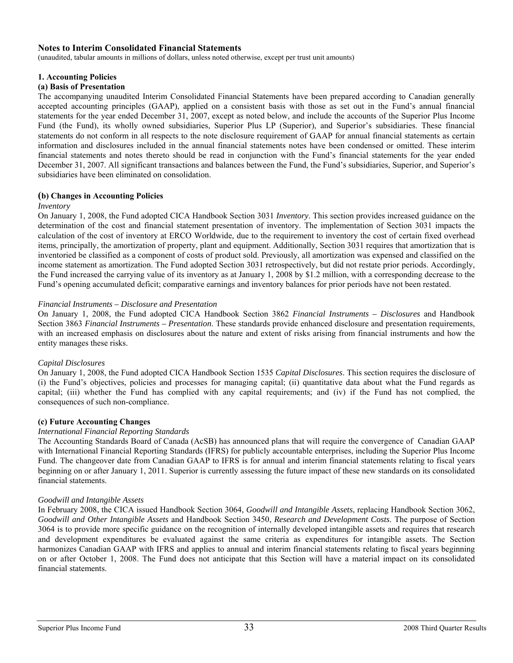### **Notes to Interim Consolidated Financial Statements**

(unaudited, tabular amounts in millions of dollars, unless noted otherwise, except per trust unit amounts)

#### **1. Accounting Policies**

#### **(a) Basis of Presentation**

The accompanying unaudited Interim Consolidated Financial Statements have been prepared according to Canadian generally accepted accounting principles (GAAP), applied on a consistent basis with those as set out in the Fund's annual financial statements for the year ended December 31, 2007, except as noted below, and include the accounts of the Superior Plus Income Fund (the Fund), its wholly owned subsidiaries, Superior Plus LP (Superior), and Superior's subsidiaries. These financial statements do not conform in all respects to the note disclosure requirement of GAAP for annual financial statements as certain information and disclosures included in the annual financial statements notes have been condensed or omitted. These interim financial statements and notes thereto should be read in conjunction with the Fund's financial statements for the year ended December 31, 2007. All significant transactions and balances between the Fund, the Fund's subsidiaries, Superior, and Superior's subsidiaries have been eliminated on consolidation.

#### **(b) Changes in Accounting Policies**

#### *Inventory*

On January 1, 2008, the Fund adopted CICA Handbook Section 3031 *Inventory*. This section provides increased guidance on the determination of the cost and financial statement presentation of inventory. The implementation of Section 3031 impacts the calculation of the cost of inventory at ERCO Worldwide, due to the requirement to inventory the cost of certain fixed overhead items, principally, the amortization of property, plant and equipment. Additionally, Section 3031 requires that amortization that is inventoried be classified as a component of costs of product sold. Previously, all amortization was expensed and classified on the income statement as amortization. The Fund adopted Section 3031 retrospectively, but did not restate prior periods. Accordingly, the Fund increased the carrying value of its inventory as at January 1, 2008 by \$1.2 million, with a corresponding decrease to the Fund's opening accumulated deficit; comparative earnings and inventory balances for prior periods have not been restated.

#### *Financial Instruments – Disclosure and Presentation*

On January 1, 2008, the Fund adopted CICA Handbook Section 3862 *Financial Instruments – Disclosures* and Handbook Section 3863 *Financial Instruments – Presentation*. These standards provide enhanced disclosure and presentation requirements, with an increased emphasis on disclosures about the nature and extent of risks arising from financial instruments and how the entity manages these risks.

### *Capital Disclosures*

On January 1, 2008, the Fund adopted CICA Handbook Section 1535 *Capital Disclosures*. This section requires the disclosure of (i) the Fund's objectives, policies and processes for managing capital; (ii) quantitative data about what the Fund regards as capital; (iii) whether the Fund has complied with any capital requirements; and (iv) if the Fund has not complied, the consequences of such non-compliance.

### **(c) Future Accounting Changes**

#### *International Financial Reporting Standards*

The Accounting Standards Board of Canada (AcSB) has announced plans that will require the convergence of Canadian GAAP with International Financial Reporting Standards (IFRS) for publicly accountable enterprises, including the Superior Plus Income Fund. The changeover date from Canadian GAAP to IFRS is for annual and interim financial statements relating to fiscal years beginning on or after January 1, 2011. Superior is currently assessing the future impact of these new standards on its consolidated financial statements.

#### *Goodwill and Intangible Assets*

In February 2008, the CICA issued Handbook Section 3064, *Goodwill and Intangible Assets*, replacing Handbook Section 3062, *Goodwill and Other Intangible Assets* and Handbook Section 3450, *Research and Development Costs*. The purpose of Section 3064 is to provide more specific guidance on the recognition of internally developed intangible assets and requires that research and development expenditures be evaluated against the same criteria as expenditures for intangible assets. The Section harmonizes Canadian GAAP with IFRS and applies to annual and interim financial statements relating to fiscal years beginning on or after October 1, 2008. The Fund does not anticipate that this Section will have a material impact on its consolidated financial statements.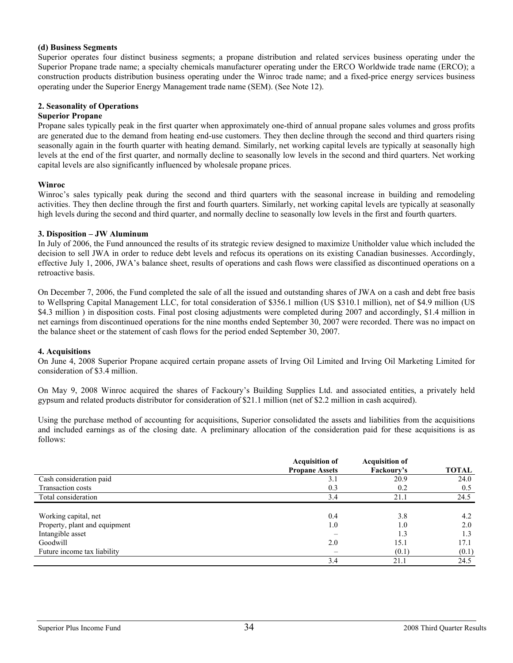#### **(d) Business Segments**

Superior operates four distinct business segments; a propane distribution and related services business operating under the Superior Propane trade name; a specialty chemicals manufacturer operating under the ERCO Worldwide trade name (ERCO); a construction products distribution business operating under the Winroc trade name; and a fixed-price energy services business operating under the Superior Energy Management trade name (SEM). (See Note 12).

### **2. Seasonality of Operations**

### **Superior Propane**

Propane sales typically peak in the first quarter when approximately one-third of annual propane sales volumes and gross profits are generated due to the demand from heating end-use customers. They then decline through the second and third quarters rising seasonally again in the fourth quarter with heating demand. Similarly, net working capital levels are typically at seasonally high levels at the end of the first quarter, and normally decline to seasonally low levels in the second and third quarters. Net working capital levels are also significantly influenced by wholesale propane prices.

#### **Winroc**

Winroc's sales typically peak during the second and third quarters with the seasonal increase in building and remodeling activities. They then decline through the first and fourth quarters. Similarly, net working capital levels are typically at seasonally high levels during the second and third quarter, and normally decline to seasonally low levels in the first and fourth quarters.

#### **3. Disposition – JW Aluminum**

In July of 2006, the Fund announced the results of its strategic review designed to maximize Unitholder value which included the decision to sell JWA in order to reduce debt levels and refocus its operations on its existing Canadian businesses. Accordingly, effective July 1, 2006, JWA's balance sheet, results of operations and cash flows were classified as discontinued operations on a retroactive basis.

On December 7, 2006, the Fund completed the sale of all the issued and outstanding shares of JWA on a cash and debt free basis to Wellspring Capital Management LLC, for total consideration of \$356.1 million (US \$310.1 million), net of \$4.9 million (US \$4.3 million ) in disposition costs. Final post closing adjustments were completed during 2007 and accordingly, \$1.4 million in net earnings from discontinued operations for the nine months ended September 30, 2007 were recorded. There was no impact on the balance sheet or the statement of cash flows for the period ended September 30, 2007.

### **4. Acquisitions**

On June 4, 2008 Superior Propane acquired certain propane assets of Irving Oil Limited and Irving Oil Marketing Limited for consideration of \$3.4 million.

On May 9, 2008 Winroc acquired the shares of Fackoury's Building Supplies Ltd. and associated entities, a privately held gypsum and related products distributor for consideration of \$21.1 million (net of \$2.2 million in cash acquired).

Using the purchase method of accounting for acquisitions, Superior consolidated the assets and liabilities from the acquisitions and included earnings as of the closing date. A preliminary allocation of the consideration paid for these acquisitions is as follows:

|                               | <b>Acquisition of</b> | <b>Acquisition of</b> |              |
|-------------------------------|-----------------------|-----------------------|--------------|
|                               | <b>Propane Assets</b> | Fackoury's            | <b>TOTAL</b> |
| Cash consideration paid       | 3.1                   | 20.9                  | 24.0         |
| Transaction costs             | 0.3                   | 0.2                   | 0.5          |
| Total consideration           | 3.4                   | 21.1                  | 24.5         |
|                               |                       |                       |              |
| Working capital, net          | 0.4                   | 3.8                   | 4.2          |
| Property, plant and equipment | 1.0                   | 1.0                   | 2.0          |
| Intangible asset              |                       | 1.3                   | 1.3          |
| Goodwill                      | 2.0                   | 15.1                  | 17.1         |
| Future income tax liability   |                       | (0.1)                 | (0.1)        |
|                               | 3.4                   | 21.1                  | 24.5         |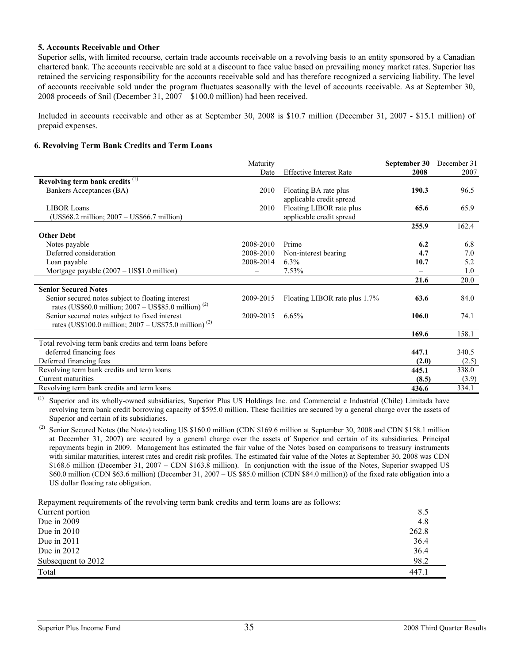### **5. Accounts Receivable and Other**

Superior sells, with limited recourse, certain trade accounts receivable on a revolving basis to an entity sponsored by a Canadian chartered bank. The accounts receivable are sold at a discount to face value based on prevailing money market rates. Superior has retained the servicing responsibility for the accounts receivable sold and has therefore recognized a servicing liability. The level of accounts receivable sold under the program fluctuates seasonally with the level of accounts receivable. As at September 30, 2008 proceeds of \$nil (December 31, 2007 – \$100.0 million) had been received.

Included in accounts receivable and other as at September 30, 2008 is \$10.7 million (December 31, 2007 - \$15.1 million) of prepaid expenses.

#### **6. Revolving Term Bank Credits and Term Loans**

|                                                                    | Maturity  |                                | September 30 | December 31 |
|--------------------------------------------------------------------|-----------|--------------------------------|--------------|-------------|
|                                                                    | Date      | <b>Effective Interest Rate</b> | 2008         | 2007        |
| Revolving term bank credits <sup>(1)</sup>                         |           |                                |              |             |
| Bankers Acceptances (BA)                                           | 2010      | Floating BA rate plus          | 190.3        | 96.5        |
|                                                                    |           | applicable credit spread       |              |             |
| <b>LIBOR Loans</b>                                                 | 2010      | Floating LIBOR rate plus       | 65.6         | 65.9        |
| (US\$68.2 million; 2007 - US\$66.7 million)                        |           | applicable credit spread       |              |             |
|                                                                    |           |                                | 255.9        | 162.4       |
| <b>Other Debt</b>                                                  |           |                                |              |             |
| Notes payable                                                      | 2008-2010 | Prime                          | 6.2          | 6.8         |
| Deferred consideration                                             | 2008-2010 | Non-interest bearing           | 4.7          | 7.0         |
| Loan payable                                                       | 2008-2014 | $6.3\%$                        | 10.7         | 5.2         |
| Mortgage payable $(2007 – US$1.0 million)$                         |           | $7.53\%$                       |              | 1.0         |
|                                                                    |           |                                | 21.6         | 20.0        |
| <b>Senior Secured Notes</b>                                        |           |                                |              |             |
| Senior secured notes subject to floating interest                  | 2009-2015 | Floating LIBOR rate plus 1.7%  | 63.6         | 84.0        |
| rates (US\$60.0 million; $2007 - US$85.0$ million) <sup>(2)</sup>  |           |                                |              |             |
| Senior secured notes subject to fixed interest                     | 2009-2015 | 6.65%                          | 106.0        | 74.1        |
| rates (US\$100.0 million; $2007 - US$75.0$ million) <sup>(2)</sup> |           |                                |              |             |
|                                                                    |           |                                | 169.6        | 158.1       |
| Total revolving term bank credits and term loans before            |           |                                |              |             |
| deferred financing fees                                            |           |                                | 447.1        | 340.5       |
| Deferred financing fees                                            |           |                                | (2.0)        | (2.5)       |
| Revolving term bank credits and term loans                         |           |                                | 445.1        | 338.0       |
| Current maturities                                                 |           |                                | (8.5)        | (3.9)       |
| Revolving term bank credits and term loans                         |           |                                | 436.6        | 334.1       |

(1) Superior and its wholly-owned subsidiaries, Superior Plus US Holdings Inc. and Commercial e Industrial (Chile) Limitada have revolving term bank credit borrowing capacity of \$595.0 million. These facilities are secured by a general charge over the assets of Superior and certain of its subsidiaries.

<sup>(2)</sup> Senior Secured Notes (the Notes) totaling US \$160.0 million (CDN \$169.6 million at September 30, 2008 and CDN \$158.1 million at December 31, 2007) are secured by a general charge over the assets of Superior and certain of its subsidiaries. Principal repayments begin in 2009. Management has estimated the fair value of the Notes based on comparisons to treasury instruments with similar maturities, interest rates and credit risk profiles. The estimated fair value of the Notes at September 30, 2008 was CDN \$168.6 million (December 31, 2007 – CDN \$163.8 million). In conjunction with the issue of the Notes, Superior swapped US \$60.0 million (CDN \$63.6 million) (December 31, 2007 – US \$85.0 million (CDN \$84.0 million)) of the fixed rate obligation into a US dollar floating rate obligation.

Repayment requirements of the revolving term bank credits and term loans are as follows:

| Current portion    | 8.5   |
|--------------------|-------|
| Due in $2009$      | 4.8   |
| Due in $2010$      | 262.8 |
| Due in $2011$      | 36.4  |
| Due in $2012$      | 36.4  |
| Subsequent to 2012 | 98.2  |
| Total              | 447.1 |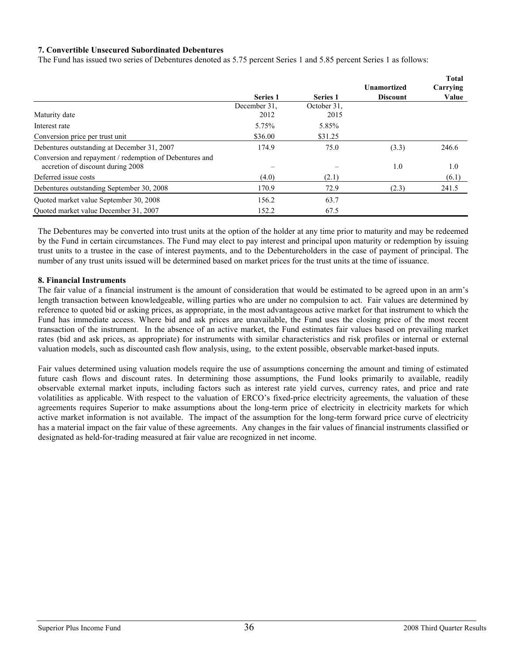### **7. Convertible Unsecured Subordinated Debentures**

The Fund has issued two series of Debentures denoted as 5.75 percent Series 1 and 5.85 percent Series 1 as follows:

|                                                         |                 |                 |                    | <b>Total</b> |
|---------------------------------------------------------|-----------------|-----------------|--------------------|--------------|
|                                                         |                 |                 | <b>Unamortized</b> | Carrying     |
|                                                         | <b>Series 1</b> | <b>Series 1</b> | <b>Discount</b>    | Value        |
|                                                         | December 31.    | October 31.     |                    |              |
| Maturity date                                           | 2012            | 2015            |                    |              |
| Interest rate                                           | 5.75%           | 5.85%           |                    |              |
| Conversion price per trust unit                         | \$36.00         | \$31.25         |                    |              |
| Debentures outstanding at December 31, 2007             | 174.9           | 75.0            | (3.3)              | 246.6        |
| Conversion and repayment / redemption of Debentures and |                 |                 |                    |              |
| accretion of discount during 2008                       |                 |                 | 1.0                | 1.0          |
| Deferred issue costs                                    | (4.0)           | (2.1)           |                    | (6.1)        |
| Debentures outstanding September 30, 2008               | 170.9           | 72.9            | (2.3)              | 241.5        |
| Quoted market value September 30, 2008                  | 156.2           | 63.7            |                    |              |
| Ouoted market value December 31, 2007                   | 152.2           | 67.5            |                    |              |

The Debentures may be converted into trust units at the option of the holder at any time prior to maturity and may be redeemed by the Fund in certain circumstances. The Fund may elect to pay interest and principal upon maturity or redemption by issuing trust units to a trustee in the case of interest payments, and to the Debentureholders in the case of payment of principal. The number of any trust units issued will be determined based on market prices for the trust units at the time of issuance.

### **8. Financial Instruments**

The fair value of a financial instrument is the amount of consideration that would be estimated to be agreed upon in an arm's length transaction between knowledgeable, willing parties who are under no compulsion to act. Fair values are determined by reference to quoted bid or asking prices, as appropriate, in the most advantageous active market for that instrument to which the Fund has immediate access. Where bid and ask prices are unavailable, the Fund uses the closing price of the most recent transaction of the instrument. In the absence of an active market, the Fund estimates fair values based on prevailing market rates (bid and ask prices, as appropriate) for instruments with similar characteristics and risk profiles or internal or external valuation models, such as discounted cash flow analysis, using, to the extent possible, observable market-based inputs.

Fair values determined using valuation models require the use of assumptions concerning the amount and timing of estimated future cash flows and discount rates. In determining those assumptions, the Fund looks primarily to available, readily observable external market inputs, including factors such as interest rate yield curves, currency rates, and price and rate volatilities as applicable. With respect to the valuation of ERCO's fixed-price electricity agreements, the valuation of these agreements requires Superior to make assumptions about the long-term price of electricity in electricity markets for which active market information is not available. The impact of the assumption for the long-term forward price curve of electricity has a material impact on the fair value of these agreements. Any changes in the fair values of financial instruments classified or designated as held-for-trading measured at fair value are recognized in net income.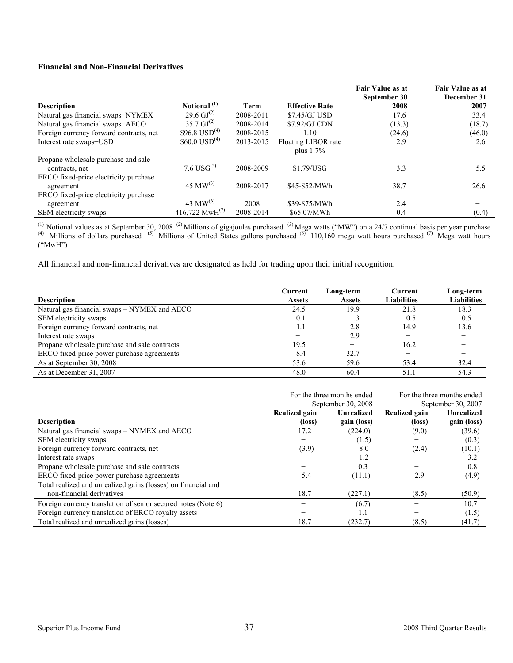### **Financial and Non-Financial Derivatives**

|                                                       |                            |           |                       | Fair Value as at<br>September 30 | Fair Value as at<br>December 31 |
|-------------------------------------------------------|----------------------------|-----------|-----------------------|----------------------------------|---------------------------------|
| <b>Description</b>                                    | Notional <sup>(1)</sup>    | Term      | <b>Effective Rate</b> | 2008                             | 2007                            |
| Natural gas financial swaps-NYMEX                     | 29.6 $GI^{(2)}$            | 2008-2011 | \$7.45/GJ USD         | 17.6                             | 33.4                            |
| Natural gas financial swaps-AECO                      | $35.7 \,\mathrm{GJ}^{(2)}$ | 2008-2014 | \$7.92/GJ CDN         | (13.3)                           | (18.7)                          |
| Foreign currency forward contracts, net               | \$96.8 $USD(4)$            | 2008-2015 | 1.10                  | (24.6)                           | (46.0)                          |
| Interest rate swaps-USD                               | $$60.0$ USD <sup>(4)</sup> | 2013-2015 | Floating LIBOR rate   | 2.9                              | 2.6                             |
|                                                       |                            |           | plus $1.7\%$          |                                  |                                 |
| Propane wholesale purchase and sale<br>contracts, net | 7.6 USG $^{(5)}$           | 2008-2009 | \$1.79/USG            | 3.3                              | 5.5                             |
| ERCO fixed-price electricity purchase                 |                            |           |                       |                                  |                                 |
| agreement                                             | 45 MW $^{(3)}$             | 2008-2017 | \$45-\$52/MWh         | 38.7                             | 26.6                            |
| ERCO fixed-price electricity purchase                 |                            |           |                       |                                  |                                 |
| agreement                                             | 43 MW $^{(6)}$             | 2008      | \$39-\$75/MWh         | 2.4                              |                                 |
| SEM electricity swaps                                 | 416,722 MwH <sup>(7)</sup> | 2008-2014 | \$65.07/MWh           | 0.4                              | (0.4)                           |

<sup>(1)</sup> Notional values as at September 30, 2008<sup>(2)</sup> Millions of gigajoules purchased <sup>(3)</sup> Mega watts ("MW") on a 24/7 continual basis per year purchase (4) Millions of dollars purchased <sup>(5)</sup> Millions of United States gallons purchased (6) 110,160 mega watt hours purchased (7) Mega watt hours ("MwH")

All financial and non-financial derivatives are designated as held for trading upon their initial recognition.

| <b>Description</b>                            | Current<br><b>Assets</b> | Long-term<br><b>Assets</b> | Current<br><b>Liabilities</b> | Long-term<br><b>Liabilities</b> |
|-----------------------------------------------|--------------------------|----------------------------|-------------------------------|---------------------------------|
| Natural gas financial swaps – NYMEX and AECO  | 24.5                     | 19.9                       | 21.8                          | 18.3                            |
| SEM electricity swaps                         | 0.1                      |                            | 0.5                           | 0.5                             |
| Foreign currency forward contracts, net       | 1.1                      | 2.8                        | 14.9                          | 13.6                            |
| Interest rate swaps                           |                          | 2.9                        |                               |                                 |
| Propane wholesale purchase and sale contracts | 19.5                     |                            | 16.2                          |                                 |
| ERCO fixed-price power purchase agreements    | 8.4                      | 32.7                       |                               |                                 |
| As at September 30, 2008                      | 53.6                     | 59.6                       | 53.4                          | 32.4                            |
| As at December 31, 2007                       | 48.0                     | 60.4                       | 51.1                          | 54.3                            |

|                                                               |               | For the three months ended | For the three months ended |                    |  |
|---------------------------------------------------------------|---------------|----------------------------|----------------------------|--------------------|--|
|                                                               |               | September 30, 2008         |                            | September 30, 2007 |  |
|                                                               | Realized gain | <b>Unrealized</b>          | Realized gain              | <b>Unrealized</b>  |  |
| <b>Description</b>                                            | (loss)        | gain (loss)                | (loss)                     | gain (loss)        |  |
| Natural gas financial swaps - NYMEX and AECO                  | 17.2          | (224.0)                    | (9.0)                      | (39.6)             |  |
| SEM electricity swaps                                         | -             | (1.5)                      |                            | (0.3)              |  |
| Foreign currency forward contracts, net                       | (3.9)         | 8.0                        | (2.4)                      | (10.1)             |  |
| Interest rate swaps                                           |               | 1.2                        |                            | 3.2                |  |
| Propane wholesale purchase and sale contracts                 |               | 0.3                        |                            | 0.8                |  |
| ERCO fixed-price power purchase agreements                    | 5.4           | (11.1)                     | 2.9                        | (4.9)              |  |
| Total realized and unrealized gains (losses) on financial and |               |                            |                            |                    |  |
| non-financial derivatives                                     | 18.7          | (227.1)                    | (8.5)                      | (50.9)             |  |
| Foreign currency translation of senior secured notes (Note 6) |               | (6.7)                      |                            | 10.7               |  |
| Foreign currency translation of ERCO royalty assets           |               | 1.1                        |                            | (1.5)              |  |
| Total realized and unrealized gains (losses)                  | 18.7          | (232.7)                    | (8.5)                      | (41.7)             |  |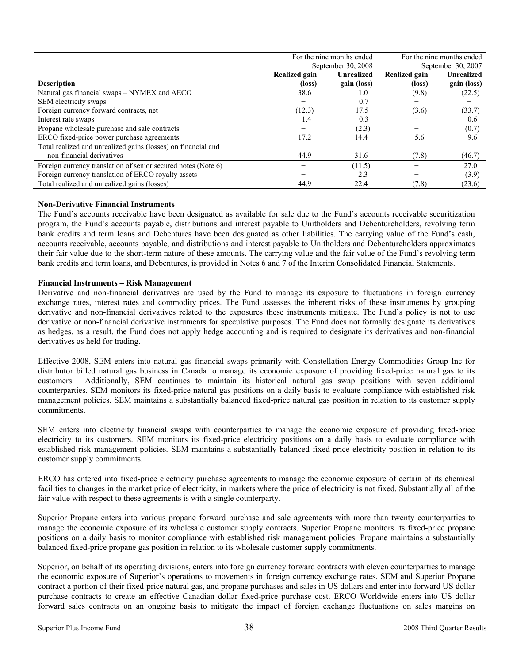|                                                               | For the nine months ended |                    | For the nine months ended |                   |  |
|---------------------------------------------------------------|---------------------------|--------------------|---------------------------|-------------------|--|
|                                                               |                           | September 30, 2008 | September 30, 2007        |                   |  |
|                                                               | Realized gain             | <b>Unrealized</b>  | Realized gain             | <b>Unrealized</b> |  |
| <b>Description</b>                                            | (loss)                    | gain (loss)        | (loss)                    | gain (loss)       |  |
| Natural gas financial swaps - NYMEX and AECO                  | 38.6                      | 1.0                | (9.8)                     | (22.5)            |  |
| SEM electricity swaps                                         |                           | 0.7                |                           |                   |  |
| Foreign currency forward contracts, net                       | (12.3)                    | 17.5               | (3.6)                     | (33.7)            |  |
| Interest rate swaps                                           | 1.4                       | 0.3                |                           | 0.6               |  |
| Propane wholesale purchase and sale contracts                 |                           | (2.3)              |                           | (0.7)             |  |
| ERCO fixed-price power purchase agreements                    | 17.2                      | 14.4               | 5.6                       | 9.6               |  |
| Total realized and unrealized gains (losses) on financial and |                           |                    |                           |                   |  |
| non-financial derivatives                                     | 44.9                      | 31.6               | (7.8)                     | (46.7)            |  |
| Foreign currency translation of senior secured notes (Note 6) |                           | (11.5)             |                           | 27.0              |  |
| Foreign currency translation of ERCO royalty assets           |                           | 2.3                |                           | (3.9)             |  |
| Total realized and unrealized gains (losses)                  | 44.9                      | 22.4               | (7.8)                     | (23.6)            |  |

### **Non-Derivative Financial Instruments**

The Fund's accounts receivable have been designated as available for sale due to the Fund's accounts receivable securitization program, the Fund's accounts payable, distributions and interest payable to Unitholders and Debentureholders, revolving term bank credits and term loans and Debentures have been designated as other liabilities. The carrying value of the Fund's cash, accounts receivable, accounts payable, and distributions and interest payable to Unitholders and Debentureholders approximates their fair value due to the short-term nature of these amounts. The carrying value and the fair value of the Fund's revolving term bank credits and term loans, and Debentures, is provided in Notes 6 and 7 of the Interim Consolidated Financial Statements.

### **Financial Instruments – Risk Management**

Derivative and non-financial derivatives are used by the Fund to manage its exposure to fluctuations in foreign currency exchange rates, interest rates and commodity prices. The Fund assesses the inherent risks of these instruments by grouping derivative and non-financial derivatives related to the exposures these instruments mitigate. The Fund's policy is not to use derivative or non-financial derivative instruments for speculative purposes. The Fund does not formally designate its derivatives as hedges, as a result, the Fund does not apply hedge accounting and is required to designate its derivatives and non-financial derivatives as held for trading.

Effective 2008, SEM enters into natural gas financial swaps primarily with Constellation Energy Commodities Group Inc for distributor billed natural gas business in Canada to manage its economic exposure of providing fixed-price natural gas to its customers. Additionally, SEM continues to maintain its historical natural gas swap positions with seven additional counterparties. SEM monitors its fixed-price natural gas positions on a daily basis to evaluate compliance with established risk management policies. SEM maintains a substantially balanced fixed-price natural gas position in relation to its customer supply commitments.

SEM enters into electricity financial swaps with counterparties to manage the economic exposure of providing fixed-price electricity to its customers. SEM monitors its fixed-price electricity positions on a daily basis to evaluate compliance with established risk management policies. SEM maintains a substantially balanced fixed-price electricity position in relation to its customer supply commitments.

ERCO has entered into fixed-price electricity purchase agreements to manage the economic exposure of certain of its chemical facilities to changes in the market price of electricity, in markets where the price of electricity is not fixed. Substantially all of the fair value with respect to these agreements is with a single counterparty.

Superior Propane enters into various propane forward purchase and sale agreements with more than twenty counterparties to manage the economic exposure of its wholesale customer supply contracts. Superior Propane monitors its fixed-price propane positions on a daily basis to monitor compliance with established risk management policies. Propane maintains a substantially balanced fixed-price propane gas position in relation to its wholesale customer supply commitments.

Superior, on behalf of its operating divisions, enters into foreign currency forward contracts with eleven counterparties to manage the economic exposure of Superior's operations to movements in foreign currency exchange rates. SEM and Superior Propane contract a portion of their fixed-price natural gas, and propane purchases and sales in US dollars and enter into forward US dollar purchase contracts to create an effective Canadian dollar fixed-price purchase cost. ERCO Worldwide enters into US dollar forward sales contracts on an ongoing basis to mitigate the impact of foreign exchange fluctuations on sales margins on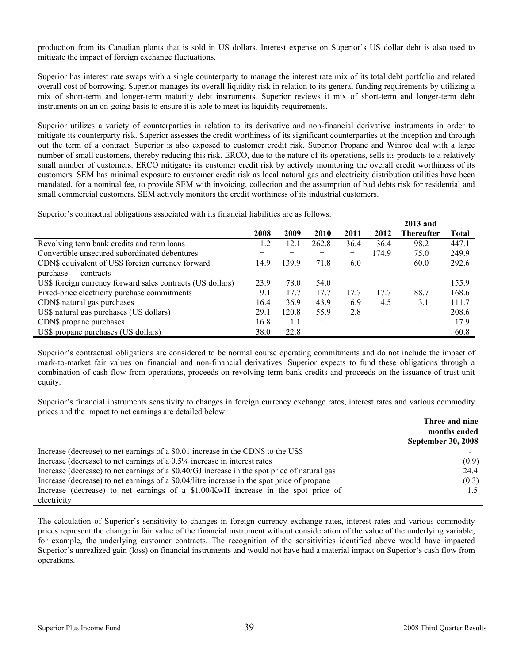production from its Canadian plants that is sold in US dollars. Interest expense on Superior's US dollar debt is also used to mitigate the impact of foreign exchange fluctuations.

Superior has interest rate swaps with a single counterparty to manage the interest rate mix of its total debt portfolio and related overall cost of borrowing. Superior manages its overall liquidity risk in relation to its general funding requirements by utilizing a mix of short-term and longer-term maturity debt instruments. Superior reviews it mix of short-term and longer-term debt instruments on an on-going basis to ensure it is able to meet its liquidity requirements.

Superior utilizes a variety of counterparties in relation to its derivative and non-financial derivative instruments in order to mitigate its counterparty risk. Superior assesses the credit worthiness of its significant counterparties at the inception and through out the term of a contract. Superior is also exposed to customer credit risk. Superior Propane and Winroc deal with a large number of small customers, thereby reducing this risk. ERCO, due to the nature of its operations, sells its products to a relatively small number of customers. ERCO mitigates its customer credit risk by actively monitoring the overall credit worthiness of its customers. SEM has minimal exposure to customer credit risk as local natural gas and electricity distribution utilities have been mandated, for a nominal fee, to provide SEM with invoicing, collection and the assumption of bad debts risk for residential and small commercial customers. SEM actively monitors the credit worthiness of its industrial customers.

Superior's contractual obligations associated with its financial liabilities are as follows:

|                                                            |      |       |                          |      |                          | <i>L</i> UIJ and |              |
|------------------------------------------------------------|------|-------|--------------------------|------|--------------------------|------------------|--------------|
|                                                            | 2008 | 2009  | 2010                     | 2011 | 2012                     | Thereafter       | <b>Total</b> |
| Revolving term bank credits and term loans                 | 1.2  | 12.1  | 262.8                    | 36.4 | 36.4                     | 98.2             | 447.1        |
| Convertible unsecured subordinated debentures              |      |       |                          | -    | 174.9                    | 75.0             | 249.9        |
| CDN\$ equivalent of US\$ foreign currency forward          | 14.9 | 139.9 | 71.8                     | 6.0  |                          | 60.0             | 292.6        |
| purchase<br>contracts                                      |      |       |                          |      |                          |                  |              |
| US\$ foreign currency forward sales contracts (US dollars) | 23.9 | 78.0  | 54.0                     |      |                          |                  | 155.9        |
| Fixed-price electricity purchase commitments               | 9.1  | 17.7  | 17.7                     | 17.7 | 17.7                     | 88.7             | 168.6        |
| CDN\$ natural gas purchases                                | 16.4 | 36.9  | 43.9                     | 6.9  | 4.5                      | 3.1              | 111.7        |
| US\$ natural gas purchases (US dollars)                    | 29.1 | 120.8 | 55.9                     | 2.8  | $\overline{\phantom{0}}$ | -                | 208.6        |
| CDN\$ propane purchases                                    | 16.8 | 1.1   | $\overline{\phantom{m}}$ |      |                          |                  | 17.9         |
| US\$ propane purchases (US dollars)                        | 38.0 | 22.8  |                          |      |                          |                  | 60.8         |

Superior's contractual obligations are considered to be normal course operating commitments and do not include the impact of mark-to-market fair values on financial and non-financial derivatives. Superior expects to fund these obligations through a combination of cash flow from operations, proceeds on revolving term bank credits and proceeds on the issuance of trust unit equity.

Superior's financial instruments sensitivity to changes in foreign currency exchange rates, interest rates and various commodity prices and the impact to net earnings are detailed below:

|                                                                                              | Three and nine            |
|----------------------------------------------------------------------------------------------|---------------------------|
|                                                                                              | months ended              |
|                                                                                              | <b>September 30, 2008</b> |
| Increase (decrease) to net earnings of a \$0.01 increase in the CDN\$ to the US\$            |                           |
| Increase (decrease) to net earnings of a 0.5% increase in interest rates                     | (0.9)                     |
| Increase (decrease) to net earnings of a \$0.40/GJ increase in the spot price of natural gas | 24.4                      |
| Increase (decrease) to net earnings of a \$0.04/litre increase in the spot price of propane  | (0.3)                     |
| Increase (decrease) to net earnings of a \$1.00/KwH increase in the spot price of            |                           |
| electricity                                                                                  |                           |

The calculation of Superior's sensitivity to changes in foreign currency exchange rates, interest rates and various commodity prices represent the change in fair value of the financial instrument without consideration of the value of the underlying variable, for example, the underlying customer contracts. The recognition of the sensitivities identified above would have impacted Superior's unrealized gain (loss) on financial instruments and would not have had a material impact on Superior's cash flow from operations.

**2013 and**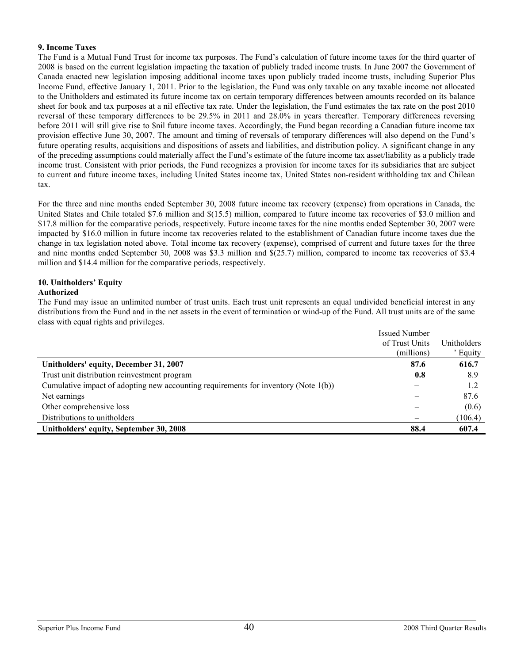### **9. Income Taxes**

The Fund is a Mutual Fund Trust for income tax purposes. The Fund's calculation of future income taxes for the third quarter of 2008 is based on the current legislation impacting the taxation of publicly traded income trusts. In June 2007 the Government of Canada enacted new legislation imposing additional income taxes upon publicly traded income trusts, including Superior Plus Income Fund, effective January 1, 2011. Prior to the legislation, the Fund was only taxable on any taxable income not allocated to the Unitholders and estimated its future income tax on certain temporary differences between amounts recorded on its balance sheet for book and tax purposes at a nil effective tax rate. Under the legislation, the Fund estimates the tax rate on the post 2010 reversal of these temporary differences to be 29.5% in 2011 and 28.0% in years thereafter. Temporary differences reversing before 2011 will still give rise to \$nil future income taxes. Accordingly, the Fund began recording a Canadian future income tax provision effective June 30, 2007. The amount and timing of reversals of temporary differences will also depend on the Fund's future operating results, acquisitions and dispositions of assets and liabilities, and distribution policy. A significant change in any of the preceding assumptions could materially affect the Fund's estimate of the future income tax asset/liability as a publicly trade income trust. Consistent with prior periods, the Fund recognizes a provision for income taxes for its subsidiaries that are subject to current and future income taxes, including United States income tax, United States non-resident withholding tax and Chilean tax.

For the three and nine months ended September 30, 2008 future income tax recovery (expense) from operations in Canada, the United States and Chile totaled \$7.6 million and \$(15.5) million, compared to future income tax recoveries of \$3.0 million and \$17.8 million for the comparative periods, respectively. Future income taxes for the nine months ended September 30, 2007 were impacted by \$16.0 million in future income tax recoveries related to the establishment of Canadian future income taxes due the change in tax legislation noted above. Total income tax recovery (expense), comprised of current and future taxes for the three and nine months ended September 30, 2008 was \$3.3 million and \$(25.7) million, compared to income tax recoveries of \$3.4 million and \$14.4 million for the comparative periods, respectively.

## **10. Unitholders' Equity**

### **Authorized**

The Fund may issue an unlimited number of trust units. Each trust unit represents an equal undivided beneficial interest in any distributions from the Fund and in the net assets in the event of termination or wind-up of the Fund. All trust units are of the same class with equal rights and privileges.

|                                                                                     | <b>Issued Number</b> |             |
|-------------------------------------------------------------------------------------|----------------------|-------------|
|                                                                                     | of Trust Units       | Unitholders |
|                                                                                     | (millions)           | Equity      |
| Unitholders' equity, December 31, 2007                                              | 87.6                 | 616.7       |
| Trust unit distribution reinvestment program                                        | 0.8                  | 8.9         |
| Cumulative impact of adopting new accounting requirements for inventory (Note 1(b)) |                      | 1.2         |
| Net earnings                                                                        |                      | 87.6        |
| Other comprehensive loss                                                            |                      | (0.6)       |
| Distributions to unitholders                                                        |                      | (106.4)     |
| Unitholders' equity, September 30, 2008                                             | 88.4                 | 607.4       |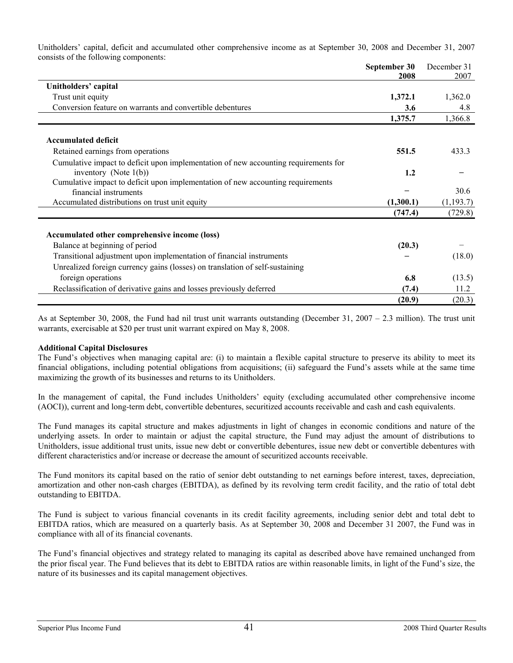Unitholders' capital, deficit and accumulated other comprehensive income as at September 30, 2008 and December 31, 2007 consists of the following components:

|                                                                                     | September 30<br>2008 | December 31<br>2007 |
|-------------------------------------------------------------------------------------|----------------------|---------------------|
| Unitholders' capital                                                                |                      |                     |
| Trust unit equity                                                                   | 1,372.1              | 1,362.0             |
| Conversion feature on warrants and convertible debentures                           | 3.6                  | 4.8                 |
|                                                                                     | 1,375.7              | 1,366.8             |
| <b>Accumulated deficit</b>                                                          |                      |                     |
| Retained earnings from operations                                                   | 551.5                | 433.3               |
| Cumulative impact to deficit upon implementation of new accounting requirements for |                      |                     |
| inventory (Note $1(b)$ )                                                            | 1.2                  |                     |
| Cumulative impact to deficit upon implementation of new accounting requirements     |                      |                     |
| financial instruments                                                               |                      | 30.6                |
| Accumulated distributions on trust unit equity                                      | (1,300.1)            | (1, 193.7)          |
|                                                                                     | (747.4)              | (729.8)             |
| Accumulated other comprehensive income (loss)                                       |                      |                     |
| Balance at beginning of period                                                      | (20.3)               |                     |
| Transitional adjustment upon implementation of financial instruments                |                      | (18.0)              |
| Unrealized foreign currency gains (losses) on translation of self-sustaining        |                      |                     |
| foreign operations                                                                  | 6.8                  | (13.5)              |
| Reclassification of derivative gains and losses previously deferred                 | (7.4)                | 11.2                |
|                                                                                     | (20.9)               | (20.3)              |

As at September 30, 2008, the Fund had nil trust unit warrants outstanding (December 31, 2007 – 2.3 million). The trust unit warrants, exercisable at \$20 per trust unit warrant expired on May 8, 2008.

### **Additional Capital Disclosures**

The Fund's objectives when managing capital are: (i) to maintain a flexible capital structure to preserve its ability to meet its financial obligations, including potential obligations from acquisitions; (ii) safeguard the Fund's assets while at the same time maximizing the growth of its businesses and returns to its Unitholders.

In the management of capital, the Fund includes Unitholders' equity (excluding accumulated other comprehensive income (AOCI)), current and long-term debt, convertible debentures, securitized accounts receivable and cash and cash equivalents.

The Fund manages its capital structure and makes adjustments in light of changes in economic conditions and nature of the underlying assets. In order to maintain or adjust the capital structure, the Fund may adjust the amount of distributions to Unitholders, issue additional trust units, issue new debt or convertible debentures, issue new debt or convertible debentures with different characteristics and/or increase or decrease the amount of securitized accounts receivable.

The Fund monitors its capital based on the ratio of senior debt outstanding to net earnings before interest, taxes, depreciation, amortization and other non-cash charges (EBITDA), as defined by its revolving term credit facility, and the ratio of total debt outstanding to EBITDA.

The Fund is subject to various financial covenants in its credit facility agreements, including senior debt and total debt to EBITDA ratios, which are measured on a quarterly basis. As at September 30, 2008 and December 31 2007, the Fund was in compliance with all of its financial covenants.

The Fund's financial objectives and strategy related to managing its capital as described above have remained unchanged from the prior fiscal year. The Fund believes that its debt to EBITDA ratios are within reasonable limits, in light of the Fund's size, the nature of its businesses and its capital management objectives.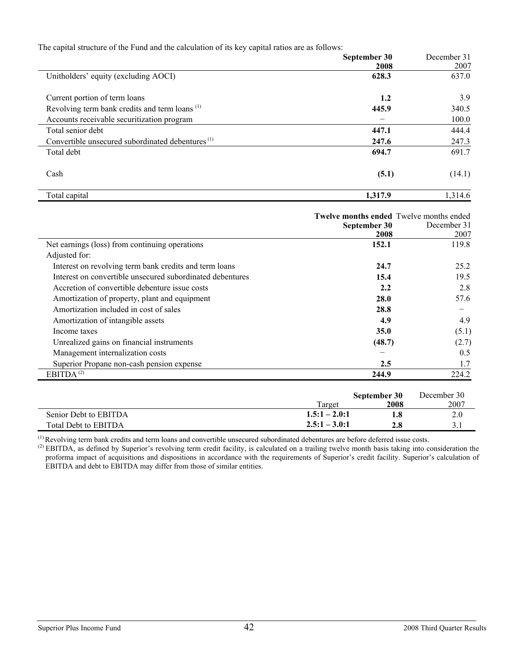The capital structure of the Fund and the calculation of its key capital ratios are as follows:

|                                                              | September 30<br>2008 | December 31<br>2007 |
|--------------------------------------------------------------|----------------------|---------------------|
| Unitholders' equity (excluding AOCI)                         | 628.3                | 637.0               |
| Current portion of term loans                                | 1.2                  | 3.9                 |
| Revolving term bank credits and term loans <sup>(1)</sup>    | 445.9                | 340.5               |
| Accounts receivable securitization program                   |                      | 100.0               |
| Total senior debt                                            | 447.1                | 444.4               |
| Convertible unsecured subordinated debentures <sup>(1)</sup> | 247.6                | 247.3               |
| Total debt                                                   | 694.7                | 691.7               |
| Cash                                                         | (5.1)                | (14.1)              |
| Total capital                                                | 1,317.9              | 1,314.6             |

|                                                           |        | September 30         | <b>Twelve months ended</b> Twelve months ended<br>December 31 |
|-----------------------------------------------------------|--------|----------------------|---------------------------------------------------------------|
|                                                           |        | 2008                 | 2007                                                          |
| Net earnings (loss) from continuing operations            |        | 152.1                | 119.8                                                         |
| Adjusted for:                                             |        |                      |                                                               |
| Interest on revolving term bank credits and term loans    |        | 24.7                 | 25.2                                                          |
| Interest on convertible unsecured subordinated debentures |        | 15.4                 | 19.5                                                          |
| Accretion of convertible debenture issue costs            |        | 2.2                  | 2.8                                                           |
| Amortization of property, plant and equipment             |        | 28.0                 | 57.6                                                          |
| Amortization included in cost of sales                    |        | 28.8                 |                                                               |
| Amortization of intangible assets                         |        | 4.9                  | 4.9                                                           |
| Income taxes                                              |        | <b>35.0</b>          | (5.1)                                                         |
| Unrealized gains on financial instruments                 |        | (48.7)               | (2.7)                                                         |
| Management internalization costs                          |        |                      | 0.5                                                           |
| Superior Propane non-cash pension expense                 |        | 2.5                  | 1.7                                                           |
| EBITDA $^{(2)}$                                           |        | 244.9                | 224.2                                                         |
|                                                           | Target | September 30<br>2008 | December 30<br>2007                                           |

| $\sim$<br>EBITDA<br>Total Debt to | 3.0:1<br>≝•◡•<br>- - - -<br>. | 4.0 | <u>.</u> |
|-----------------------------------|-------------------------------|-----|----------|
| .                                 |                               |     |          |

Senior Debt to EBITDA **1.5:1 – 2.0:1 1.8** 2.0

 $<sup>(1)</sup>$  Revolving term bank credits and term loans and convertible unsecured subordinated debentures are before deferred issue costs.</sup>

 $^{(2)}$  EBITDA, as defined by Superior's revolving term credit facility, is calculated on a trailing twelve month basis taking into consideration the proforma impact of acquisitions and dispositions in accordance with the requirements of Superior's credit facility. Superior's calculation of EBITDA and debt to EBITDA may differ from those of similar entities.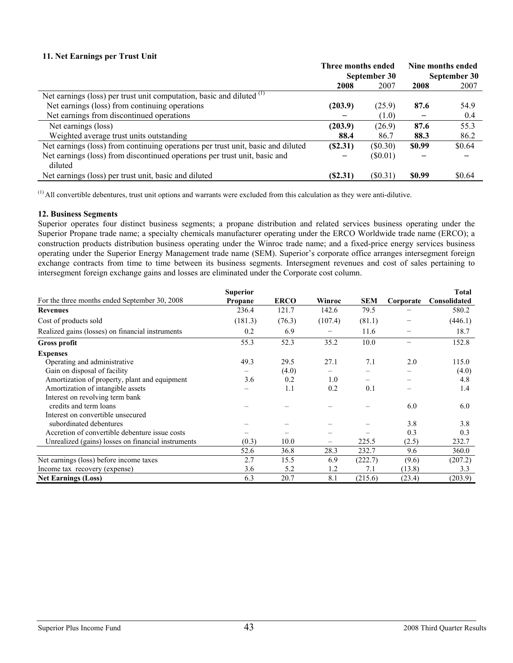### **11. Net Earnings per Trust Unit**

|                                                                                  | Three months ended |              | Nine months ended |        |
|----------------------------------------------------------------------------------|--------------------|--------------|-------------------|--------|
|                                                                                  |                    | September 30 | September 30      |        |
|                                                                                  | 2008               | 2007         | 2008              | 2007   |
| Net earnings (loss) per trust unit computation, basic and diluted $(1)$          |                    |              |                   |        |
| Net earnings (loss) from continuing operations                                   | (203.9)            | (25.9)       | 87.6              | 54.9   |
| Net earnings from discontinued operations                                        |                    | (1.0)        |                   | 0.4    |
| Net earnings (loss)                                                              | (203.9)            | (26.9)       | 87.6              | 55.3   |
| Weighted average trust units outstanding                                         | 88.4               | 86.7         | 88.3              | 86.2   |
| Net earnings (loss) from continuing operations per trust unit, basic and diluted | (S2.31)            | (\$0.30)     | \$0.99            | \$0.64 |
| Net earnings (loss) from discontinued operations per trust unit, basic and       |                    | $(\$0.01)$   |                   |        |
| diluted                                                                          |                    |              |                   |        |
| Net earnings (loss) per trust unit, basic and diluted                            | (S2.31)            | $(\$0.31)$   | \$0.99            | \$0.64 |

 $<sup>(1)</sup>$  All convertible debentures, trust unit options and warrants were excluded from this calculation as they were anti-dilutive.</sup>

### **12. Business Segments**

Superior operates four distinct business segments; a propane distribution and related services business operating under the Superior Propane trade name; a specialty chemicals manufacturer operating under the ERCO Worldwide trade name (ERCO); a construction products distribution business operating under the Winroc trade name; and a fixed-price energy services business operating under the Superior Energy Management trade name (SEM). Superior's corporate office arranges intersegment foreign exchange contracts from time to time between its business segments. Intersegment revenues and cost of sales pertaining to intersegment foreign exchange gains and losses are eliminated under the Corporate cost column.

|                                                    | <b>Superior</b> |             |         |                          |                          | Total        |
|----------------------------------------------------|-----------------|-------------|---------|--------------------------|--------------------------|--------------|
| For the three months ended September 30, 2008      | <b>Propane</b>  | <b>ERCO</b> | Winroc  | <b>SEM</b>               | Corporate                | Consolidated |
| <b>Revenues</b>                                    | 236.4           | 121.7       | 142.6   | 79.5                     |                          | 580.2        |
| Cost of products sold                              | (181.3)         | (76.3)      | (107.4) | (81.1)                   |                          | (446.1)      |
| Realized gains (losses) on financial instruments   | 0.2             | 6.9         |         | 11.6                     | $\overline{\phantom{0}}$ | 18.7         |
| <b>Gross profit</b>                                | 55.3            | 52.3        | 35.2    | 10.0                     | $\overline{\phantom{0}}$ | 152.8        |
| <b>Expenses</b>                                    |                 |             |         |                          |                          |              |
| Operating and administrative                       | 49.3            | 29.5        | 27.1    | 7.1                      | 2.0                      | 115.0        |
| Gain on disposal of facility                       |                 | (4.0)       |         |                          |                          | (4.0)        |
| Amortization of property, plant and equipment      | 3.6             | 0.2         | 1.0     | $\overline{\phantom{0}}$ |                          | 4.8          |
| Amortization of intangible assets                  |                 | 1.1         | 0.2     | 0.1                      |                          | 1.4          |
| Interest on revolving term bank                    |                 |             |         |                          |                          |              |
| credits and term loans                             |                 |             |         |                          | 6.0                      | 6.0          |
| Interest on convertible unsecured                  |                 |             |         |                          |                          |              |
| subordinated debentures                            |                 |             |         |                          | 3.8                      | 3.8          |
| Accretion of convertible debenture issue costs     |                 |             |         |                          | 0.3                      | 0.3          |
| Unrealized (gains) losses on financial instruments | (0.3)           | 10.0        | -       | 225.5                    | (2.5)                    | 232.7        |
|                                                    | 52.6            | 36.8        | 28.3    | 232.7                    | 9.6                      | 360.0        |
| Net earnings (loss) before income taxes            | 2.7             | 15.5        | 6.9     | (222.7)                  | (9.6)                    | (207.2)      |
| Income tax recovery (expense)                      | 3.6             | 5.2         | 1.2     | 7.1                      | (13.8)                   | 3.3          |
| <b>Net Earnings (Loss)</b>                         | 6.3             | 20.7        | 8.1     | (215.6)                  | (23.4)                   | (203.9)      |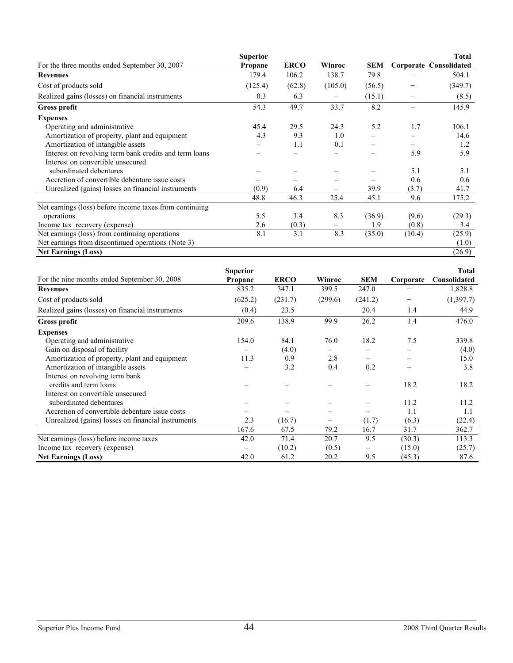|                                                         | <b>Superior</b> |             |         |            |        | <b>Total</b>                  |
|---------------------------------------------------------|-----------------|-------------|---------|------------|--------|-------------------------------|
| For the three months ended September 30, 2007           | Propane         | <b>ERCO</b> | Winroc  | <b>SEM</b> |        | <b>Corporate Consolidated</b> |
| <b>Revenues</b>                                         | 179.4           | 106.2       | 138.7   | 79.8       |        | 504.1                         |
| Cost of products sold                                   | (125.4)         | (62.8)      | (105.0) | (56.5)     |        | (349.7)                       |
| Realized gains (losses) on financial instruments        | 0.3             | 6.3         |         | (15.1)     |        | (8.5)                         |
| <b>Gross profit</b>                                     | 54.3            | 49.7        | 33.7    | 8.2        |        | 145.9                         |
| <b>Expenses</b>                                         |                 |             |         |            |        |                               |
| Operating and administrative                            | 45.4            | 29.5        | 24.3    | 5.2        | 1.7    | 106.1                         |
| Amortization of property, plant and equipment           | 4.3             | 9.3         | 1.0     |            |        | 14.6                          |
| Amortization of intangible assets                       |                 | 1.1         | 0.1     |            |        | 1.2                           |
| Interest on revolving term bank credits and term loans  |                 |             |         |            | 5.9    | 5.9                           |
| Interest on convertible unsecured                       |                 |             |         |            |        |                               |
| subordinated debentures                                 |                 |             |         |            | 5.1    | 5.1                           |
| Accretion of convertible debenture issue costs          |                 |             |         |            | 0.6    | 0.6                           |
| Unrealized (gains) losses on financial instruments      | (0.9)           | 6.4         |         | 39.9       | (3.7)  | 41.7                          |
|                                                         | 48.8            | 46.3        | 25.4    | 45.1       | 9.6    | 175.2                         |
| Net earnings (loss) before income taxes from continuing |                 |             |         |            |        |                               |
| operations                                              | 5.5             | 3.4         | 8.3     | (36.9)     | (9.6)  | (29.3)                        |
| Income tax recovery (expense)                           | 2.6             | (0.3)       | -       | 1.9        | (0.8)  | 3.4                           |
| Net earnings (loss) from continuing operations          | 8.1             | 3.1         | 8.3     | (35.0)     | (10.4) | (25.9)                        |
| Net earnings from discontinued operations (Note 3)      |                 |             |         |            |        | (1.0)                         |
| <b>Net Earnings (Loss)</b>                              |                 |             |         |            |        | (26.9)                        |

|                                                    | <b>Superior</b> |             |         |                          |           | <b>Total</b> |
|----------------------------------------------------|-----------------|-------------|---------|--------------------------|-----------|--------------|
| For the nine months ended September 30, 2008       | Propane         | <b>ERCO</b> | Winroc  | <b>SEM</b>               | Corporate | Consolidated |
| <b>Revenues</b>                                    | 835.2           | 347.1       | 399.5   | 247.0                    |           | 1,828.8      |
| Cost of products sold                              | (625.2)         | (231.7)     | (299.6) | (241.2)                  | —         | (1, 397.7)   |
| Realized gains (losses) on financial instruments   | (0.4)           | 23.5        | -       | 20.4                     | 1.4       | 44.9         |
| <b>Gross profit</b>                                | 209.6           | 138.9       | 99.9    | 26.2                     | 1.4       | 476.0        |
| <b>Expenses</b>                                    |                 |             |         |                          |           |              |
| Operating and administrative                       | 154.0           | 84.1        | 76.0    | 18.2                     | 7.5       | 339.8        |
| Gain on disposal of facility                       |                 | (4.0)       |         |                          |           | (4.0)        |
| Amortization of property, plant and equipment      | 11.3            | 0.9         | 2.8     |                          |           | 15.0         |
| Amortization of intangible assets                  |                 | 3.2         | 0.4     | 0.2                      |           | 3.8          |
| Interest on revolving term bank                    |                 |             |         |                          |           |              |
| credits and term loans                             |                 |             |         |                          | 18.2      | 18.2         |
| Interest on convertible unsecured                  |                 |             |         |                          |           |              |
| subordinated debentures                            |                 |             |         |                          | 11.2      | 11.2         |
| Accretion of convertible debenture issue costs     |                 |             |         |                          | 1.1       | 1.1          |
| Unrealized (gains) losses on financial instruments | 2.3             | (16.7)      |         | (1.7)                    | (6.3)     | (22.4)       |
|                                                    | 167.6           | 67.5        | 79.2    | 16.7                     | 31.7      | 362.7        |
| Net earnings (loss) before income taxes            | 42.0            | 71.4        | 20.7    | 9.5                      | (30.3)    | 113.3        |
| Income tax recovery (expense)                      | -               | (10.2)      | (0.5)   | $\overline{\phantom{0}}$ | (15.0)    | (25.7)       |
| <b>Net Earnings (Loss)</b>                         | 42.0            | 61.2        | 20.2    | 9.5                      | (45.3)    | 87.6         |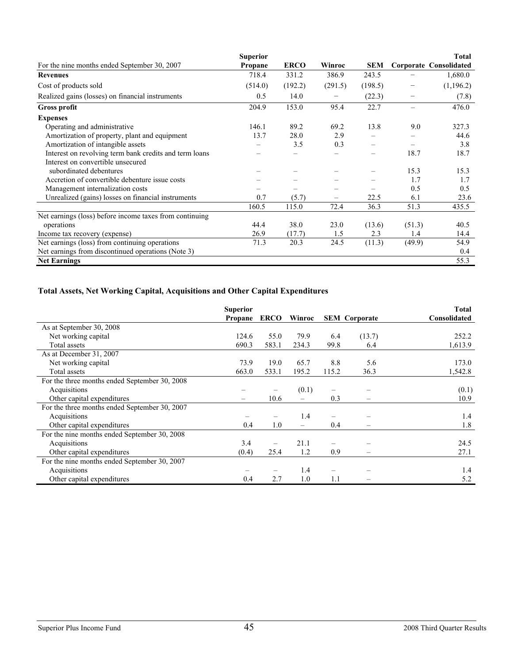|                                                         | <b>Superior</b> |             |         |            |        | <b>Total</b>                  |
|---------------------------------------------------------|-----------------|-------------|---------|------------|--------|-------------------------------|
| For the nine months ended September 30, 2007            | Propane         | <b>ERCO</b> | Winroc  | <b>SEM</b> |        | <b>Corporate Consolidated</b> |
| <b>Revenues</b>                                         | 718.4           | 331.2       | 386.9   | 243.5      |        | 1,680.0                       |
| Cost of products sold                                   | (514.0)         | (192.2)     | (291.5) | (198.5)    |        | (1,196.2)                     |
| Realized gains (losses) on financial instruments        | 0.5             | 14.0        |         | (22.3)     |        | (7.8)                         |
| <b>Gross profit</b>                                     | 204.9           | 153.0       | 95.4    | 22.7       |        | 476.0                         |
| <b>Expenses</b>                                         |                 |             |         |            |        |                               |
| Operating and administrative                            | 146.1           | 89.2        | 69.2    | 13.8       | 9.0    | 327.3                         |
| Amortization of property, plant and equipment           | 13.7            | 28.0        | 2.9     |            |        | 44.6                          |
| Amortization of intangible assets                       |                 | 3.5         | 0.3     |            |        | 3.8                           |
| Interest on revolving term bank credits and term loans  |                 |             |         |            | 18.7   | 18.7                          |
| Interest on convertible unsecured                       |                 |             |         |            |        |                               |
| subordinated debentures                                 |                 |             |         |            | 15.3   | 15.3                          |
| Accretion of convertible debenture issue costs          |                 |             |         |            | 1.7    | 1.7                           |
| Management internalization costs                        |                 |             |         |            | 0.5    | 0.5                           |
| Unrealized (gains) losses on financial instruments      | 0.7             | (5.7)       |         | 22.5       | 6.1    | 23.6                          |
|                                                         | 160.5           | 115.0       | 72.4    | 36.3       | 51.3   | 435.5                         |
| Net earnings (loss) before income taxes from continuing |                 |             |         |            |        |                               |
| operations                                              | 44.4            | 38.0        | 23.0    | (13.6)     | (51.3) | 40.5                          |
| Income tax recovery (expense)                           | 26.9            | (17.7)      | 1.5     | 2.3        | 1.4    | 14.4                          |
| Net earnings (loss) from continuing operations          | 71.3            | 20.3        | 24.5    | (11.3)     | (49.9) | 54.9                          |
| Net earnings from discontinued operations (Note 3)      |                 |             |         |            |        | 0.4                           |
| <b>Net Earnings</b>                                     |                 |             |         |            |        | 55.3                          |

# **Total Assets, Net Working Capital, Acquisitions and Other Capital Expenditures**

|                                               | <b>Superior</b><br>Propane | <b>ERCO</b> | Winroc                   |       | <b>SEM</b> Corporate     | Total<br>Consolidated |
|-----------------------------------------------|----------------------------|-------------|--------------------------|-------|--------------------------|-----------------------|
| As at September 30, 2008                      |                            |             |                          |       |                          |                       |
| Net working capital                           | 124.6                      | 55.0        | 79.9                     | 6.4   | (13.7)                   | 252.2                 |
| Total assets                                  | 690.3                      | 583.1       | 234.3                    | 99.8  | 6.4                      | 1,613.9               |
| As at December 31, 2007                       |                            |             |                          |       |                          |                       |
| Net working capital                           | 73.9                       | 19.0        | 65.7                     | 8.8   | 5.6                      | 173.0                 |
| Total assets                                  | 663.0                      | 533.1       | 195.2                    | 115.2 | 36.3                     | 1,542.8               |
| For the three months ended September 30, 2008 |                            |             |                          |       |                          |                       |
| Acquisitions                                  |                            |             | (0.1)                    |       |                          | (0.1)                 |
| Other capital expenditures                    |                            | 10.6        | $\overline{\phantom{0}}$ | 0.3   |                          | 10.9                  |
| For the three months ended September 30, 2007 |                            |             |                          |       |                          |                       |
| Acquisitions                                  |                            |             | 1.4                      |       |                          | 1.4                   |
| Other capital expenditures                    | 0.4                        | 1.0         | -                        | 0.4   |                          | 1.8                   |
| For the nine months ended September 30, 2008  |                            |             |                          |       |                          |                       |
| Acquisitions                                  | 3.4                        |             | 21.1                     |       |                          | 24.5                  |
| Other capital expenditures                    | (0.4)                      | 25.4        | 1.2                      | 0.9   | $\overline{\phantom{0}}$ | 27.1                  |
| For the nine months ended September 30, 2007  |                            |             |                          |       |                          |                       |
| Acquisitions                                  |                            |             | 1.4                      | -     |                          | 1.4                   |
| Other capital expenditures                    | 0.4                        | 2.7         | 1.0                      | 1.1   |                          | 5.2                   |